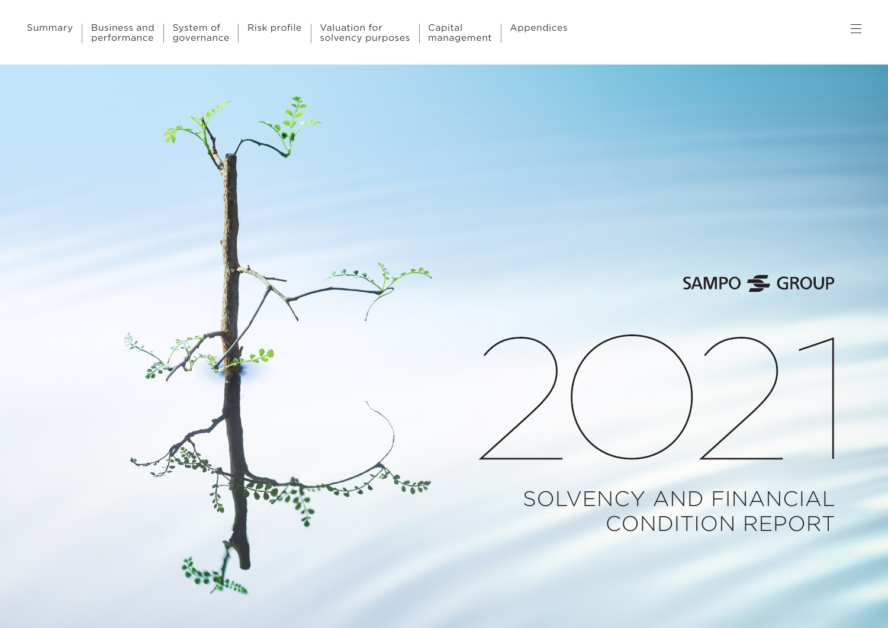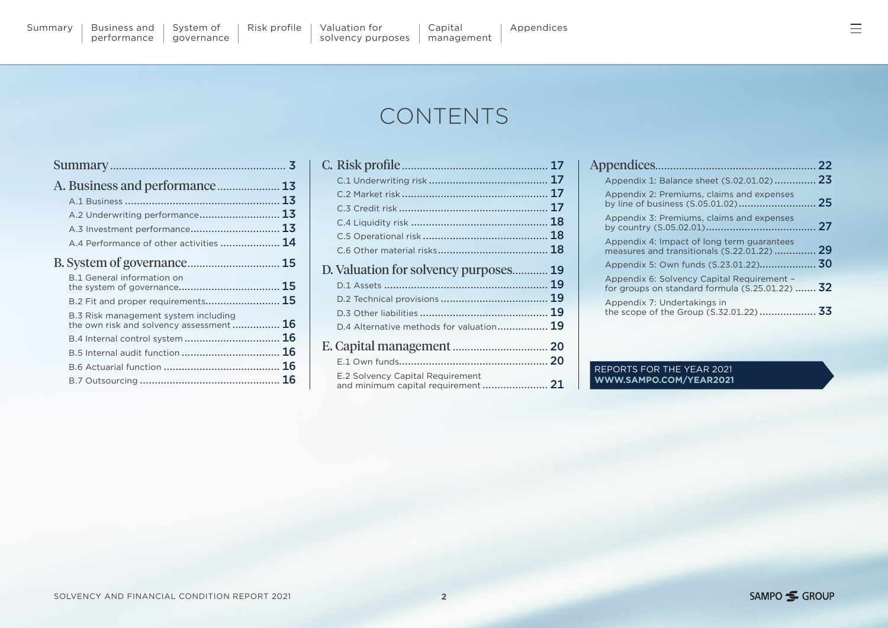[Summary](#page-2-0) | Business and

[governance](#page-14-0)

# CONTENTS

| A.2 Underwriting performance 13                                                 |    |
|---------------------------------------------------------------------------------|----|
| A.3 Investment performance 13                                                   |    |
| A.4 Performance of other activities  14                                         |    |
|                                                                                 |    |
| <b>B.1 General information on</b>                                               | 15 |
| B.2 Fit and proper requirements 15                                              |    |
| B.3 Risk management system including<br>the own risk and solvency assessment 16 |    |
|                                                                                 |    |
|                                                                                 |    |
|                                                                                 |    |
|                                                                                 |    |

|                                                                         | 17 |
|-------------------------------------------------------------------------|----|
|                                                                         |    |
|                                                                         | 17 |
|                                                                         | 17 |
|                                                                         | 18 |
|                                                                         | 18 |
|                                                                         |    |
| D. Valuation for solvency purposes                                      | 19 |
|                                                                         | 19 |
|                                                                         | 19 |
|                                                                         | 19 |
| D.4 Alternative methods for valuation 19                                |    |
|                                                                         |    |
|                                                                         |    |
| E.2 Solvency Capital Requirement<br>and minimum capital requirement  21 |    |

|                                                                                                  | -22 |
|--------------------------------------------------------------------------------------------------|-----|
| Appendix 1: Balance sheet (S.02.01.02)                                                           | -23 |
| Appendix 2: Premiums, claims and expenses                                                        |     |
| Appendix 3: Premiums, claims and expenses                                                        |     |
| Appendix 4: Impact of long term guarantees<br>measures and transitionals (S.22.01.22)            | 29  |
| Appendix 5: Own funds (S.23.01.22) 30                                                            |     |
| Appendix 6: Solvency Capital Requirement -<br>for groups on standard formula $(S.25.01.22)$ $32$ |     |
| Appendix 7: Undertakings in                                                                      |     |

#### REPORTS FOR THE YEAR 2021 **[WWW.SAMPO.COM/YEAR2021](https://www.sampo.com/year2021/#group-reports)**

 $\equiv$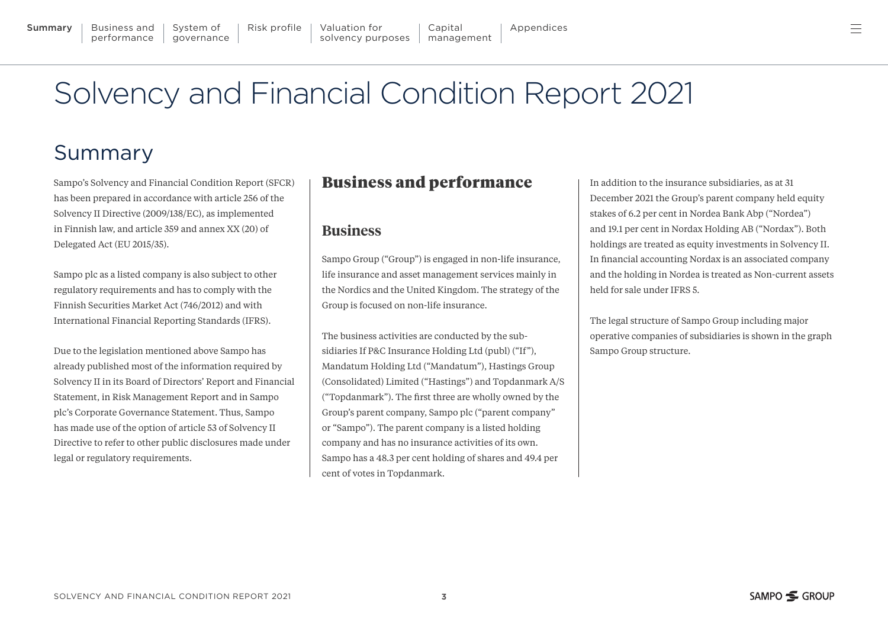ᆖ

#### <span id="page-2-0"></span>**Summary** | [Business and](#page-12-0) | System of | Risk profile | Valuation for | Capital | [Appendices](#page-21-0) performance System of [governance](#page-14-0) [Risk profile](#page-16-0) | Valuation for | Capital [management](#page-19-0) [solvency purposes](#page-18-0)

# Solvency and Financial Condition Report 2021

# Summary

Sampo's Solvency and Financial Condition Report (SFCR) has been prepared in accordance with article 256 of the Solvency II Directive (2009/138/EC), as implemented in Finnish law, and article 359 and annex XX (20) of Delegated Act (EU 2015/35).

Sampo plc as a listed company is also subject to other regulatory requirements and has to comply with the Finnish Securities Market Act (746/2012) and with International Financial Reporting Standards (IFRS).

Due to the legislation mentioned above Sampo has already published most of the information required by Solvency II in its Board of Directors' Report and Financial Statement, in Risk Management Report and in Sampo plc's Corporate Governance Statement. Thus, Sampo has made use of the option of article 53 of Solvency II Directive to refer to other public disclosures made under legal or regulatory requirements.

#### Business and performance

#### **Business**

Sampo Group ("Group") is engaged in non-life insurance, life insurance and asset management services mainly in the Nordics and the United Kingdom. The strategy of the Group is focused on non-life insurance.

The business activities are conducted by the subsidiaries If P&C Insurance Holding Ltd (publ) ("If"), Mandatum Holding Ltd ("Mandatum"), Hastings Group (Consolidated) Limited ("Hastings") and Topdanmark A/S ("Topdanmark"). The first three are wholly owned by the Group's parent company, Sampo plc ("parent company" or "Sampo"). The parent company is a listed holding company and has no insurance activities of its own. Sampo has a 48.3 per cent holding of shares and 49.4 per cent of votes in Topdanmark.

In addition to the insurance subsidiaries, as at 31 December 2021 the Group's parent company held equity stakes of 6.2 per cent in Nordea Bank Abp ("Nordea") and 19.1 per cent in Nordax Holding AB ("Nordax"). Both holdings are treated as equity investments in Solvency II. In financial accounting Nordax is an associated company and the holding in Nordea is treated as Non-current assets held for sale under IFRS 5.

The legal structure of Sampo Group including major operative companies of subsidiaries is shown in the graph Sampo Group structure.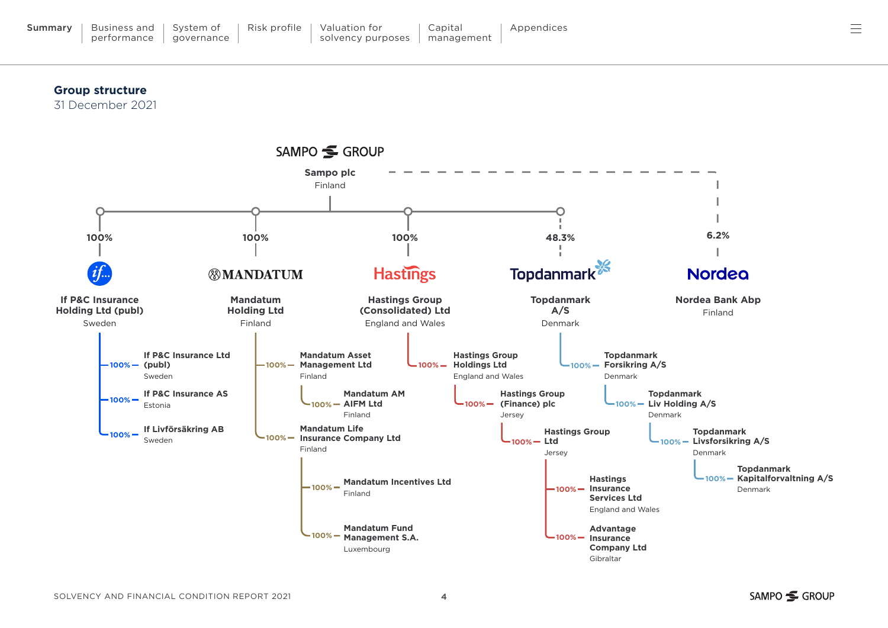#### **Group structure**

KAAVIO N.O 1

31 December 2021



≡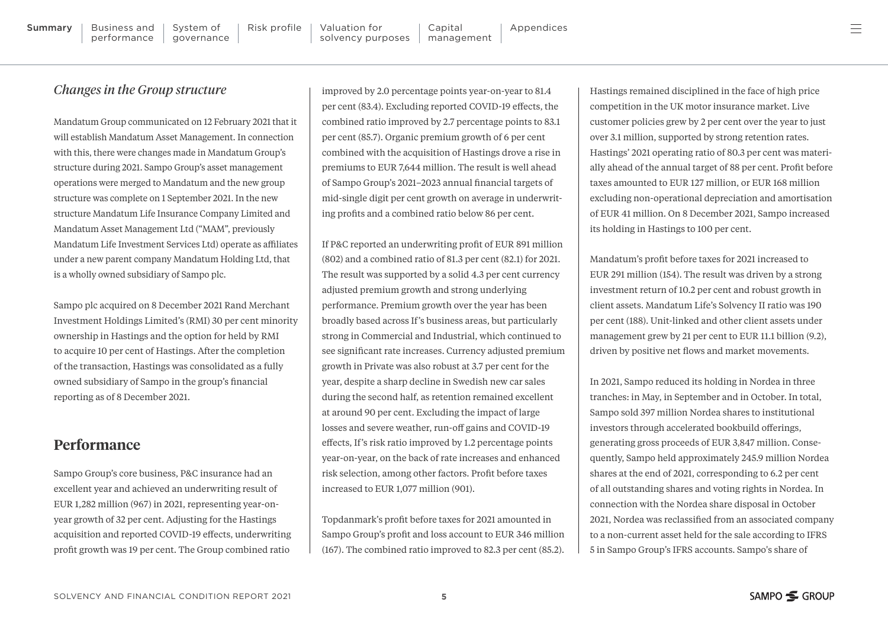#### *Changes in the Group structure*

Mandatum Group communicated on 12 February 2021 that it will establish Mandatum Asset Management. In connection with this, there were changes made in Mandatum Group's structure during 2021. Sampo Group's asset management operations were merged to Mandatum and the new group structure was complete on 1 September 2021. In the new structure Mandatum Life Insurance Company Limited and Mandatum Asset Management Ltd ("MAM", previously Mandatum Life Investment Services Ltd) operate as affiliates under a new parent company Mandatum Holding Ltd, that is a wholly owned subsidiary of Sampo plc.

Sampo plc acquired on 8 December 2021 Rand Merchant Investment Holdings Limited's (RMI) 30 per cent minority ownership in Hastings and the option for held by RMI to acquire 10 per cent of Hastings. After the completion of the transaction, Hastings was consolidated as a fully owned subsidiary of Sampo in the group's financial reporting as of 8 December 2021.

#### **Performance**

Sampo Group's core business, P&C insurance had an excellent year and achieved an underwriting result of EUR 1,282 million (967) in 2021, representing year-onyear growth of 32 per cent. Adjusting for the Hastings acquisition and reported COVID-19 effects, underwriting profit growth was 19 per cent. The Group combined ratio

improved by 2.0 percentage points year-on-year to 81.4 per cent (83.4). Excluding reported COVID-19 effects, the combined ratio improved by 2.7 percentage points to 83.1 per cent (85.7). Organic premium growth of 6 per cent combined with the acquisition of Hastings drove a rise in premiums to EUR 7,644 million. The result is well ahead of Sampo Group's 2021–2023 annual financial targets of mid-single digit per cent growth on average in underwriting profits and a combined ratio below 86 per cent.

If P&C reported an underwriting profit of EUR 891 million (802) and a combined ratio of 81.3 per cent (82.1) for 2021. The result was supported by a solid 4.3 per cent currency adjusted premium growth and strong underlying performance. Premium growth over the year has been broadly based across If's business areas, but particularly strong in Commercial and Industrial, which continued to see significant rate increases. Currency adjusted premium growth in Private was also robust at 3.7 per cent for the year, despite a sharp decline in Swedish new car sales during the second half, as retention remained excellent at around 90 per cent. Excluding the impact of large losses and severe weather, run-off gains and COVID-19 effects, If's risk ratio improved by 1.2 percentage points year-on-year, on the back of rate increases and enhanced risk selection, among other factors. Profit before taxes increased to EUR 1,077 million (901).

Topdanmark's profit before taxes for 2021 amounted in Sampo Group's profit and loss account to EUR 346 million (167). The combined ratio improved to 82.3 per cent (85.2). Hastings remained disciplined in the face of high price competition in the UK motor insurance market. Live customer policies grew by 2 per cent over the year to just over 3.1 million, supported by strong retention rates. Hastings' 2021 operating ratio of 80.3 per cent was materially ahead of the annual target of 88 per cent. Profit before taxes amounted to EUR 127 million, or EUR 168 million excluding non-operational depreciation and amortisation of EUR 41 million. On 8 December 2021, Sampo increased its holding in Hastings to 100 per cent.

Mandatum's profit before taxes for 2021 increased to EUR 291 million (154). The result was driven by a strong investment return of 10.2 per cent and robust growth in client assets. Mandatum Life's Solvency II ratio was 190 per cent (188). Unit-linked and other client assets under management grew by 21 per cent to EUR 11.1 billion (9.2), driven by positive net flows and market movements.

In 2021, Sampo reduced its holding in Nordea in three tranches: in May, in September and in October. In total, Sampo sold 397 million Nordea shares to institutional investors through accelerated bookbuild offerings, generating gross proceeds of EUR 3,847 million. Consequently, Sampo held approximately 245.9 million Nordea shares at the end of 2021, corresponding to 6.2 per cent of all outstanding shares and voting rights in Nordea. In connection with the Nordea share disposal in October 2021, Nordea was reclassified from an associated company to a non-current asset held for the sale according to IFRS 5 in Sampo Group's IFRS accounts. Sampo's share of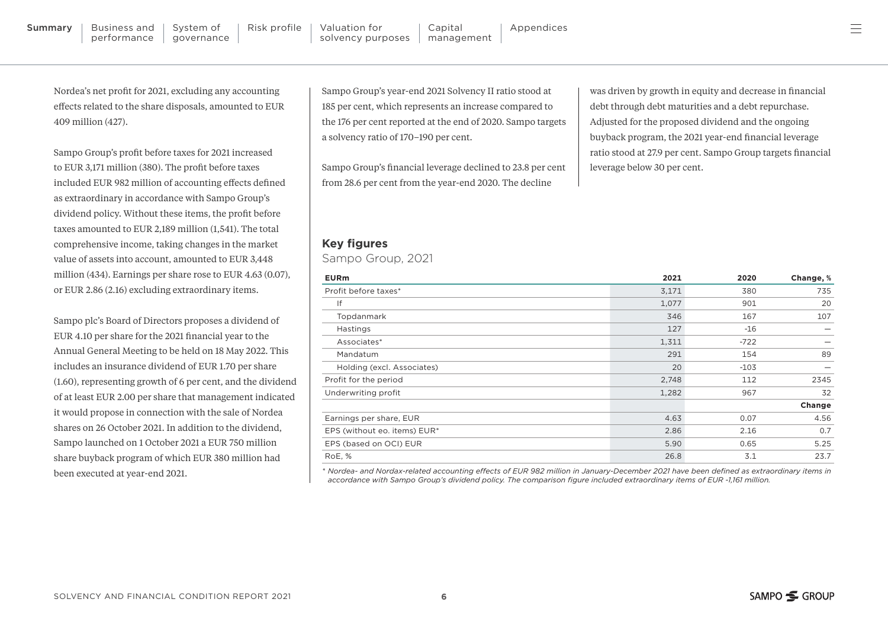performance

System of [governance](#page-14-0)

Nordea's net profit for 2021, excluding any accounting effects related to the share disposals, amounted to EUR 409 million (427).

Sampo Group's profit before taxes for 2021 increased to EUR 3,171 million (380). The profit before taxes included EUR 982 million of accounting effects defined as extraordinary in accordance with Sampo Group's dividend policy. Without these items, the profit before taxes amounted to EUR 2,189 million (1,541). The total comprehensive income, taking changes in the market value of assets into account, amounted to EUR 3,448 million (434). Earnings per share rose to EUR 4.63 (0.07), or EUR 2.86 (2.16) excluding extraordinary items.

Sampo plc's Board of Directors proposes a dividend of EUR 4.10 per share for the 2021 financial year to the Annual General Meeting to be held on 18 May 2022. This includes an insurance dividend of EUR 1.70 per share (1.60), representing growth of 6 per cent, and the dividend of at least EUR 2.00 per share that management indicated it would propose in connection with the sale of Nordea shares on 26 October 2021. In addition to the dividend, Sampo launched on 1 October 2021 a EUR 750 million share buyback program of which EUR 380 million had been executed at year-end 2021.

Sampo Group's year-end 2021 Solvency II ratio stood at 185 per cent, which represents an increase compared to the 176 per cent reported at the end of 2020. Sampo targets a solvency ratio of 170–190 per cent.

Sampo Group's financial leverage declined to 23.8 per cent from 28.6 per cent from the year-end 2020. The decline

was driven by growth in equity and decrease in financial debt through debt maturities and a debt repurchase. Adjusted for the proposed dividend and the ongoing buyback program, the 2021 year-end financial leverage ratio stood at 27.9 per cent. Sampo Group targets financial leverage below 30 per cent.

#### **Key figures**

Sampo Group, 2021

| <b>EURm</b>                  | 2021  | 2020   | Change, % |
|------------------------------|-------|--------|-----------|
| Profit before taxes*         | 3,171 | 380    | 735       |
| If                           | 1,077 | 901    | 20        |
| Topdanmark                   | 346   | 167    | 107       |
| Hastings                     | 127   | $-16$  |           |
| Associates*                  | 1,311 | $-722$ |           |
| Mandatum                     | 291   | 154    | 89        |
| Holding (excl. Associates)   | 20    | $-103$ |           |
| Profit for the period        | 2,748 | 112    | 2345      |
| Underwriting profit          | 1,282 | 967    | 32        |
|                              |       |        | Change    |
| Earnings per share, EUR      | 4.63  | 0.07   | 4.56      |
| EPS (without eo. items) EUR* | 2.86  | 2.16   | 0.7       |
| EPS (based on OCI) EUR       | 5.90  | 0.65   | 5.25      |
| RoE, %                       | 26.8  | 3.1    | 23.7      |

*\* Nordea- and Nordax-related accounting effects of EUR 982 million in January-December 2021 have been defined as extraordinary items in accordance with Sampo Group's dividend policy. The comparison figure included extraordinary items of EUR -1,161 million.*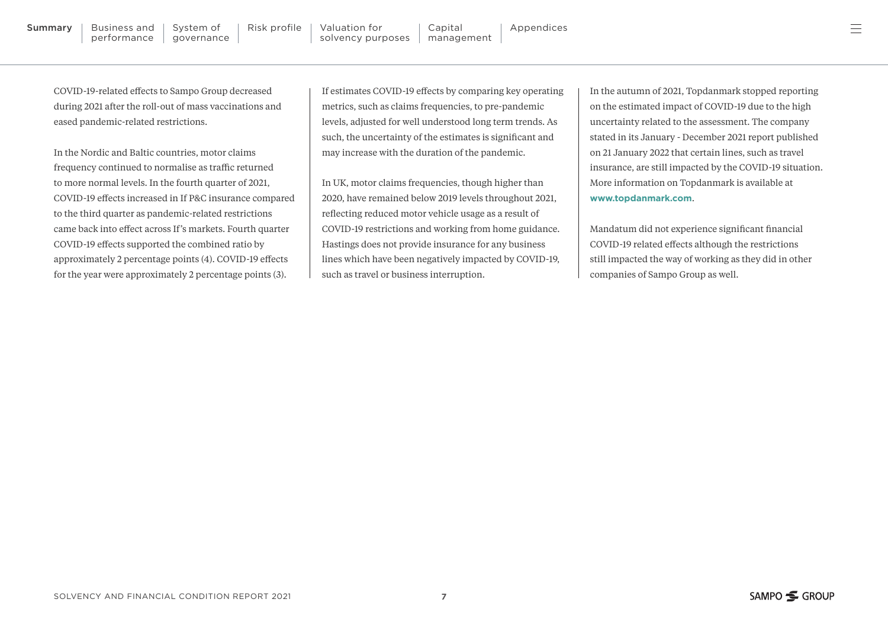COVID-19-related effects to Sampo Group decreased during 2021 after the roll-out of mass vaccinations and eased pandemic-related restrictions.

In the Nordic and Baltic countries, motor claims frequency continued to normalise as traffic returned to more normal levels. In the fourth quarter of 2021, COVID-19 effects increased in If P&C insurance compared to the third quarter as pandemic-related restrictions came back into effect across If's markets. Fourth quarter COVID-19 effects supported the combined ratio by approximately 2 percentage points (4). COVID-19 effects for the year were approximately 2 percentage points (3).

If estimates COVID-19 effects by comparing key operating metrics, such as claims frequencies, to pre-pandemic levels, adjusted for well understood long term trends. As such, the uncertainty of the estimates is significant and may increase with the duration of the pandemic.

In UK, motor claims frequencies, though higher than 2020, have remained below 2019 levels throughout 2021, reflecting reduced motor vehicle usage as a result of COVID-19 restrictions and working from home guidance. Hastings does not provide insurance for any business lines which have been negatively impacted by COVID-19, such as travel or business interruption.

In the autumn of 2021, Topdanmark stopped reporting on the estimated impact of COVID-19 due to the high uncertainty related to the assessment. The company stated in its January - December 2021 report published on 21 January 2022 that certain lines, such as travel insurance, are still impacted by the COVID-19 situation. More information on Topdanmark is available at **[www.topdanmark.com](https://www.topdanmark.com/)**.

Mandatum did not experience significant financial COVID-19 related effects although the restrictions still impacted the way of working as they did in other companies of Sampo Group as well.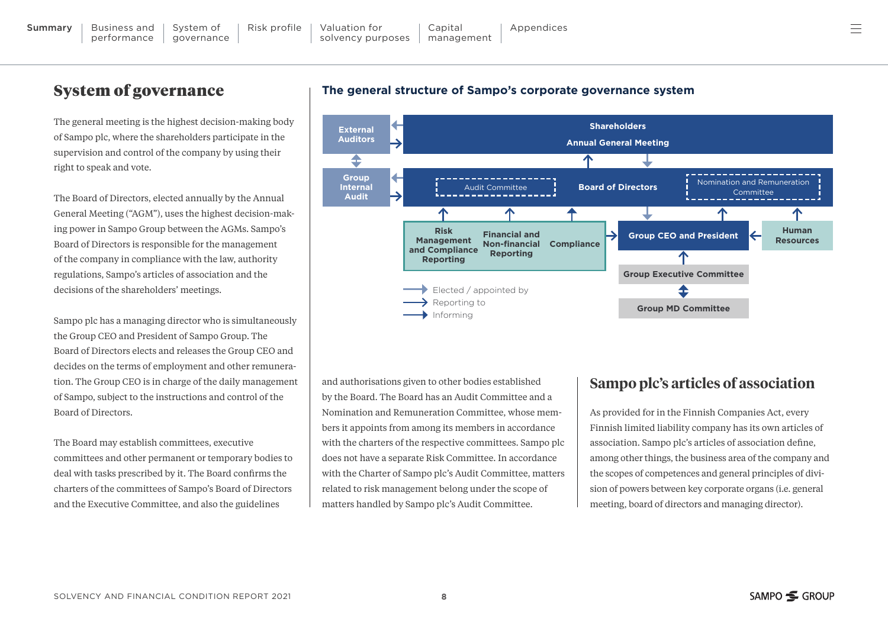KAAVIO N.O 19

## System of governance

The general meeting is the highest decision-making body of Sampo plc, where the shareholders participate in the supervision and control of the company by using their right to speak and vote.

The Board of Directors, elected annually by the Annual General Meeting ("AGM"), uses the highest decision-making power in Sampo Group between the AGMs. Sampo's Board of Directors is responsible for the management of the company in compliance with the law, authority regulations, Sampo's articles of association and the decisions of the shareholders' meetings.

Sampo plc has a managing director who is simultaneously the Group CEO and President of Sampo Group. The Board of Directors elects and releases the Group CEO and decides on the terms of employment and other remuneration. The Group CEO is in charge of the daily management of Sampo, subject to the instructions and control of the Board of Directors.

The Board may establish committees, executive committees and other permanent or temporary bodies to deal with tasks prescribed by it. The Board confirms the charters of the committees of Sampo's Board of Directors and the Executive Committee, and also the guidelines





and authorisations given to other bodies established by the Board. The Board has an Audit Committee and a Nomination and Remuneration Committee, whose members it appoints from among its members in accordance with the charters of the respective committees. Sampo plc does not have a separate Risk Committee. In accordance with the Charter of Sampo plc's Audit Committee, matters related to risk management belong under the scope of matters handled by Sampo plc's Audit Committee.

#### **Sampo plc's articles of association**

As provided for in the Finnish Companies Act, every Finnish limited liability company has its own articles of association. Sampo plc's articles of association define, among other things, the business area of the company and the scopes of competences and general principles of division of powers between key corporate organs (i.e. general meeting, board of directors and managing director).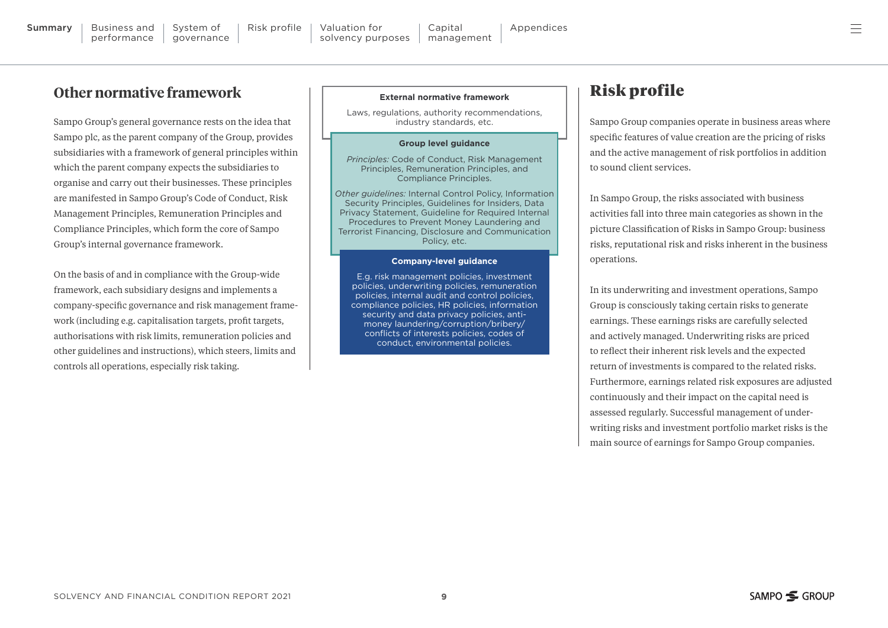## **Other normative framework**

Sampo Group's general governance rests on the idea that Sampo plc, as the parent company of the Group, provides subsidiaries with a framework of general principles within which the parent company expects the subsidiaries to organise and carry out their businesses. These principles are manifested in Sampo Group's Code of Conduct, Risk Management Principles, Remuneration Principles and Compliance Principles, which form the core of Sampo Group's internal governance framework.

On the basis of and in compliance with the Group-wide framework, each subsidiary designs and implements a company-specific governance and risk management framework (including e.g. capitalisation targets, profit targets, authorisations with risk limits, remuneration policies and other guidelines and instructions), which steers, limits and controls all operations, especially risk taking.

#### **External normative framework**

Laws, regulations, authority recommendations, industry standards, etc.

#### **Group level guidance**

*Principles:* Code of Conduct, Risk Management Principles, Remuneration Principles, and Compliance Principles.

*Other guidelines:* Internal Control Policy, Information Security Principles, Guidelines for Insiders, Data Privacy Statement, Guideline for Required Internal Procedures to Prevent Money Laundering and Terrorist Financing, Disclosure and Communication Policy, etc.

#### **Company-level guidance**

E.g. risk management policies, investment policies, underwriting policies, remuneration policies, internal audit and control policies, compliance policies, HR policies, information security and data privacy policies, antimoney laundering/corruption/bribery/ conflicts of interests policies, codes of conduct, environmental policies.

#### Risk profile

Sampo Group companies operate in business areas where specific features of value creation are the pricing of risks and the active management of risk portfolios in addition to sound client services.

In Sampo Group, the risks associated with business activities fall into three main categories as shown in the picture Classification of Risks in Sampo Group: business risks, reputational risk and risks inherent in the business operations.

In its underwriting and investment operations, Sampo Group is consciously taking certain risks to generate earnings. These earnings risks are carefully selected and actively managed. Underwriting risks are priced to reflect their inherent risk levels and the expected return of investments is compared to the related risks. Furthermore, earnings related risk exposures are adjusted continuously and their impact on the capital need is assessed regularly. Successful management of underwriting risks and investment portfolio market risks is the main source of earnings for Sampo Group companies.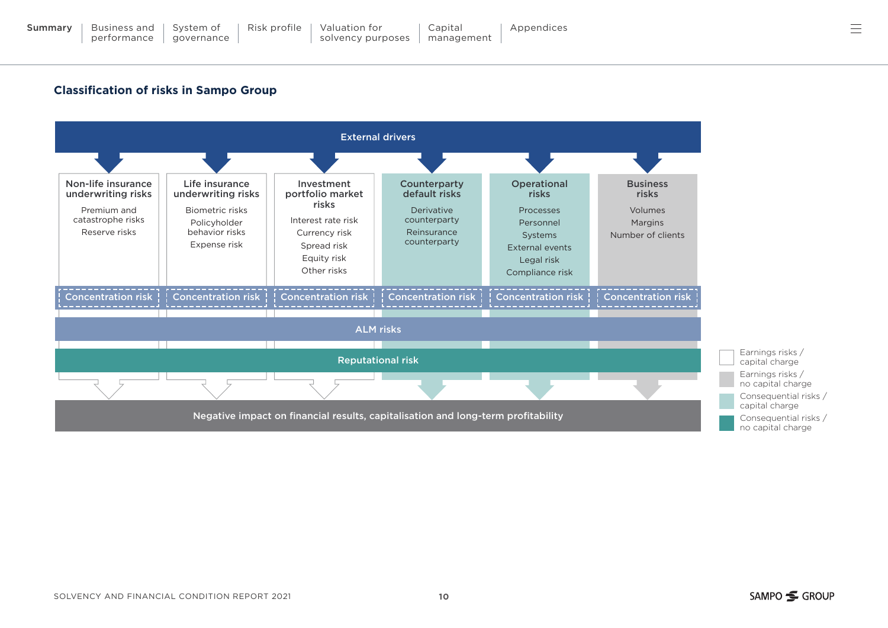#### **Classification of risks in Sampo Group**

KAAVIO N.O 3

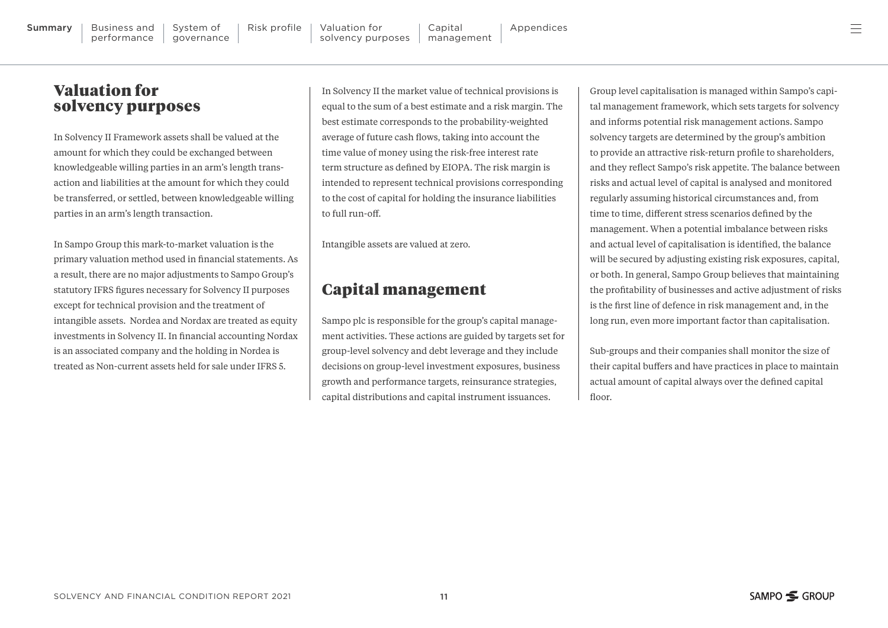#### Valuation for solvency purposes

In Solvency II Framework assets shall be valued at the amount for which they could be exchanged between knowledgeable willing parties in an arm's length transaction and liabilities at the amount for which they could be transferred, or settled, between knowledgeable willing parties in an arm's length transaction.

In Sampo Group this mark-to-market valuation is the primary valuation method used in financial statements. As a result, there are no major adjustments to Sampo Group's statutory IFRS figures necessary for Solvency II purposes except for technical provision and the treatment of intangible assets. Nordea and Nordax are treated as equity investments in Solvency II. In financial accounting Nordax is an associated company and the holding in Nordea is treated as Non-current assets held for sale under IFRS 5.

In Solvency II the market value of technical provisions is equal to the sum of a best estimate and a risk margin. The best estimate corresponds to the probability-weighted average of future cash flows, taking into account the time value of money using the risk-free interest rate term structure as defined by EIOPA. The risk margin is intended to represent technical provisions corresponding to the cost of capital for holding the insurance liabilities to full run-off.

Intangible assets are valued at zero.

#### Capital management

Sampo plc is responsible for the group's capital management activities. These actions are guided by targets set for group-level solvency and debt leverage and they include decisions on group-level investment exposures, business growth and performance targets, reinsurance strategies, capital distributions and capital instrument issuances.

Group level capitalisation is managed within Sampo's capital management framework, which sets targets for solvency and informs potential risk management actions. Sampo solvency targets are determined by the group's ambition to provide an attractive risk-return profile to shareholders, and they reflect Sampo's risk appetite. The balance between risks and actual level of capital is analysed and monitored regularly assuming historical circumstances and, from time to time, different stress scenarios defined by the management. When a potential imbalance between risks and actual level of capitalisation is identified, the balance will be secured by adjusting existing risk exposures, capital, or both. In general, Sampo Group believes that maintaining the profitability of businesses and active adjustment of risks is the first line of defence in risk management and, in the long run, even more important factor than capitalisation.

Sub-groups and their companies shall monitor the size of their capital buffers and have practices in place to maintain actual amount of capital always over the defined capital floor.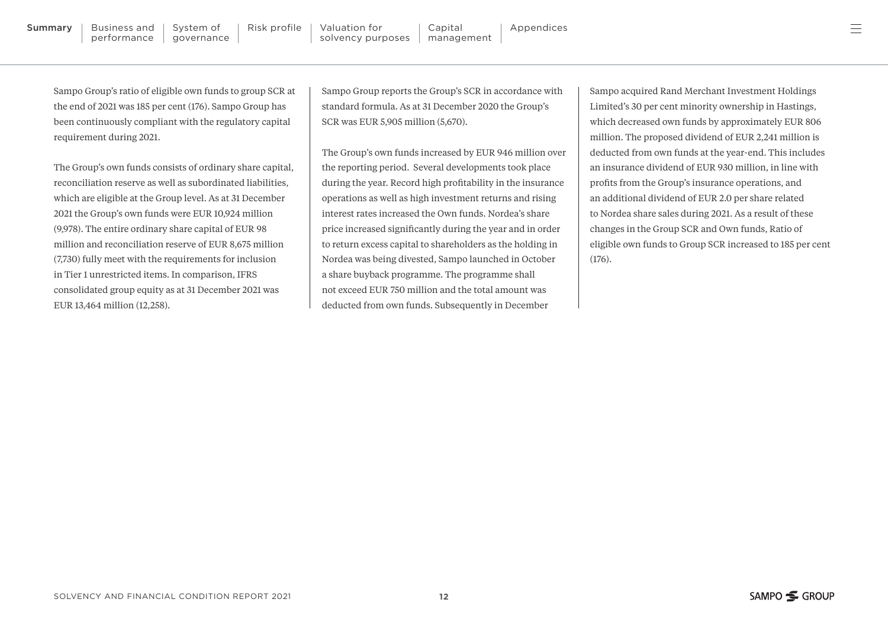Sampo Group's ratio of eligible own funds to group SCR at the end of 2021 was 185 per cent (176). Sampo Group has been continuously compliant with the regulatory capital

requirement during 2021.

The Group's own funds consists of ordinary share capital, reconciliation reserve as well as subordinated liabilities, which are eligible at the Group level. As at 31 December 2021 the Group's own funds were EUR 10,924 million (9,978). The entire ordinary share capital of EUR 98 million and reconciliation reserve of EUR 8,675 million (7,730) fully meet with the requirements for inclusion in Tier 1 unrestricted items. In comparison, IFRS consolidated group equity as at 31 December 2021 was EUR 13,464 million (12,258).

Sampo Group reports the Group's SCR in accordance with standard formula. As at 31 December 2020 the Group's SCR was EUR 5,905 million (5,670).

The Group's own funds increased by EUR 946 million over the reporting period. Several developments took place during the year. Record high profitability in the insurance operations as well as high investment returns and rising interest rates increased the Own funds. Nordea's share price increased significantly during the year and in order to return excess capital to shareholders as the holding in Nordea was being divested, Sampo launched in October a share buyback programme. The programme shall not exceed EUR 750 million and the total amount was deducted from own funds. Subsequently in December

Sampo acquired Rand Merchant Investment Holdings Limited's 30 per cent minority ownership in Hastings, which decreased own funds by approximately EUR 806 million. The proposed dividend of EUR 2,241 million is deducted from own funds at the year-end. This includes an insurance dividend of EUR 930 million, in line with profits from the Group's insurance operations, and an additional dividend of EUR 2.0 per share related to Nordea share sales during 2021. As a result of these changes in the Group SCR and Own funds, Ratio of eligible own funds to Group SCR increased to 185 per cent  $(176)$ .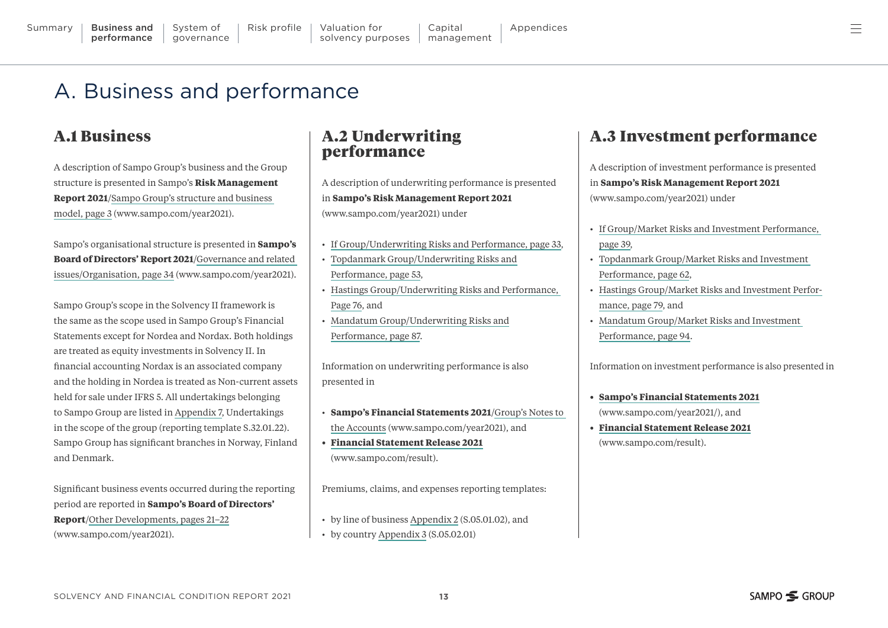A description of Sampo Group's business and the Group structure is presented in Sampo's **Risk Management Report 2021**/[Sampo Group's structure and business](https://www.sampo.com/globalassets/year2021/group/sampo2021_risk_management_report.pdf#page=3) 

Sampo's organisational structure is presented in **Sampo's Board of Directors' Report 2021**[/Governance and related](https://www.sampo.com/globalassets/year2021/group/sampo2021_board_report_financial_statements.pdf#page=34) [issues/Organisation, page 34 \(www.sampo.com/year2021\).](https://www.sampo.com/globalassets/year2021/group/sampo2021_board_report_financial_statements.pdf#page=34) 

Sampo Group's scope in the Solvency II framework is

[model, page 3 \(www.sampo.com/year2021\).](https://www.sampo.com/globalassets/year2021/group/sampo2021_risk_management_report.pdf#page=3) 

<span id="page-12-0"></span>A. Business and performance

Statements except for Nordea and Nordax. Both holdings are treated as equity investments in Solvency II. In financial accounting Nordax is an associated company and the holding in Nordea is treated as Non-current assets held for sale under IFRS 5. All undertakings belonging to Sampo Group are listed in [Appendix 7](#page-32-0), Undertakings in the scope of the group (reporting template S.32.01.22). Sampo Group has significant branches in Norway, Finland and Denmark.

Significant business events occurred during the reporting period are reported in **Sampo's Board of Directors' Report**[/Other Developments, pages 21–22](https://www.sampo.com/globalassets/year2021/group/sampo2021_board_report_financial_statements.pdf#page=21) [\(www.sampo.com/year2021\).](https://www.sampo.com/globalassets/year2021/group/sampo2021_board_report_financial_statements.pdf#page=21)

#### A.2 Underwriting performance

A description of underwriting performance is presented in **[Sampo's Risk Management Report 2021](https://www.sampo.com/globalassets/year2021/group/sampo2021_risk_management_report.pdf)** [\(www.sampo.com/year2021\)](https://www.sampo.com/globalassets/year2021/group/sampo2021_risk_management_report.pdf) under

- [If Group/Underwriting Risks and Performance, page 33,](https://www.sampo.com/globalassets/year2021/group/sampo2021_risk_management_report.pdf#page=33)
- [Topdanmark Group/Underwriting Risks and](https://www.sampo.com/globalassets/year2021/group/sampo2021_risk_management_report.pdf#page=53) [Performance, page 53,](https://www.sampo.com/globalassets/year2021/group/sampo2021_risk_management_report.pdf#page=53)
- [Hastings Group/Underwriting Risks and Performance,](https://www.sampo.com/globalassets/year2021/group/sampo2021_risk_management_report.pdf#page=76)  [Page 76](https://www.sampo.com/globalassets/year2021/group/sampo2021_risk_management_report.pdf#page=76), and
- [Mandatum Group/Underwriting Risks and](https://www.sampo.com/globalassets/year2021/group/sampo2021_risk_management_report.pdf#page=87) [Performance, page 87](https://www.sampo.com/globalassets/year2021/group/sampo2021_risk_management_report.pdf#page=87).

Information on underwriting performance is also presented in

- **[Sampo's Financial Statements 2021](https://www.sampo.com/globalassets/year2021/group/sampo2021_board_report_financial_statements.pdf#page=47)**/Group's Notes to [the Accounts \(www.sampo.com/year2021\),](https://www.sampo.com/globalassets/year2021/group/sampo2021_board_report_financial_statements.pdf#page=47) and
- **• [Financial Statement Release 2021](https://www.sampo.com/result/)** [\(www.sampo.com/result\)](https://www.sampo.com/result/).

Premiums, claims, and expenses reporting templates:

- by line of business [Appendix 2](#page-24-0) (S.05.01.02), and
- by country [Appendix 3](#page-26-0) (S.05.02.01)

#### A.3 Investment performance

A description of investment performance is presented in **[Sampo's Risk Management Report 2021](https://www.sampo.com/globalassets/year2021/group/sampo2021_risk_management_report.pdf)** [\(www.sampo.com/year2021\)](https://www.sampo.com/globalassets/year2021/group/sampo2021_risk_management_report.pdf) under

- [If Group/Market Risks and Investment Performance,](https://www.sampo.com/globalassets/year2021/group/sampo2021_risk_management_report.pdf#page=39)  [page 39](https://www.sampo.com/globalassets/year2021/group/sampo2021_risk_management_report.pdf#page=39),
- [Topdanmark Group/Market Risks and Investment](https://www.sampo.com/globalassets/year2021/group/sampo2021_risk_management_report.pdf#page=62)  [Performance, page 62,](https://www.sampo.com/globalassets/year2021/group/sampo2021_risk_management_report.pdf#page=62)
- [Hastings Group/Market Risks and Investment Perfor](https://www.sampo.com/globalassets/year2021/group/sampo2021_risk_management_report.pdf#page=79)[mance, page 79](https://www.sampo.com/globalassets/year2021/group/sampo2021_risk_management_report.pdf#page=79), and
- [Mandatum Group/Market Risks and Investment](https://www.sampo.com/globalassets/year2021/group/sampo2021_risk_management_report.pdf#page=94)  [Performance, page 94.](https://www.sampo.com/globalassets/year2021/group/sampo2021_risk_management_report.pdf#page=94)

Information on investment performance is also presented in

- **• [Sampo's Financial Statements 2021](https://www.sampo.com/globalassets/year2021/group/sampo2021_board_report_financial_statements.pdf)** [\(www.sampo.com/year2021/\)](https://www.sampo.com/globalassets/year2021/group/sampo2021_board_report_financial_statements.pdf), and
- **• [Financial Statement Release 2021](https://www.sampo.com/result/)** [\(www.sampo.com/result\)](https://www.sampo.com/result/).

A.1 Business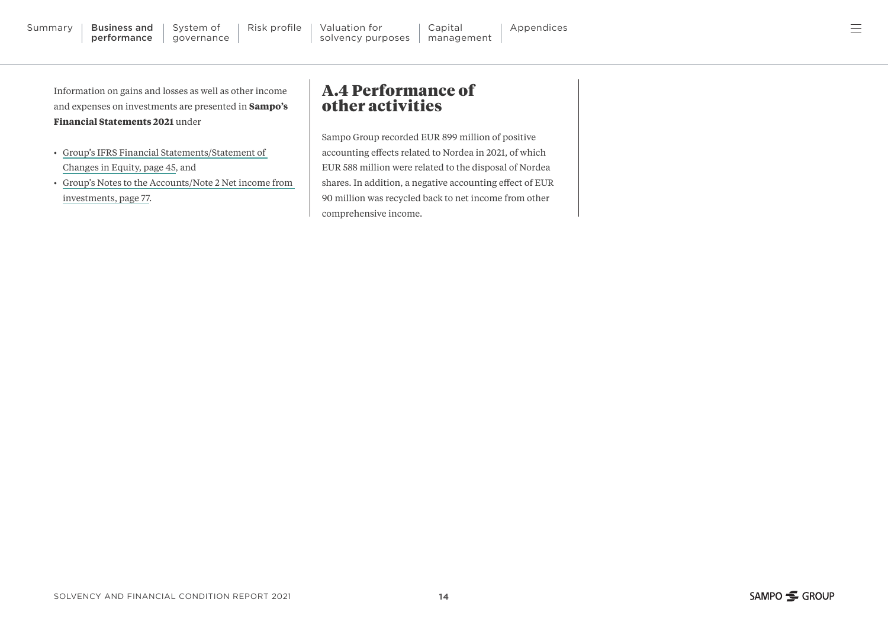<span id="page-13-0"></span>Information on gains and losses as well as other income and expenses on investments are presented in **Sampo's Financial Statements 2021** under

- [Group's IFRS Financial Statements/Statement of](https://www.sampo.com/globalassets/year2021/group/sampo2021_board_report_financial_statements.pdf#page=45
)  [Changes in Equity, page 45](https://www.sampo.com/globalassets/year2021/group/sampo2021_board_report_financial_statements.pdf#page=45
), and
- [Group's Notes to the Accounts/Note 2 Net income from](https://www.sampo.com/globalassets/year2021/group/sampo2021_board_report_financial_statements.pdf#page=77)  [investments, page 77.](https://www.sampo.com/globalassets/year2021/group/sampo2021_board_report_financial_statements.pdf#page=77)

#### A.4 Performance of other activities

Sampo Group recorded EUR 899 million of positive accounting effects related to Nordea in 2021, of which EUR 588 million were related to the disposal of Nordea shares. In addition, a negative accounting effect of EUR 90 million was recycled back to net income from other comprehensive income.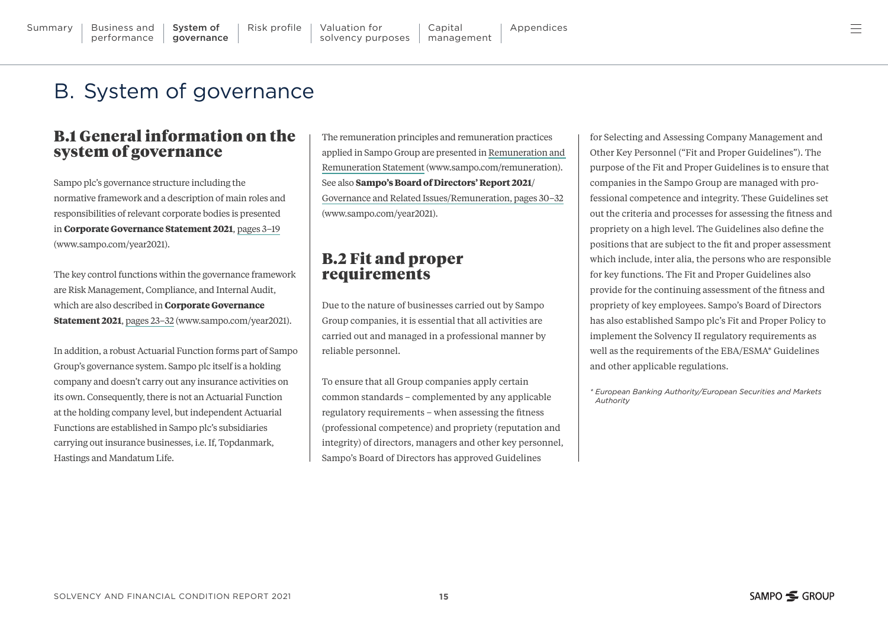Hastings and Mandatum Life.

at the holding company level, but independent Actuarial Functions are established in Sampo plc's subsidiaries carrying out insurance businesses, i.e. If, Topdanmark,

**Statement 2021**, [pages 23–32 \(www.sampo.com/year2021\).](https://www.sampo.com/globalassets/year2021/group/sampo2021_corporate_governance_statement.pdf#page=23)  In addition, a robust Actuarial Function forms part of Sampo Group's governance system. Sampo plc itself is a holding company and doesn't carry out any insurance activities on its own. Consequently, there is not an Actuarial Function

B.1 General information on the system of governance

Sampo plc's governance structure including the normative framework and a description of main roles and responsibilities of relevant corporate bodies is presented in **Corporate Governance Statement 2021**, [pages 3–19](https://www.sampo.com/globalassets/year2021/group/sampo2021_corporate_governance_statement.pdf#page=3) [\(www.sampo.com/year2021\).](https://www.sampo.com/globalassets/year2021/group/sampo2021_corporate_governance_statement.pdf#page=3)

The key control functions within the governance framework are Risk Management, Compliance, and Internal Audit, which are also described in **Corporate Governance** 

The remuneration principles and remuneration practices applied in Sampo Group are presented in [Remuneration and](https://www.sampo.com/remuneration/)  [Remuneration Statement \(www.sampo.com/remuneration\)](https://www.sampo.com/remuneration/). See also **Sampo's Board of Directors' Report 2021**/ [Governance and Related Issues/Remuneration, pages 30–32](https://www.sampo.com/globalassets/year2021/group/sampo2021_board_report_financial_statements.pdf#page=30) [\(www.sampo.com/year2021\).](https://www.sampo.com/globalassets/year2021/group/sampo2021_board_report_financial_statements.pdf#page=30)

#### B.2 Fit and proper requirements

Due to the nature of businesses carried out by Sampo Group companies, it is essential that all activities are carried out and managed in a professional manner by reliable personnel.

To ensure that all Group companies apply certain common standards – complemented by any applicable regulatory requirements – when assessing the fitness (professional competence) and propriety (reputation and integrity) of directors, managers and other key personnel, Sampo's Board of Directors has approved Guidelines

for Selecting and Assessing Company Management and Other Key Personnel ("Fit and Proper Guidelines"). The purpose of the Fit and Proper Guidelines is to ensure that companies in the Sampo Group are managed with professional competence and integrity. These Guidelines set out the criteria and processes for assessing the fitness and propriety on a high level. The Guidelines also define the positions that are subject to the fit and proper assessment which include, inter alia, the persons who are responsible for key functions. The Fit and Proper Guidelines also provide for the continuing assessment of the fitness and propriety of key employees. Sampo's Board of Directors has also established Sampo plc's Fit and Proper Policy to implement the Solvency II regulatory requirements as well as the requirements of the EBA/ESMA\* Guidelines and other applicable regulations.

*\* European Banking Authority/European Securities and Markets Authority*

<span id="page-14-0"></span>[Summary](#page-2-0) | Business and

performance

B. System of governance

 $\textsf{System of} \quad | \quad \textsf{Risk profile} \quad | \quad \textsf{Valuation for} \quad | \quad \textsf{Capital} \quad | \quad \textsf{Appendices}$  $\textsf{System of} \quad | \quad \textsf{Risk profile} \quad | \quad \textsf{Valuation for} \quad | \quad \textsf{Capital} \quad | \quad \textsf{Appendices}$  $\textsf{System of} \quad | \quad \textsf{Risk profile} \quad | \quad \textsf{Valuation for} \quad | \quad \textsf{Capital} \quad | \quad \textsf{Appendices}$  $\textsf{System of} \quad | \quad \textsf{Risk profile} \quad | \quad \textsf{Valuation for} \quad | \quad \textsf{Capital} \quad | \quad \textsf{Appendices}$  $\textsf{System of} \quad | \quad \textsf{Risk profile} \quad | \quad \textsf{Valuation for} \quad | \quad \textsf{Capital} \quad | \quad \textsf{Appendices}$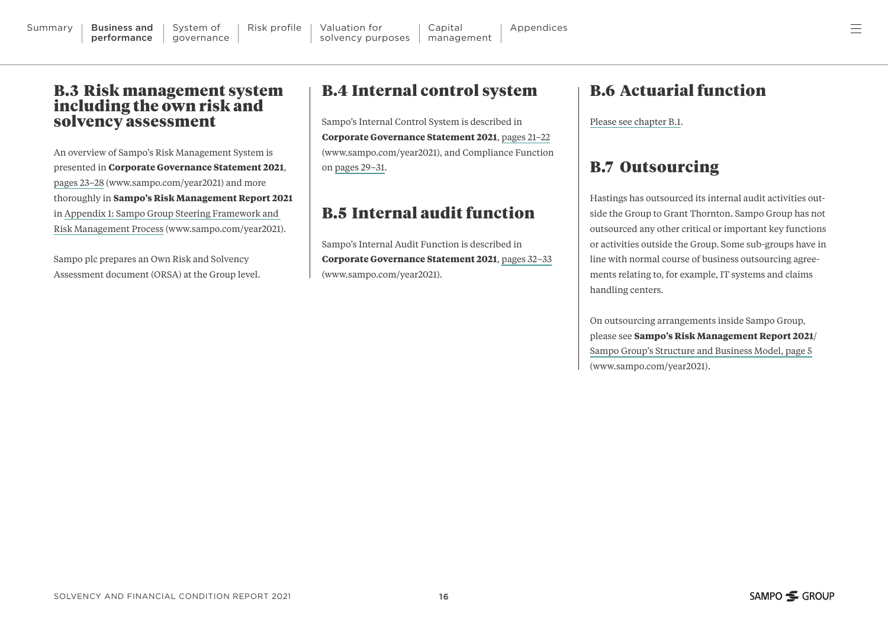#### <span id="page-15-0"></span>B.3 Risk management system including the own risk and solvency assessment

An overview of Sampo's Risk Management System is presented in **Corporate Governance Statement 2021**, [pages 23–28 \(www.sampo.com/year2021\)](https://www.sampo.com/globalassets/year2021/group/sampo2021_corporate_governance_statement.pdf#page=23) and more thoroughly in **Sampo's Risk Management Report 2021** in [Appendix 1: Sampo Group Steering Framework and](https://www.sampo.com/globalassets/year2021/group/sampo2021_risk_management_report.pdf#page=108)  [Risk Management Process \(www.sampo.com/year2021\).](https://www.sampo.com/globalassets/year2021/group/sampo2021_risk_management_report.pdf#page=108)

Sampo plc prepares an Own Risk and Solvency Assessment document (ORSA) at the Group level.

## B.4 Internal control system

Sampo's Internal Control System is described in **Corporate Governance Statement 2021**, [pages 21–22](https://www.sampo.com/globalassets/year2021/group/sampo2021_corporate_governance_statement.pdf#page=21) [\(www.sampo.com/year2021\)](https://www.sampo.com/globalassets/year2021/group/sampo2021_corporate_governance_statement.pdf#page=21), and Compliance Function on [pages 29–31.](https://www.sampo.com/globalassets/year2021/group/sampo2021_corporate_governance_statement.pdf#page=29)

## B.5 Internal audit function

Sampo's Internal Audit Function is described in **Corporate Governance Statement 2021**, [pages 32–33](https://www.sampo.com/globalassets/year2021/group/sampo2021_corporate_governance_statement.pdf#page=32
) [\(www.sampo.com/year2021\).](https://www.sampo.com/globalassets/year2021/group/sampo2021_corporate_governance_statement.pdf#page=32
)

#### B.6 Actuarial function

[Please see chapter B.1.](#page-14-0)

#### B.7 Outsourcing

Hastings has outsourced its internal audit activities outside the Group to Grant Thornton. Sampo Group has not outsourced any other critical or important key functions or activities outside the Group. Some sub-groups have in line with normal course of business outsourcing agreements relating to, for example, IT systems and claims handling centers.

On outsourcing arrangements inside Sampo Group, please see **Sampo's Risk Management Report 2021**/ [Sampo Group's Structure and Business Model, page 5](https://www.sampo.com/globalassets/year2021/group/sampo2021_risk_management_report.pdf#page=5) [\(www.sampo.com/year2021\).](https://www.sampo.com/globalassets/year2021/group/sampo2021_risk_management_report.pdf#page=5)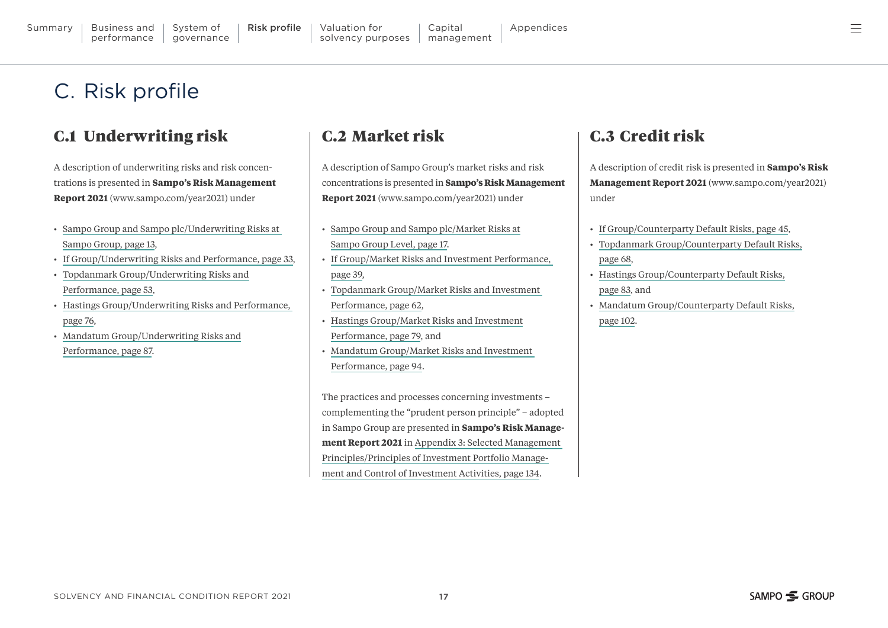#### <span id="page-16-0"></span>C.1 Underwriting risk

A description of underwriting risks and risk concentrations is presented in **[Sampo's Risk Management](https://www.sampo.com/globalassets/year2021/group/sampo2021_risk_management_report.pdf)  Report 2021** [\(www.sampo.com/year2021\)](https://www.sampo.com/globalassets/year2021/group/sampo2021_risk_management_report.pdf) under

- [Sampo Group and Sampo plc/Underwriting Risks at](https://www.sampo.com/globalassets/year2021/group/sampo2021_risk_management_report.pdf#page=13)  [Sampo Group, page 13,](https://www.sampo.com/globalassets/year2021/group/sampo2021_risk_management_report.pdf#page=13)
- [If Group/Underwriting Risks and Performance, page 33,](https://www.sampo.com/globalassets/year2021/group/sampo2021_risk_management_report.pdf#page=33)
- [Topdanmark Group/Underwriting Risks and](https://www.sampo.com/globalassets/year2021/group/sampo2021_risk_management_report.pdf#page=53) [Performance, page 53,](https://www.sampo.com/globalassets/year2021/group/sampo2021_risk_management_report.pdf#page=53)
- [Hastings Group/Underwriting Risks and Performance,](https://www.sampo.com/globalassets/year2021/group/sampo2021_risk_management_report.pdf#page=76)  [page 76,](https://www.sampo.com/globalassets/year2021/group/sampo2021_risk_management_report.pdf#page=76)
- [Mandatum Group/Underwriting Risks and](https://www.sampo.com/globalassets/year2021/group/sampo2021_risk_management_report.pdf#page=87) [Performance, page 87.](https://www.sampo.com/globalassets/year2021/group/sampo2021_risk_management_report.pdf#page=87)

#### C.2 Market risk

A description of Sampo Group's market risks and risk concentrations is presented in **[Sampo's Risk Management](https://www.sampo.com/globalassets/year2021/group/sampo2021_risk_management_report.pdf)  Report 2021** [\(www.sampo.com/year2021\)](https://www.sampo.com/globalassets/year2021/group/sampo2021_risk_management_report.pdf) under

Capital

- [Sampo Group and Sampo plc/Market Risks at](https://www.sampo.com/globalassets/year2021/group/sampo2021_risk_management_report.pdf#page=17) [Sampo Group Level, page 17.](https://www.sampo.com/globalassets/year2021/group/sampo2021_risk_management_report.pdf#page=17)
- [If Group/Market Risks and Investment Performance,](https://www.sampo.com/globalassets/year2021/group/sampo2021_risk_management_report.pdf#page=39)  [page 39,](https://www.sampo.com/globalassets/year2021/group/sampo2021_risk_management_report.pdf#page=39)
- [Topdanmark Group/Market Risks and Investment](https://www.sampo.com/globalassets/year2021/group/sampo2021_risk_management_report.pdf#page=62)  [Performance, page 62,](https://www.sampo.com/globalassets/year2021/group/sampo2021_risk_management_report.pdf#page=62)
- [Hastings Group/Market Risks and Investment](https://www.sampo.com/globalassets/year2021/group/sampo2021_risk_management_report.pdf#page=79) [Performance, page 79,](https://www.sampo.com/globalassets/year2021/group/sampo2021_risk_management_report.pdf#page=79) and
- [Mandatum Group/Market Risks and Investment](https://www.sampo.com/globalassets/year2021/group/sampo2021_risk_management_report.pdf#page=94)  [Performance, page 94.](https://www.sampo.com/globalassets/year2021/group/sampo2021_risk_management_report.pdf#page=94)

The practices and processes concerning investments – complementing the "prudent person principle" – adopted in Sampo Group are presented in **Sampo's Risk Management Report 2021** in [Appendix 3: Selected Management](https://www.sampo.com/globalassets/year2021/group/sampo2021_risk_management_report.pdf#page=134)  [Principles/Principles of Investment Portfolio Manage](https://www.sampo.com/globalassets/year2021/group/sampo2021_risk_management_report.pdf#page=134)[ment and Control of Investment Activities, page 134.](https://www.sampo.com/globalassets/year2021/group/sampo2021_risk_management_report.pdf#page=134)

## C.3 Credit risk

A description of credit risk is presented in **[Sampo's Risk](https://www.sampo.com/globalassets/year2021/group/sampo2021_risk_management_report.pdf)  Management Report 2021** [\(www.sampo.com/year2021\)](https://www.sampo.com/globalassets/year2021/group/sampo2021_risk_management_report.pdf)  under

- [If Group/Counterparty Default Risks, page 45,](https://www.sampo.com/globalassets/year2021/group/sampo2021_risk_management_report.pdf#page=45)
- [Topdanmark Group/Counterparty Default Risks,](https://www.sampo.com/globalassets/year2021/group/sampo2021_risk_management_report.pdf#page=68) [page 68,](https://www.sampo.com/globalassets/year2021/group/sampo2021_risk_management_report.pdf#page=68)
- [Hastings Group/Counterparty Default Risks,](https://www.sampo.com/globalassets/year2021/group/sampo2021_risk_management_report.pdf#page=83) [page 83,](https://www.sampo.com/globalassets/year2021/group/sampo2021_risk_management_report.pdf#page=83) and
- [Mandatum Group/Counterparty Default Risks,](https://www.sampo.com/globalassets/year2021/group/sampo2021_risk_management_report.pdf#page=102)

[page 102.](https://www.sampo.com/globalassets/year2021/group/sampo2021_risk_management_report.pdf#page=102)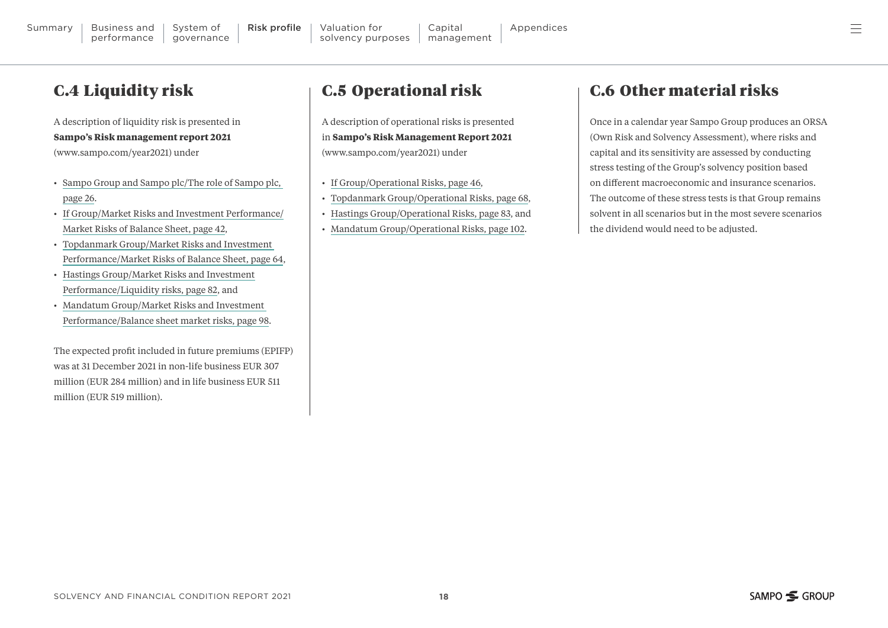<span id="page-17-0"></span>A description of liquidity risk is presented in **Sampo's Risk management report 2021**

[\(www.sampo.com/year2021\)](https://www.sampo.com/globalassets/year2021/group/sampo2021_risk_management_report.pdf) under

- [Sampo Group and Sampo plc/The role of Sampo plc,](https://www.sampo.com/globalassets/year2021/group/sampo2021_risk_management_report.pdf#page=26)  [page 26](https://www.sampo.com/globalassets/year2021/group/sampo2021_risk_management_report.pdf#page=26).
- [If Group/Market Risks and Investment Performance/](https://www.sampo.com/globalassets/year2021/group/sampo2021_risk_management_report.pdf#page=42) [Market Risks of Balance Sheet, page 42,](https://www.sampo.com/globalassets/year2021/group/sampo2021_risk_management_report.pdf#page=42)
- [Topdanmark Group/Market Risks and Investment](https://www.sampo.com/globalassets/year2021/group/sampo2021_risk_management_report.pdf#page=64)  [Performance/Market Risks of Balance Sheet, page 64,](https://www.sampo.com/globalassets/year2021/group/sampo2021_risk_management_report.pdf#page=64)
- [Hastings Group/Market Risks and Investment](https://www.sampo.com/globalassets/year2021/group/sampo2021_risk_management_report.pdf#page=82) [Performance/Liquidity risks, page 82](https://www.sampo.com/globalassets/year2021/group/sampo2021_risk_management_report.pdf#page=82), and
- [Mandatum Group/Market Risks and Investment](https://www.sampo.com/globalassets/year2021/group/sampo2021_risk_management_report.pdf#page=98)  [Performance/Balance sheet market risks, page 98.](https://www.sampo.com/globalassets/year2021/group/sampo2021_risk_management_report.pdf#page=98)

The expected profit included in future premiums (EPIFP) was at 31 December 2021 in non-life business EUR 307 million (EUR 284 million) and in life business EUR 511 million (EUR 519 million).

## C.5 Operational risk

A description of operational risks is presented in **Sampo's Risk Management Report 2021** [\(www.sampo.com/year2021\)](https://www.sampo.com/globalassets/year2021/group/sampo2021_risk_management_report.pdf) under

- [If Group/Operational Risks, page 46,](https://www.sampo.com/globalassets/year2021/group/sampo2021_risk_management_report.pdf#page=46)
- [Topdanmark Group/Operational Risks, page 68,](https://www.sampo.com/globalassets/year2021/group/sampo2021_risk_management_report.pdf#page=68)
- [Hastings Group/Operational Risks, page 83,](https://www.sampo.com/globalassets/year2021/group/sampo2021_risk_management_report.pdf#page=83) and
- [Mandatum Group/Operational Risks, page 102](https://www.sampo.com/globalassets/year2021/group/sampo2021_risk_management_report.pdf#page=102).

## C.6 Other material risks

Once in a calendar year Sampo Group produces an ORSA (Own Risk and Solvency Assessment), where risks and capital and its sensitivity are assessed by conducting stress testing of the Group's solvency position based on different macroeconomic and insurance scenarios. The outcome of these stress tests is that Group remains solvent in all scenarios but in the most severe scenarios the dividend would need to be adjusted.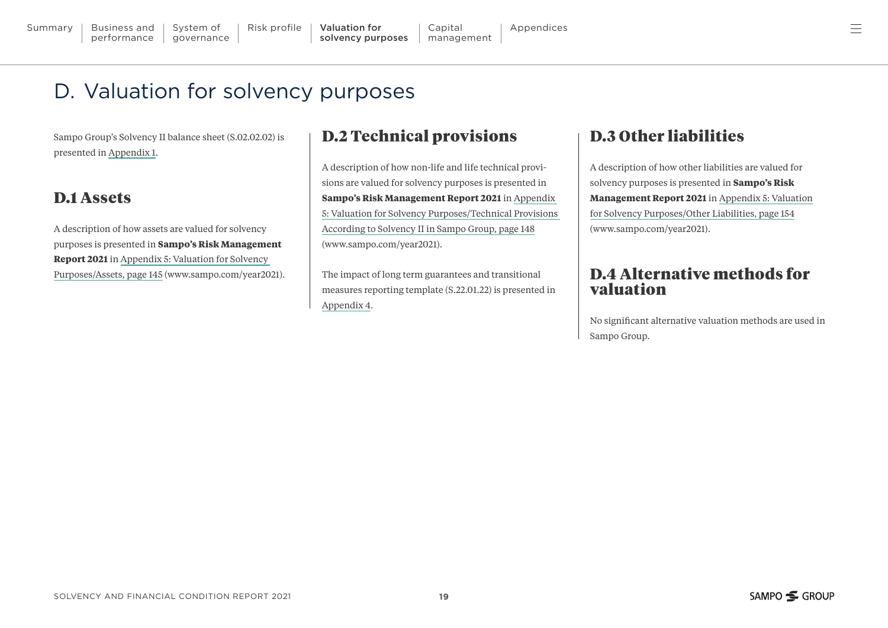# <span id="page-18-0"></span>D. Valuation for solvency purposes

Sampo Group's Solvency II balance sheet (S.02.02.02) is presented in [Appendix 1.](#page-22-0)

## D.1 Assets

A description of how assets are valued for solvency purposes is presented in **Sampo's Risk Management Report 2021** in [Appendix 5: Valuation for Solvency](https://www.sampo.com/globalassets/year2021/group/sampo2021_risk_management_report.pdf#page=145)  [Purposes/Assets, page 145 \(www.sampo.com/year2021\).](https://www.sampo.com/globalassets/year2021/group/sampo2021_risk_management_report.pdf#page=145)

#### D.2 Technical provisions

A description of how non-life and life technical provisions are valued for solvency purposes is presented in **Sampo's Risk Management Report 2021** in [Appendix](https://www.sampo.com/globalassets/year2021/group/sampo2021_risk_management_report.pdf#page=148)  [5: Valuation for Solvency Purposes/Technical Provisions](https://www.sampo.com/globalassets/year2021/group/sampo2021_risk_management_report.pdf#page=148)  [According to Solvency II in Sampo Group, page 148](https://www.sampo.com/globalassets/year2021/group/sampo2021_risk_management_report.pdf#page=148) [\(www.sampo.com/year2021\).](https://www.sampo.com/globalassets/year2021/group/sampo2021_risk_management_report.pdf#page=148)

The impact of long term guarantees and transitional measures reporting template (S.22.01.22) is presented in [Appendix 4.](#page-28-0)

## D.3 Other liabilities

A description of how other liabilities are valued for solvency purposes is presented in **Sampo's Risk Management Report 2021** in [Appendix 5: Valuation](https://www.sampo.com/globalassets/year2021/group/sampo2021_risk_management_report.pdf#page=154) [for Solvency Purposes/Other Liabilities, page 154](https://www.sampo.com/globalassets/year2021/group/sampo2021_risk_management_report.pdf#page=154) [\(www.sampo.com/year2021\).](https://www.sampo.com/globalassets/year2021/group/sampo2021_risk_management_report.pdf#page=154)

#### D.4 Alternative methods for valuation

No significant alternative valuation methods are used in Sampo Group.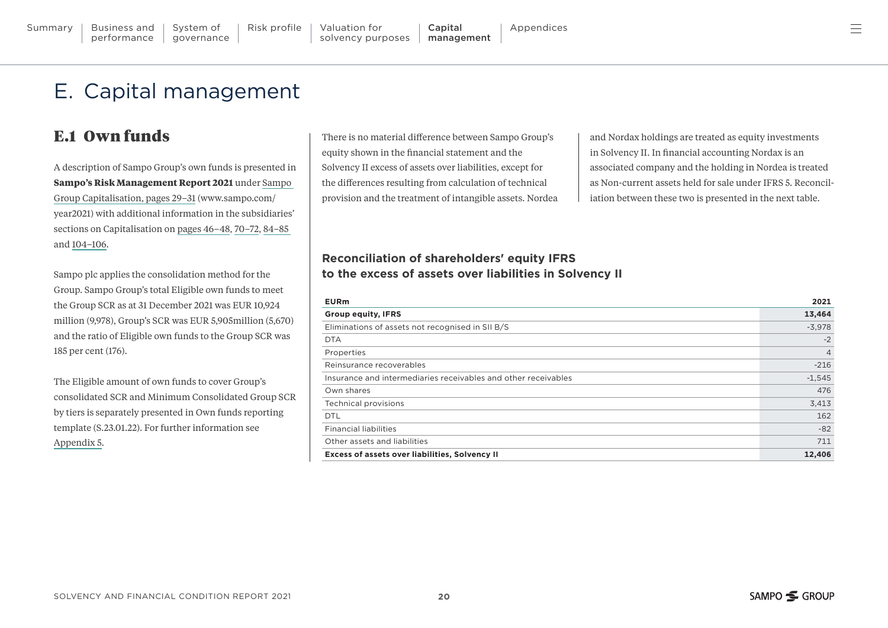# <span id="page-19-0"></span>E. Capital management

## E.1 Own funds

A description of Sampo Group's own funds is presented in **Sampo's Risk Management Report 2021** under [Sampo](https://www.sampo.com/globalassets/year2021/group/sampo2021_risk_management_report.pdf#page=29)  [Group Capitalisation, pages 29–31 \(www.sampo.com/](https://www.sampo.com/globalassets/year2021/group/sampo2021_risk_management_report.pdf#page=29) [year2021\)](https://www.sampo.com/globalassets/year2021/group/sampo2021_risk_management_report.pdf#page=29) with additional information in the subsidiaries' sections on Capitalisation on [pages 46–48,](https://www.sampo.com/globalassets/year2021/group/sampo2021_risk_management_report.pdf#page=46) [70–72](https://www.sampo.com/globalassets/year2021/group/sampo2021_risk_management_report.pdf#page=70), [84–85](https://www.sampo.com/globalassets/year2021/group/sampo2021_risk_management_report.pdf#page=84)  and [104–106.](https://www.sampo.com/globalassets/year2021/group/sampo2021_risk_management_report.pdf#page=104)

Sampo plc applies the consolidation method for the Group. Sampo Group's total Eligible own funds to meet the Group SCR as at 31 December 2021 was EUR 10,924 million (9,978), Group's SCR was EUR 5,905million (5,670) and the ratio of Eligible own funds to the Group SCR was 185 per cent (176).

The Eligible amount of own funds to cover Group's consolidated SCR and Minimum Consolidated Group SCR by tiers is separately presented in Own funds reporting template (S.23.01.22). For further information see [Appendix 5.](#page-29-0)

There is no material difference between Sampo Group's equity shown in the financial statement and the Solvency II excess of assets over liabilities, except for the differences resulting from calculation of technical provision and the treatment of intangible assets. Nordea and Nordax holdings are treated as equity investments in Solvency II. In financial accounting Nordax is an associated company and the holding in Nordea is treated as Non-current assets held for sale under IFRS 5. Reconciliation between these two is presented in the next table.

#### **Reconciliation of shareholders' equity IFRS to the excess of assets over liabilities in Solvency II**

| <b>EURm</b>                                                    | 2021           |
|----------------------------------------------------------------|----------------|
| <b>Group equity, IFRS</b>                                      | 13,464         |
| Eliminations of assets not recognised in SII B/S               | $-3,978$       |
| <b>DTA</b>                                                     | $-2$           |
| Properties                                                     | $\overline{4}$ |
| Reinsurance recoverables                                       | $-216$         |
| Insurance and intermediaries receivables and other receivables | $-1,545$       |
| Own shares                                                     | 476            |
| Technical provisions                                           | 3,413          |
| <b>DTL</b>                                                     | 162            |
| <b>Financial liabilities</b>                                   | $-82$          |
| Other assets and liabilities                                   | 711            |
| Excess of assets over liabilities, Solvency II                 | 12,406         |

ᆖ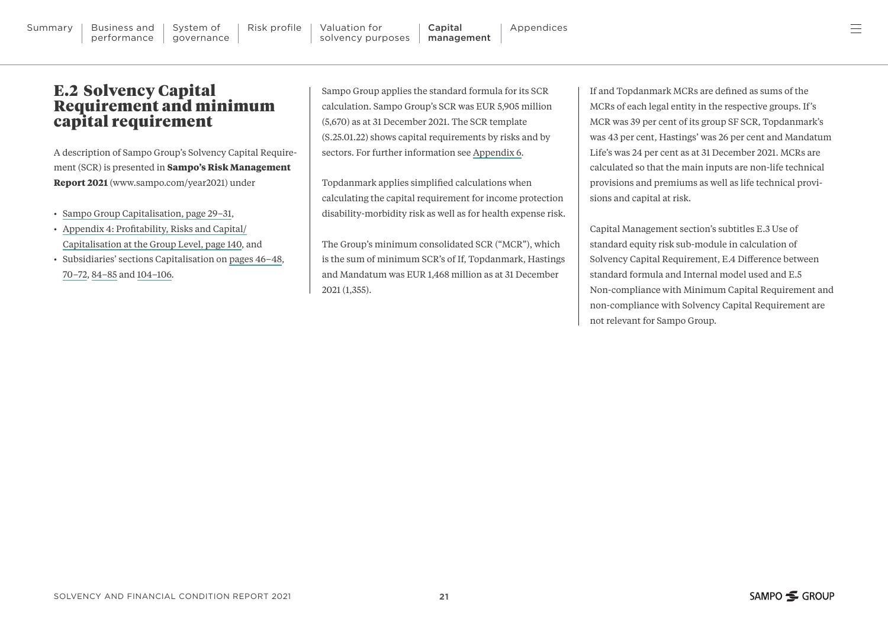#### <span id="page-20-0"></span>E.2 Solvency Capital Requirement and minimum capital requirement

A description of Sampo Group's Solvency Capital Requirement (SCR) is presented in **Sampo's Risk Management Report 2021** [\(www.sampo.com/year2021\)](https://www.sampo.com/globalassets/year2021/group/sampo2021_risk_management_report.pdf) under

- [Sampo Group Capitalisation, page 29–31,](https://www.sampo.com/globalassets/year2021/group/sampo2021_risk_management_report.pdf#page=29)
- [Appendix 4: Profitability, Risks and Capital/](https://www.sampo.com/globalassets/year2021/group/sampo2021_risk_management_report.pdf#page=140) [Capitalisation at the Group Level, page 140](https://www.sampo.com/globalassets/year2021/group/sampo2021_risk_management_report.pdf#page=140), and
- Subsidiaries' sections Capitalisation on [pages 46–48](https://www.sampo.com/globalassets/year2021/group/sampo2021_risk_management_report.pdf#page=46), [70–72,](https://www.sampo.com/globalassets/year2021/group/sampo2021_risk_management_report.pdf#page=70) [84–85](https://www.sampo.com/globalassets/year2021/group/sampo2021_risk_management_report.pdf#page=84) and [104–106.](https://www.sampo.com/globalassets/year2021/group/sampo2021_risk_management_report.pdf#page=104)

Sampo Group applies the standard formula for its SCR calculation. Sampo Group's SCR was EUR 5,905 million (5,670) as at 31 December 2021. The SCR template (S.25.01.22) shows capital requirements by risks and by sectors. For further information see [Appendix 6.](#page-31-0)

Topdanmark applies simplified calculations when calculating the capital requirement for income protection disability-morbidity risk as well as for health expense risk.

The Group's minimum consolidated SCR ("MCR"), which is the sum of minimum SCR's of If, Topdanmark, Hastings and Mandatum was EUR 1,468 million as at 31 December 2021 (1,355).

If and Topdanmark MCRs are defined as sums of the MCRs of each legal entity in the respective groups. If's MCR was 39 per cent of its group SF SCR, Topdanmark's was 43 per cent, Hastings' was 26 per cent and Mandatum Life's was 24 per cent as at 31 December 2021. MCRs are calculated so that the main inputs are non-life technical provisions and premiums as well as life technical provisions and capital at risk.

Capital Management section's subtitles E.3 Use of standard equity risk sub-module in calculation of Solvency Capital Requirement, E.4 Difference between standard formula and Internal model used and E.5 Non-compliance with Minimum Capital Requirement and non-compliance with Solvency Capital Requirement are not relevant for Sampo Group.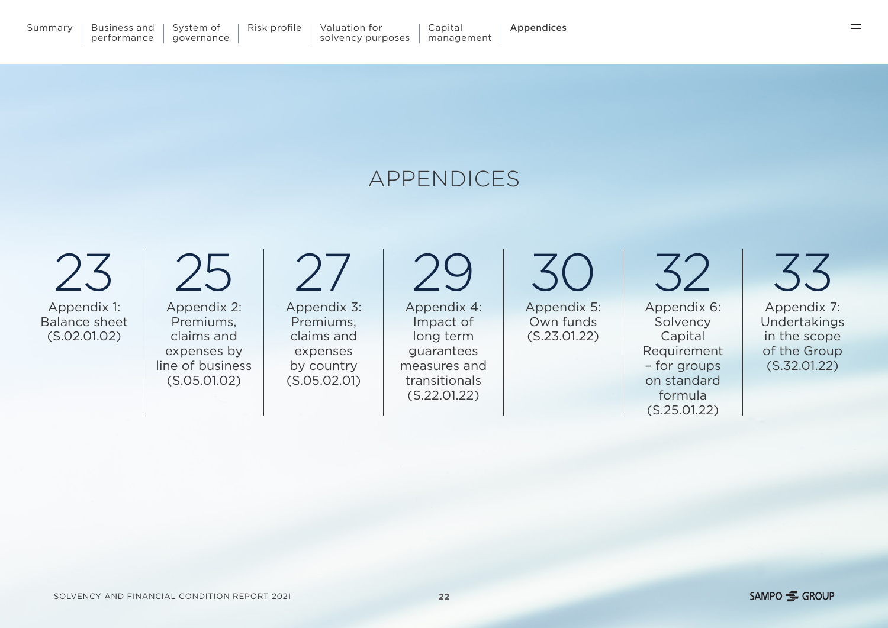<span id="page-21-0"></span>[23](#page-22-0) Appendix 1: Balance sheet (S.02.01.02)

[25](#page-24-0) Appendix 2: Premiums, claims and expenses by line of business (S.05.01.02)

[27](#page-26-0) Appendix 3: Premiums, claims and expenses by country (S.05.02.01)

[29](#page-28-0)

Appendix 4: Impact of long term guarantees measures and transitionals (S.22.01.22)

[30](#page-29-0) Appendix 5: Own funds (S.23.01.22)

[32](#page-31-0) Appendix 6: Solvency Capital Requirement – for groups on standard formula (S.25.01.22)

[33](#page-32-0) Appendix 7: Undertakings in the scope of the Group (S.32.01.22)

# APPENDICES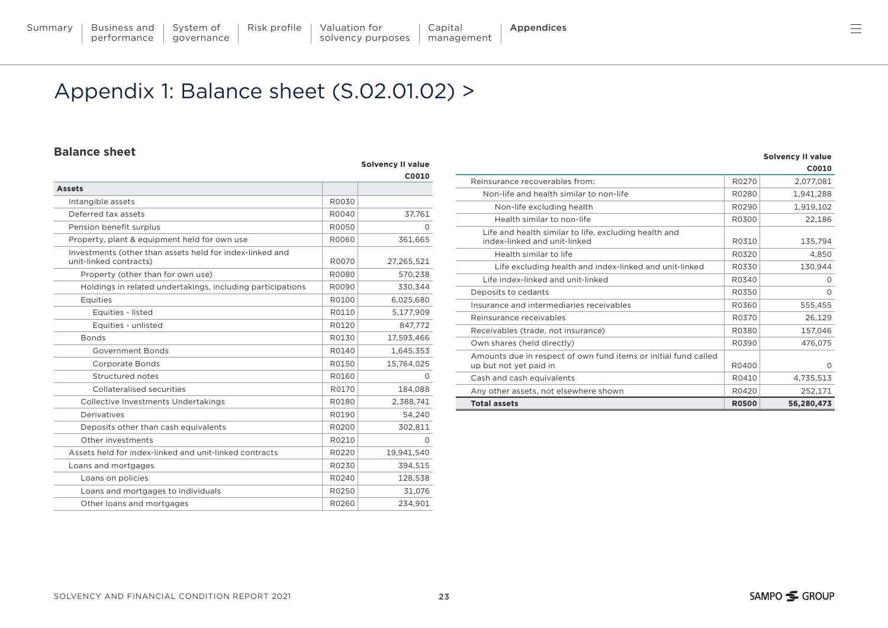# <span id="page-22-0"></span>Appendix 1: Balance sheet (S.02.01.02) >

#### **Balance sheet**

|                                                                                    |       | <b>Solvency II value</b> |
|------------------------------------------------------------------------------------|-------|--------------------------|
|                                                                                    |       | C0010                    |
| <b>Assets</b>                                                                      |       |                          |
| Intangible assets                                                                  | R0030 |                          |
| Deferred tax assets                                                                | R0040 | 37,761                   |
| Pension benefit surplus                                                            | R0050 | $\Omega$                 |
| Property, plant & equipment held for own use                                       | R0060 | 361,665                  |
| Investments (other than assets held for index-linked and<br>unit-linked contracts) | R0070 | 27,265,521               |
| Property (other than for own use)                                                  | R0080 | 570,238                  |
| Holdings in related undertakings, including participations                         | R0090 | 330,344                  |
| Equities                                                                           | R0100 | 6,025,680                |
| Equities - listed                                                                  | R0110 | 5,177,909                |
| Equities - unlisted                                                                | R0120 | 847.772                  |
| <b>Bonds</b>                                                                       | R0130 | 17,593,466               |
| Government Bonds                                                                   | R0140 | 1,645,353                |
| <b>Corporate Bonds</b>                                                             | R0150 | 15,764,025               |
| Structured notes                                                                   | R0160 | 0                        |
| Collateralised securities                                                          | R0170 | 184,088                  |
| Collective Investments Undertakings                                                | R0180 | 2,388,741                |
| Derivatives                                                                        | R0190 | 54,240                   |
| Deposits other than cash equivalents                                               | R0200 | 302,811                  |
| Other investments                                                                  | R0210 | 0                        |
| Assets held for index-linked and unit-linked contracts                             | R0220 | 19,941,540               |
| Loans and mortgages                                                                | R0230 | 394,515                  |
| Loans on policies                                                                  | R0240 | 128,538                  |
| Loans and mortgages to individuals                                                 | R0250 | 31,076                   |
| Other loans and mortgages                                                          | R0260 | 234,901                  |

|                                                                                           |              | C0010      |
|-------------------------------------------------------------------------------------------|--------------|------------|
| Reinsurance recoverables from:                                                            | R0270        | 2,077,081  |
| Non-life and health similar to non-life                                                   | R0280        | 1,941,288  |
| Non-life excluding health                                                                 | R0290        | 1,919,102  |
| Health similar to non-life                                                                | R0300        | 22,186     |
| Life and health similar to life, excluding health and<br>index-linked and unit-linked     | R0310        | 135,794    |
| Health similar to life                                                                    | R0320        | 4,850      |
| Life excluding health and index-linked and unit-linked                                    | R0330        | 130,944    |
| Life index-linked and unit-linked                                                         | R0340        | O          |
| Deposits to cedants                                                                       | R0350        | $\Omega$   |
| Insurance and intermediaries receivables                                                  | R0360        | 555,455    |
| Reinsurance receivables                                                                   | R0370        | 26,129     |
| Receivables (trade, not insurance)                                                        | R0380        | 157,046    |
| Own shares (held directly)                                                                | R0390        | 476,075    |
| Amounts due in respect of own fund items or initial fund called<br>up but not yet paid in | R0400        | $\Omega$   |
| Cash and cash equivalents                                                                 | R0410        | 4,735,513  |
| Any other assets, not elsewhere shown                                                     | R0420        | 252,171    |
| <b>Total assets</b>                                                                       | <b>R0500</b> | 56,280,473 |

**Solvency II value**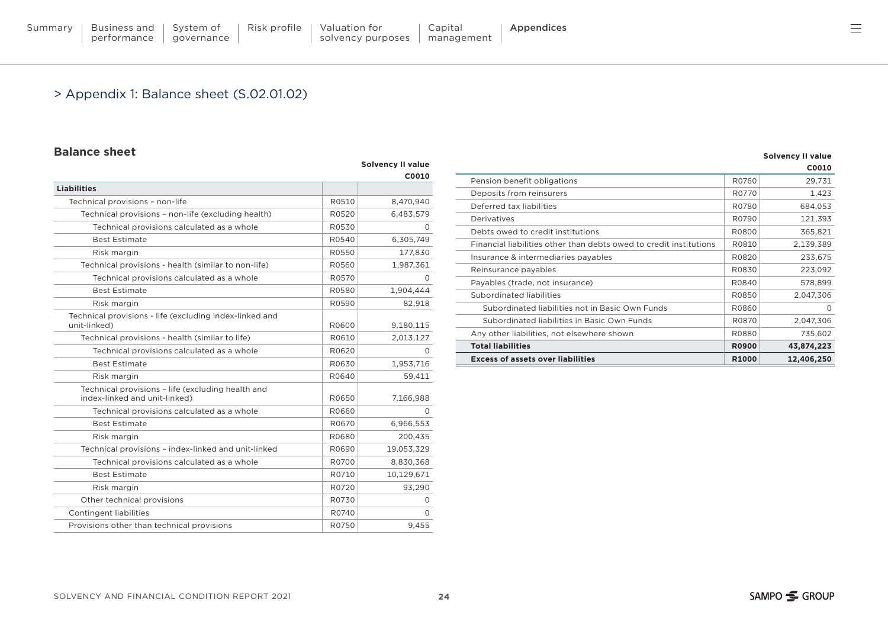[Summary](#page-2-0) | Business and performance

System of [governance](#page-14-0)

#### > Appendix 1: Balance sheet (S.02.01.02)

#### **Balance sheet**

|                                                                                    |       | <b>Solvency II value</b> |
|------------------------------------------------------------------------------------|-------|--------------------------|
|                                                                                    |       | C0010                    |
| <b>Liabilities</b>                                                                 |       |                          |
| Technical provisions - non-life                                                    | R0510 | 8,470,940                |
| Technical provisions - non-life (excluding health)                                 | R0520 | 6,483,579                |
| Technical provisions calculated as a whole                                         | R0530 | 0                        |
| <b>Best Estimate</b>                                                               | R0540 | 6,305,749                |
| Risk margin                                                                        | R0550 | 177,830                  |
| Technical provisions - health (similar to non-life)                                | R0560 | 1,987,361                |
| Technical provisions calculated as a whole                                         | R0570 | 0                        |
| <b>Best Estimate</b>                                                               | R0580 | 1,904,444                |
| Risk margin                                                                        | R0590 | 82,918                   |
| Technical provisions - life (excluding index-linked and<br>unit-linked)            | R0600 | 9,180,115                |
| Technical provisions - health (similar to life)                                    | R0610 | 2,013,127                |
| Technical provisions calculated as a whole                                         | R0620 | $\Omega$                 |
| <b>Best Estimate</b>                                                               | R0630 | 1,953,716                |
| Risk margin                                                                        | R0640 | 59,411                   |
| Technical provisions - life (excluding health and<br>index-linked and unit-linked) | R0650 | 7,166,988                |
| Technical provisions calculated as a whole                                         | R0660 | $\Omega$                 |
| <b>Best Estimate</b>                                                               | R0670 | 6,966,553                |
| Risk margin                                                                        | R0680 | 200,435                  |
| Technical provisions - index-linked and unit-linked                                | R0690 | 19,053,329               |
| Technical provisions calculated as a whole                                         | R0700 | 8,830,368                |
| <b>Best Estimate</b>                                                               | R0710 | 10,129,671               |
| Risk margin                                                                        | R0720 | 93,290                   |
| Other technical provisions                                                         | R0730 | 0                        |
| <b>Contingent liabilities</b>                                                      | R0740 | 0                        |
| Provisions other than technical provisions                                         | R0750 | 9.455                    |

|                                                                    |                   | <b>Solvency II value</b> |
|--------------------------------------------------------------------|-------------------|--------------------------|
|                                                                    |                   | C0010                    |
| Pension benefit obligations                                        | R0760             | 29,731                   |
| Deposits from reinsurers                                           | R0770             | 1,423                    |
| Deferred tax liabilities                                           | R0780             | 684,053                  |
| Derivatives                                                        | R0790             | 121,393                  |
| Debts owed to credit institutions                                  | R0800             | 365,821                  |
| Financial liabilities other than debts owed to credit institutions | R0810             | 2,139,389                |
| Insurance & intermediaries payables                                | R0820             | 233,675                  |
| Reinsurance payables                                               | R0830             | 223,092                  |
| Payables (trade, not insurance)                                    | R0840             | 578,899                  |
| Subordinated liabilities                                           | R0850             | 2,047,306                |
| Subordinated liabilities not in Basic Own Funds                    | R0860             | $\Omega$                 |
| Subordinated liabilities in Basic Own Funds                        | R0870             | 2,047,306                |
| Any other liabilities, not elsewhere shown                         | R0880             | 735,602                  |
| <b>Total liabilities</b>                                           | <b>R0900</b>      | 43,874,223               |
| <b>Excess of assets over liabilities</b>                           | R <sub>1000</sub> | 12,406,250               |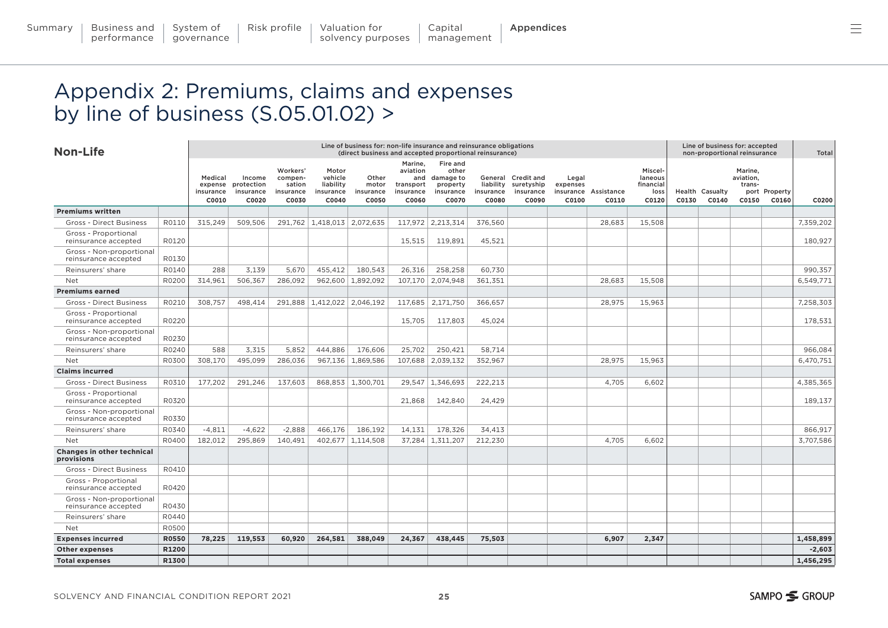# <span id="page-24-0"></span>Appendix 2: Premiums, claims and expenses by line of business (S.05.01.02) >

| <b>Non-Life</b>                                  |              | Line of business for: non-life insurance and reinsurance obligations<br>(direct business and accepted proportional reinsurance) |                                            |                                                     |                                                     |                                      |                                                        |                                                                      |                                 |                                                        |                            |                               | Line of business for: accepted<br>non-proportional reinsurance |       |                                 |                                         | Total                  |           |
|--------------------------------------------------|--------------|---------------------------------------------------------------------------------------------------------------------------------|--------------------------------------------|-----------------------------------------------------|-----------------------------------------------------|--------------------------------------|--------------------------------------------------------|----------------------------------------------------------------------|---------------------------------|--------------------------------------------------------|----------------------------|-------------------------------|----------------------------------------------------------------|-------|---------------------------------|-----------------------------------------|------------------------|-----------|
|                                                  |              | Medical<br>expense<br>insurance<br>C0010                                                                                        | Income<br>protection<br>insurance<br>C0020 | Workers'<br>compen-<br>sation<br>insurance<br>C0030 | Motor<br>vehicle<br>liability<br>insurance<br>C0040 | Other<br>motor<br>insurance<br>C0050 | Marine.<br>aviation<br>transport<br>insurance<br>C0060 | Fire and<br>other<br>and damage to<br>property<br>insurance<br>C0070 | liability<br>insurance<br>C0080 | General Credit and<br>suretyship<br>insurance<br>C0090 | Legal<br>expenses<br>C0100 | insurance Assistance<br>C0110 | Miscel-<br>laneous<br>financial<br>loss<br>C0120               | C0130 | <b>Health Casualty</b><br>C0140 | Marine.<br>aviation,<br>trans-<br>C0150 | port Property<br>C0160 | C0200     |
| <b>Premiums written</b>                          |              |                                                                                                                                 |                                            |                                                     |                                                     |                                      |                                                        |                                                                      |                                 |                                                        |                            |                               |                                                                |       |                                 |                                         |                        |           |
| <b>Gross - Direct Business</b>                   | R0110        | 315,249                                                                                                                         | 509,506                                    |                                                     | 291,762 1,418,013 2,072,635                         |                                      |                                                        | 117,972 2,213,314                                                    | 376.560                         |                                                        |                            | 28,683                        | 15,508                                                         |       |                                 |                                         |                        | 7,359,202 |
| Gross - Proportional<br>reinsurance accepted     | R0120        |                                                                                                                                 |                                            |                                                     |                                                     |                                      | 15,515                                                 | 119,891                                                              | 45,521                          |                                                        |                            |                               |                                                                |       |                                 |                                         |                        | 180,927   |
| Gross - Non-proportional<br>reinsurance accepted | R0130        |                                                                                                                                 |                                            |                                                     |                                                     |                                      |                                                        |                                                                      |                                 |                                                        |                            |                               |                                                                |       |                                 |                                         |                        |           |
| Reinsurers' share                                | R0140        | 288                                                                                                                             | 3,139                                      | 5,670                                               | 455,412                                             | 180,543                              | 26,316                                                 | 258,258                                                              | 60,730                          |                                                        |                            |                               |                                                                |       |                                 |                                         |                        | 990,357   |
| Net                                              | R0200        | 314,961                                                                                                                         | 506,367                                    | 286,092                                             | 962,600                                             | 1,892,092                            |                                                        | 107,170 2,074,948                                                    | 361.351                         |                                                        |                            | 28,683                        | 15,508                                                         |       |                                 |                                         |                        | 6,549,771 |
| <b>Premiums earned</b>                           |              |                                                                                                                                 |                                            |                                                     |                                                     |                                      |                                                        |                                                                      |                                 |                                                        |                            |                               |                                                                |       |                                 |                                         |                        |           |
| <b>Gross - Direct Business</b>                   | R0210        | 308,757                                                                                                                         | 498,414                                    |                                                     | 291,888 1,412,022                                   | 2,046,192                            |                                                        | 117,685 2,171,750                                                    | 366.657                         |                                                        |                            | 28,975                        | 15,963                                                         |       |                                 |                                         |                        | 7.258.303 |
| Gross - Proportional<br>reinsurance accepted     | R0220        |                                                                                                                                 |                                            |                                                     |                                                     |                                      | 15.705                                                 | 117.803                                                              | 45.024                          |                                                        |                            |                               |                                                                |       |                                 |                                         |                        | 178.531   |
| Gross - Non-proportional<br>reinsurance accepted | R0230        |                                                                                                                                 |                                            |                                                     |                                                     |                                      |                                                        |                                                                      |                                 |                                                        |                            |                               |                                                                |       |                                 |                                         |                        |           |
| Reinsurers' share                                | R0240        | 588                                                                                                                             | 3.315                                      | 5.852                                               | 444.886                                             | 176.606                              | 25.702                                                 | 250.421                                                              | 58.714                          |                                                        |                            |                               |                                                                |       |                                 |                                         |                        | 966.084   |
| Net                                              | R0300        | 308.170                                                                                                                         | 495.099                                    | 286.036                                             | 967.136                                             | 1.869.586                            | 107.688                                                | 2.039.132                                                            | 352.967                         |                                                        |                            | 28.975                        | 15.963                                                         |       |                                 |                                         |                        | 6.470.751 |
| <b>Claims incurred</b>                           |              |                                                                                                                                 |                                            |                                                     |                                                     |                                      |                                                        |                                                                      |                                 |                                                        |                            |                               |                                                                |       |                                 |                                         |                        |           |
| <b>Gross - Direct Business</b>                   | R0310        | 177,202                                                                                                                         | 291,246                                    | 137.603                                             |                                                     | 868,853 1,300,701                    |                                                        | 29.547 1.346.693                                                     | 222,213                         |                                                        |                            | 4,705                         | 6,602                                                          |       |                                 |                                         |                        | 4,385,365 |
| Gross - Proportional<br>reinsurance accepted     | R0320        |                                                                                                                                 |                                            |                                                     |                                                     |                                      | 21,868                                                 | 142,840                                                              | 24,429                          |                                                        |                            |                               |                                                                |       |                                 |                                         |                        | 189.137   |
| Gross - Non-proportional<br>reinsurance accepted | R0330        |                                                                                                                                 |                                            |                                                     |                                                     |                                      |                                                        |                                                                      |                                 |                                                        |                            |                               |                                                                |       |                                 |                                         |                        |           |
| Reinsurers' share                                | R0340        | $-4,811$                                                                                                                        | $-4,622$                                   | $-2,888$                                            | 466,176                                             | 186,192                              | 14,131                                                 | 178,326                                                              | 34,413                          |                                                        |                            |                               |                                                                |       |                                 |                                         |                        | 866,917   |
| Net                                              | R0400        | 182.012                                                                                                                         | 295.869                                    | 140.491                                             | 402.677                                             | 1.114.508                            |                                                        | 37.284 1.311.207                                                     | 212.230                         |                                                        |                            | 4.705                         | 6.602                                                          |       |                                 |                                         |                        | 3.707.586 |
| Changes in other technical<br>provisions         |              |                                                                                                                                 |                                            |                                                     |                                                     |                                      |                                                        |                                                                      |                                 |                                                        |                            |                               |                                                                |       |                                 |                                         |                        |           |
| <b>Gross - Direct Business</b>                   | R0410        |                                                                                                                                 |                                            |                                                     |                                                     |                                      |                                                        |                                                                      |                                 |                                                        |                            |                               |                                                                |       |                                 |                                         |                        |           |
| Gross - Proportional<br>reinsurance accepted     | R0420        |                                                                                                                                 |                                            |                                                     |                                                     |                                      |                                                        |                                                                      |                                 |                                                        |                            |                               |                                                                |       |                                 |                                         |                        |           |
| Gross - Non-proportional<br>reinsurance accepted | R0430        |                                                                                                                                 |                                            |                                                     |                                                     |                                      |                                                        |                                                                      |                                 |                                                        |                            |                               |                                                                |       |                                 |                                         |                        |           |
| Reinsurers' share                                | R0440        |                                                                                                                                 |                                            |                                                     |                                                     |                                      |                                                        |                                                                      |                                 |                                                        |                            |                               |                                                                |       |                                 |                                         |                        |           |
| Net                                              | R0500        |                                                                                                                                 |                                            |                                                     |                                                     |                                      |                                                        |                                                                      |                                 |                                                        |                            |                               |                                                                |       |                                 |                                         |                        |           |
| <b>Expenses incurred</b>                         | <b>R0550</b> | 78,225                                                                                                                          | 119,553                                    | 60,920                                              | 264,581                                             | 388,049                              | 24,367                                                 | 438,445                                                              | 75,503                          |                                                        |                            | 6,907                         | 2,347                                                          |       |                                 |                                         |                        | 1,458,899 |
| <b>Other expenses</b>                            | R1200        |                                                                                                                                 |                                            |                                                     |                                                     |                                      |                                                        |                                                                      |                                 |                                                        |                            |                               |                                                                |       |                                 |                                         |                        | $-2,603$  |
| <b>Total expenses</b>                            | R1300        |                                                                                                                                 |                                            |                                                     |                                                     |                                      |                                                        |                                                                      |                                 |                                                        |                            |                               |                                                                |       |                                 |                                         |                        | 1,456,295 |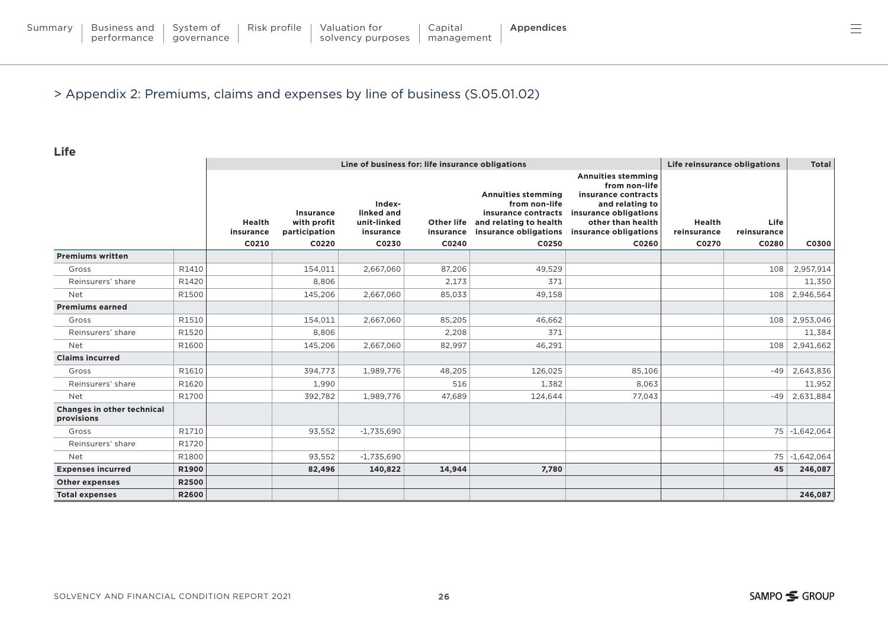System of [governance](#page-14-0)

#### > Appendix 2: Premiums, claims and expenses by line of business (S.05.01.02)

**Life**

|                                                 |              |                            | Life reinsurance obligations                     | <b>Total</b>                                     |                         |                                                                                                                      |                                                                                                                                                             |                       |                     |               |
|-------------------------------------------------|--------------|----------------------------|--------------------------------------------------|--------------------------------------------------|-------------------------|----------------------------------------------------------------------------------------------------------------------|-------------------------------------------------------------------------------------------------------------------------------------------------------------|-----------------------|---------------------|---------------|
|                                                 |              | <b>Health</b><br>insurance | <b>Insurance</b><br>with profit<br>participation | Index-<br>linked and<br>unit-linked<br>insurance | Other life<br>insurance | <b>Annuities stemming</b><br>from non-life<br>insurance contracts<br>and relating to health<br>insurance obligations | <b>Annuities stemming</b><br>from non-life<br>insurance contracts<br>and relating to<br>insurance obligations<br>other than health<br>insurance obligations | Health<br>reinsurance | Life<br>reinsurance |               |
| <b>Premiums written</b>                         |              | C0210                      | C0220                                            | C0230                                            | C0240                   | C0250                                                                                                                | C0260                                                                                                                                                       | C0270                 | C0280               | C0300         |
| Gross                                           | R1410        |                            | 154.011                                          | 2,667,060                                        | 87,206                  | 49.529                                                                                                               |                                                                                                                                                             |                       | 108                 | 2,957,914     |
| Reinsurers' share                               | R1420        |                            | 8,806                                            |                                                  | 2,173                   | 371                                                                                                                  |                                                                                                                                                             |                       |                     | 11,350        |
| <b>Net</b>                                      | R1500        |                            | 145,206                                          | 2,667,060                                        | 85,033                  | 49,158                                                                                                               |                                                                                                                                                             |                       |                     | 108 2,946,564 |
| <b>Premiums earned</b>                          |              |                            |                                                  |                                                  |                         |                                                                                                                      |                                                                                                                                                             |                       |                     |               |
| Gross                                           | R1510        |                            | 154.011                                          | 2,667,060                                        | 85.205                  | 46.662                                                                                                               |                                                                                                                                                             |                       | 108                 | 2,953,046     |
| Reinsurers' share                               | R1520        |                            | 8,806                                            |                                                  | 2,208                   | 371                                                                                                                  |                                                                                                                                                             |                       |                     | 11,384        |
| <b>Net</b>                                      | R1600        |                            | 145,206                                          | 2,667,060                                        | 82,997                  | 46,291                                                                                                               |                                                                                                                                                             |                       | 108                 | 2,941,662     |
| <b>Claims incurred</b>                          |              |                            |                                                  |                                                  |                         |                                                                                                                      |                                                                                                                                                             |                       |                     |               |
| Gross                                           | R1610        |                            | 394,773                                          | 1,989,776                                        | 48,205                  | 126,025                                                                                                              | 85,106                                                                                                                                                      |                       | $-49$               | 2,643,836     |
| Reinsurers' share                               | R1620        |                            | 1,990                                            |                                                  | 516                     | 1,382                                                                                                                | 8,063                                                                                                                                                       |                       |                     | 11,952        |
| <b>Net</b>                                      | R1700        |                            | 392,782                                          | 1,989,776                                        | 47.689                  | 124,644                                                                                                              | 77,043                                                                                                                                                      |                       | $-49$               | 2,631,884     |
| <b>Changes in other technical</b><br>provisions |              |                            |                                                  |                                                  |                         |                                                                                                                      |                                                                                                                                                             |                       |                     |               |
| Gross                                           | R1710        |                            | 93,552                                           | $-1,735,690$                                     |                         |                                                                                                                      |                                                                                                                                                             |                       |                     | 75 -1,642,064 |
| Reinsurers' share                               | R1720        |                            |                                                  |                                                  |                         |                                                                                                                      |                                                                                                                                                             |                       |                     |               |
| <b>Net</b>                                      | R1800        |                            | 93,552                                           | $-1,735,690$                                     |                         |                                                                                                                      |                                                                                                                                                             |                       |                     | 75 -1,642,064 |
| <b>Expenses incurred</b>                        | R1900        |                            | 82,496                                           | 140,822                                          | 14,944                  | 7.780                                                                                                                |                                                                                                                                                             |                       | 45                  | 246,087       |
| <b>Other expenses</b>                           | R2500        |                            |                                                  |                                                  |                         |                                                                                                                      |                                                                                                                                                             |                       |                     |               |
| <b>Total expenses</b>                           | <b>R2600</b> |                            |                                                  |                                                  |                         |                                                                                                                      |                                                                                                                                                             |                       |                     | 246,087       |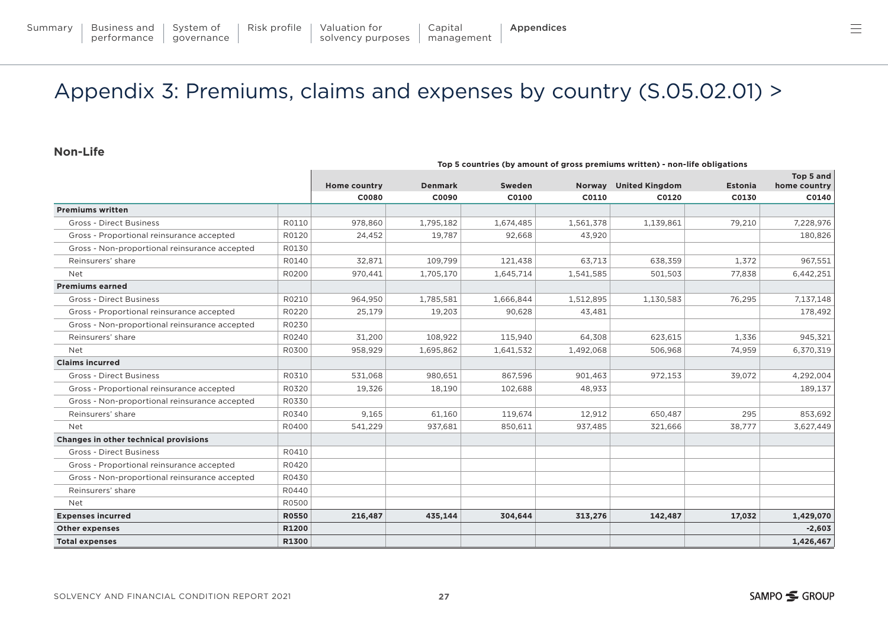# <span id="page-26-0"></span>Appendix 3: Premiums, claims and expenses by country (S.05.02.01) >

#### **Non-Life**

|                                               |              |                     |                |           |           | ing a committed (by uniquity of gross premiums written) from me opinguitons |                |                           |
|-----------------------------------------------|--------------|---------------------|----------------|-----------|-----------|-----------------------------------------------------------------------------|----------------|---------------------------|
|                                               |              | <b>Home country</b> | <b>Denmark</b> | Sweden    |           | Norway United Kingdom                                                       | <b>Estonia</b> | Top 5 and<br>home country |
|                                               |              | C0080               | C0090          | C0100     | C0110     | C0120                                                                       | C0130          | C0140                     |
| <b>Premiums written</b>                       |              |                     |                |           |           |                                                                             |                |                           |
| <b>Gross - Direct Business</b>                | R0110        | 978,860             | 1,795,182      | 1,674,485 | 1,561,378 | 1,139,861                                                                   | 79,210         | 7,228,976                 |
| Gross - Proportional reinsurance accepted     | R0120        | 24.452              | 19.787         | 92.668    | 43,920    |                                                                             |                | 180,826                   |
| Gross - Non-proportional reinsurance accepted | R0130        |                     |                |           |           |                                                                             |                |                           |
| Reinsurers' share                             | R0140        | 32,871              | 109,799        | 121,438   | 63,713    | 638,359                                                                     | 1,372          | 967,551                   |
| Net                                           | R0200        | 970,441             | 1,705,170      | 1,645,714 | 1,541,585 | 501,503                                                                     | 77,838         | 6,442,251                 |
| <b>Premiums earned</b>                        |              |                     |                |           |           |                                                                             |                |                           |
| <b>Gross - Direct Business</b>                | R0210        | 964.950             | 1,785,581      | 1,666,844 | 1,512,895 | 1,130,583                                                                   | 76,295         | 7,137,148                 |
| Gross - Proportional reinsurance accepted     | R0220        | 25,179              | 19,203         | 90,628    | 43,481    |                                                                             |                | 178,492                   |
| Gross - Non-proportional reinsurance accepted | R0230        |                     |                |           |           |                                                                             |                |                           |
| Reinsurers' share                             | R0240        | 31,200              | 108,922        | 115,940   | 64,308    | 623,615                                                                     | 1,336          | 945,321                   |
| <b>Net</b>                                    | R0300        | 958,929             | 1,695,862      | 1,641,532 | 1,492,068 | 506,968                                                                     | 74,959         | 6,370,319                 |
| <b>Claims incurred</b>                        |              |                     |                |           |           |                                                                             |                |                           |
| <b>Gross - Direct Business</b>                | R0310        | 531,068             | 980,651        | 867,596   | 901,463   | 972,153                                                                     | 39,072         | 4,292,004                 |
| Gross - Proportional reinsurance accepted     | R0320        | 19,326              | 18,190         | 102,688   | 48,933    |                                                                             |                | 189,137                   |
| Gross - Non-proportional reinsurance accepted | R0330        |                     |                |           |           |                                                                             |                |                           |
| Reinsurers' share                             | R0340        | 9,165               | 61,160         | 119,674   | 12,912    | 650.487                                                                     | 295            | 853,692                   |
| Net                                           | R0400        | 541,229             | 937,681        | 850,611   | 937,485   | 321,666                                                                     | 38,777         | 3,627,449                 |
| Changes in other technical provisions         |              |                     |                |           |           |                                                                             |                |                           |
| <b>Gross - Direct Business</b>                | R0410        |                     |                |           |           |                                                                             |                |                           |
| Gross - Proportional reinsurance accepted     | R0420        |                     |                |           |           |                                                                             |                |                           |
| Gross - Non-proportional reinsurance accepted | R0430        |                     |                |           |           |                                                                             |                |                           |
| Reinsurers' share                             | R0440        |                     |                |           |           |                                                                             |                |                           |
| Net                                           | R0500        |                     |                |           |           |                                                                             |                |                           |
| <b>Expenses incurred</b>                      | <b>R0550</b> | 216,487             | 435,144        | 304,644   | 313,276   | 142,487                                                                     | 17,032         | 1,429,070                 |
| <b>Other expenses</b>                         | R1200        |                     |                |           |           |                                                                             |                | $-2,603$                  |
| <b>Total expenses</b>                         | R1300        |                     |                |           |           |                                                                             |                | 1,426,467                 |

**Top 5 countries (by amount of gross premiums written) - non-life obligations**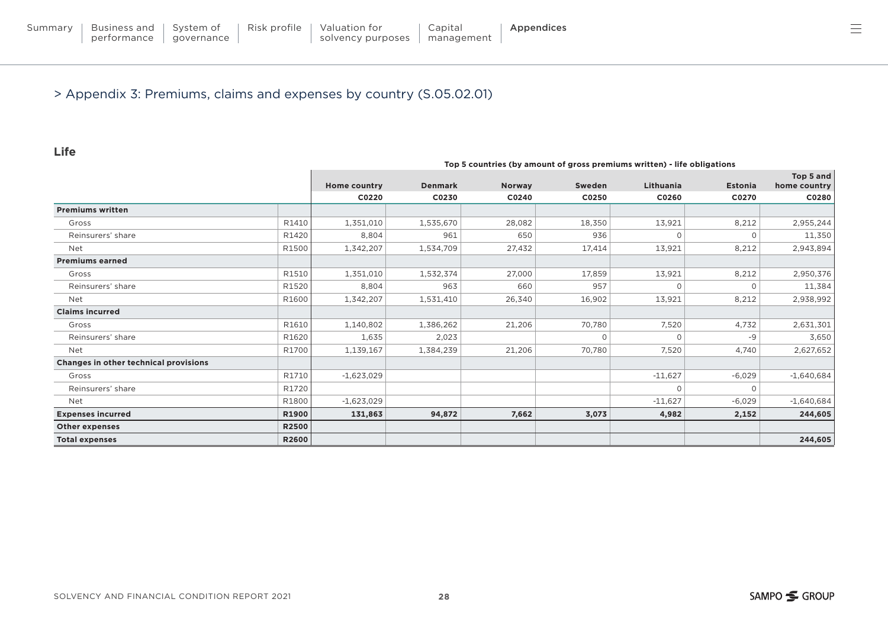#### > Appendix 3: Premiums, claims and expenses by country (S.05.02.01)

#### **Life**

|                                       |              |                     |                |               | Top 5 countries (by amount of gross premiums written) - life obligations |                  |          |                           |
|---------------------------------------|--------------|---------------------|----------------|---------------|--------------------------------------------------------------------------|------------------|----------|---------------------------|
|                                       |              | <b>Home country</b> | <b>Denmark</b> | <b>Norway</b> | Sweden                                                                   | <b>Lithuania</b> | Estonia  | Top 5 and<br>home country |
|                                       |              | C0220               | C0230          | C0240         | C0250                                                                    | C0260            | C0270    | C0280                     |
| <b>Premiums written</b>               |              |                     |                |               |                                                                          |                  |          |                           |
| Gross                                 | R1410        | 1,351,010           | 1,535,670      | 28,082        | 18,350                                                                   | 13,921           | 8,212    | 2,955,244                 |
| Reinsurers' share                     | R1420        | 8,804               | 961            | 650           | 936                                                                      |                  | 0        | 11,350                    |
| Net                                   | R1500        | 1,342,207           | 1,534,709      | 27,432        | 17,414                                                                   | 13,921           | 8,212    | 2,943,894                 |
| <b>Premiums earned</b>                |              |                     |                |               |                                                                          |                  |          |                           |
| Gross                                 | R1510        | 1,351,010           | 1,532,374      | 27,000        | 17,859                                                                   | 13,921           | 8,212    | 2,950,376                 |
| Reinsurers' share                     | R1520        | 8,804               | 963            | 660           | 957                                                                      |                  |          | 11,384                    |
| <b>Net</b>                            | R1600        | 1,342,207           | 1,531,410      | 26,340        | 16,902                                                                   | 13,921           | 8,212    | 2,938,992                 |
| <b>Claims incurred</b>                |              |                     |                |               |                                                                          |                  |          |                           |
| Gross                                 | R1610        | 1,140,802           | 1,386,262      | 21,206        | 70,780                                                                   | 7,520            | 4,732    | 2,631,301                 |
| Reinsurers' share                     | R1620        | 1,635               | 2,023          |               | $\Omega$                                                                 |                  | -9       | 3,650                     |
| Net                                   | R1700        | 1,139,167           | 1,384,239      | 21,206        | 70,780                                                                   | 7,520            | 4,740    | 2,627,652                 |
| Changes in other technical provisions |              |                     |                |               |                                                                          |                  |          |                           |
| Gross                                 | R1710        | $-1,623,029$        |                |               |                                                                          | $-11,627$        | $-6,029$ | $-1,640,684$              |
| Reinsurers' share                     | R1720        |                     |                |               |                                                                          |                  | 0        |                           |
| Net                                   | R1800        | $-1,623,029$        |                |               |                                                                          | $-11,627$        | $-6,029$ | $-1,640,684$              |
| <b>Expenses incurred</b>              | <b>R1900</b> | 131,863             | 94,872         | 7,662         | 3,073                                                                    | 4,982            | 2,152    | 244,605                   |
| <b>Other expenses</b>                 | <b>R2500</b> |                     |                |               |                                                                          |                  |          |                           |
| <b>Total expenses</b>                 | <b>R2600</b> |                     |                |               |                                                                          |                  |          | 244,605                   |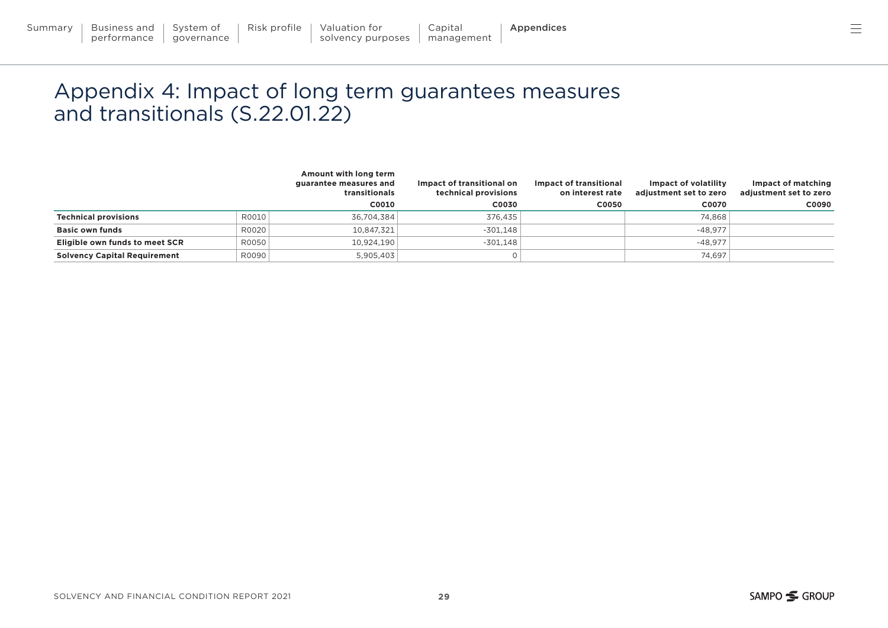# <span id="page-28-0"></span>Appendix 4: Impact of long term guarantees measures and transitionals (S.22.01.22)

|                                     |       | Amount with long term<br>guarantee measures and<br>transitionals | Impact of transitional on<br>technical provisions | Impact of transitional<br>on interest rate | Impact of volatility<br>adjustment set to zero | Impact of matching<br>adjustment set to zero |
|-------------------------------------|-------|------------------------------------------------------------------|---------------------------------------------------|--------------------------------------------|------------------------------------------------|----------------------------------------------|
|                                     |       | C0010                                                            | C0030                                             | C0050                                      | C0070                                          | C0090                                        |
| <b>Technical provisions</b>         | R0010 | 36,704,384                                                       | 376,435                                           |                                            | 74,868                                         |                                              |
| <b>Basic own funds</b>              | R0020 | 10,847,321                                                       | $-301,148$                                        |                                            | $-48.977$                                      |                                              |
| Eligible own funds to meet SCR      | R0050 | 10,924,190                                                       | $-301.148$                                        |                                            | $-48.977$                                      |                                              |
| <b>Solvency Capital Requirement</b> | R0090 | 5,905,403                                                        |                                                   |                                            | 74.697                                         |                                              |

[management](#page-19-0)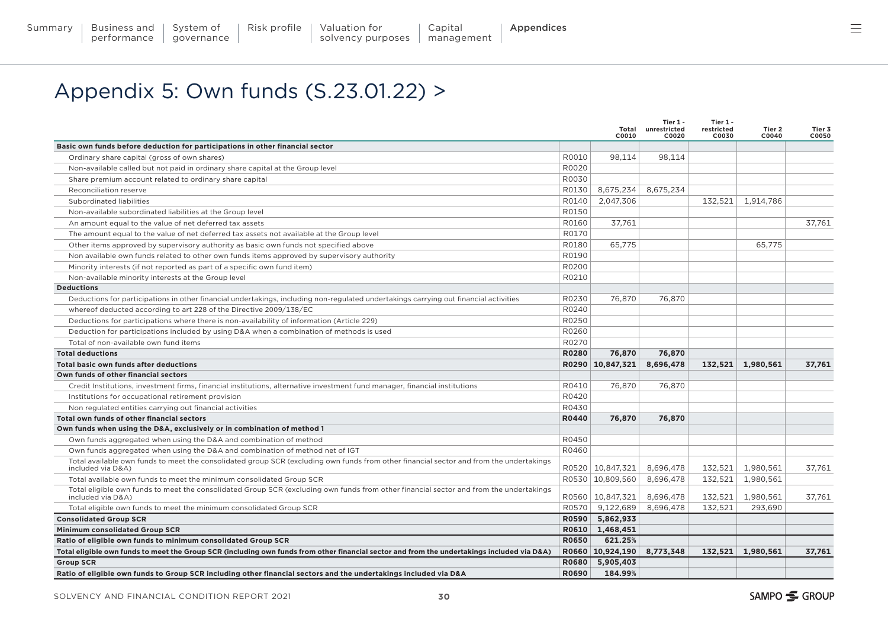# <span id="page-29-0"></span>Appendix 5: Own funds (S.23.01.22) >

|                                                                                                                                                              |              | Total<br>C0010     | Tier 1 -<br>unrestricted<br>C0020 | Tier 1 -<br>restricted<br>C0030 | Tier 2<br>C0040   | Tier 3<br>C0050 |
|--------------------------------------------------------------------------------------------------------------------------------------------------------------|--------------|--------------------|-----------------------------------|---------------------------------|-------------------|-----------------|
| Basic own funds before deduction for participations in other financial sector                                                                                |              |                    |                                   |                                 |                   |                 |
| Ordinary share capital (gross of own shares)                                                                                                                 | R0010        | 98.114             | 98.114                            |                                 |                   |                 |
| Non-available called but not paid in ordinary share capital at the Group level                                                                               | R0020        |                    |                                   |                                 |                   |                 |
| Share premium account related to ordinary share capital                                                                                                      | R0030        |                    |                                   |                                 |                   |                 |
| Reconciliation reserve                                                                                                                                       | R0130        | 8,675,234          | 8,675,234                         |                                 |                   |                 |
| Subordinated liabilities                                                                                                                                     | R0140        | 2.047.306          |                                   | 132,521                         | 1,914,786         |                 |
| Non-available subordinated liabilities at the Group level                                                                                                    | R0150        |                    |                                   |                                 |                   |                 |
| An amount equal to the value of net deferred tax assets                                                                                                      | R0160        | 37,761             |                                   |                                 |                   | 37.761          |
| The amount equal to the value of net deferred tax assets not available at the Group level                                                                    | R0170        |                    |                                   |                                 |                   |                 |
| Other items approved by supervisory authority as basic own funds not specified above                                                                         | R0180        | 65,775             |                                   |                                 | 65,775            |                 |
| Non available own funds related to other own funds items approved by supervisory authority                                                                   | R0190        |                    |                                   |                                 |                   |                 |
| Minority interests (if not reported as part of a specific own fund item)                                                                                     | R0200        |                    |                                   |                                 |                   |                 |
| Non-available minority interests at the Group level                                                                                                          | R0210        |                    |                                   |                                 |                   |                 |
| <b>Deductions</b>                                                                                                                                            |              |                    |                                   |                                 |                   |                 |
| Deductions for participations in other financial undertakings, including non-regulated undertakings carrying out financial activities                        | R0230        | 76.870             | 76.870                            |                                 |                   |                 |
| whereof deducted according to art 228 of the Directive 2009/138/EC                                                                                           | R0240        |                    |                                   |                                 |                   |                 |
| Deductions for participations where there is non-availability of information (Article 229)                                                                   | R0250        |                    |                                   |                                 |                   |                 |
| Deduction for participations included by using D&A when a combination of methods is used                                                                     | R0260        |                    |                                   |                                 |                   |                 |
| Total of non-available own fund items                                                                                                                        | R0270        |                    |                                   |                                 |                   |                 |
| <b>Total deductions</b>                                                                                                                                      | <b>R0280</b> | 76,870             | 76,870                            |                                 |                   |                 |
| Total basic own funds after deductions                                                                                                                       |              | R0290 10,847,321   | 8,696,478                         |                                 | 132,521 1,980,561 | 37,761          |
| Own funds of other financial sectors                                                                                                                         |              |                    |                                   |                                 |                   |                 |
| Credit Institutions, investment firms, financial institutions, alternative investment fund manager, financial institutions                                   | R0410        | 76,870             | 76,870                            |                                 |                   |                 |
| Institutions for occupational retirement provision                                                                                                           | R0420        |                    |                                   |                                 |                   |                 |
| Non regulated entities carrying out financial activities                                                                                                     | R0430        |                    |                                   |                                 |                   |                 |
| Total own funds of other financial sectors                                                                                                                   | R0440        | 76,870             | 76,870                            |                                 |                   |                 |
| Own funds when using the D&A, exclusively or in combination of method 1                                                                                      |              |                    |                                   |                                 |                   |                 |
| Own funds aggregated when using the D&A and combination of method                                                                                            | R0450        |                    |                                   |                                 |                   |                 |
| Own funds aggregated when using the D&A and combination of method net of IGT                                                                                 | R0460        |                    |                                   |                                 |                   |                 |
| Total available own funds to meet the consolidated group SCR (excluding own funds from other financial sector and from the undertakings<br>included via D&A) |              | R0520   10.847.321 | 8.696.478                         |                                 | 132.521 1.980.561 | 37.761          |
| Total available own funds to meet the minimum consolidated Group SCR                                                                                         |              | R0530   10,809,560 | 8,696,478                         | 132,521                         | 1,980,561         |                 |
| Total eligible own funds to meet the consolidated Group SCR (excluding own funds from other financial sector and from the undertakings<br>included via D&A)  |              | R0560   10,847,321 | 8,696,478                         |                                 | 132,521 1,980,561 | 37,761          |
| Total eligible own funds to meet the minimum consolidated Group SCR                                                                                          | R0570        | 9,122,689          | 8,696,478                         | 132,521                         | 293.690           |                 |
| <b>Consolidated Group SCR</b>                                                                                                                                |              | R0590 5,862,933    |                                   |                                 |                   |                 |
| Minimum consolidated Group SCR                                                                                                                               |              | R0610 1.468.451    |                                   |                                 |                   |                 |
| Ratio of eligible own funds to minimum consolidated Group SCR                                                                                                | <b>R0650</b> | 621.25%            |                                   |                                 |                   |                 |
| Total eligible own funds to meet the Group SCR (including own funds from other financial sector and from the undertakings included via D&A)                  |              | R0660 10,924,190   | 8,773,348                         |                                 | 132,521 1,980,561 | 37.761          |
| <b>Group SCR</b>                                                                                                                                             |              | R0680 5,905,403    |                                   |                                 |                   |                 |
| Ratio of eligible own funds to Group SCR including other financial sectors and the undertakings included via D&A                                             | <b>R0690</b> | 184.99%            |                                   |                                 |                   |                 |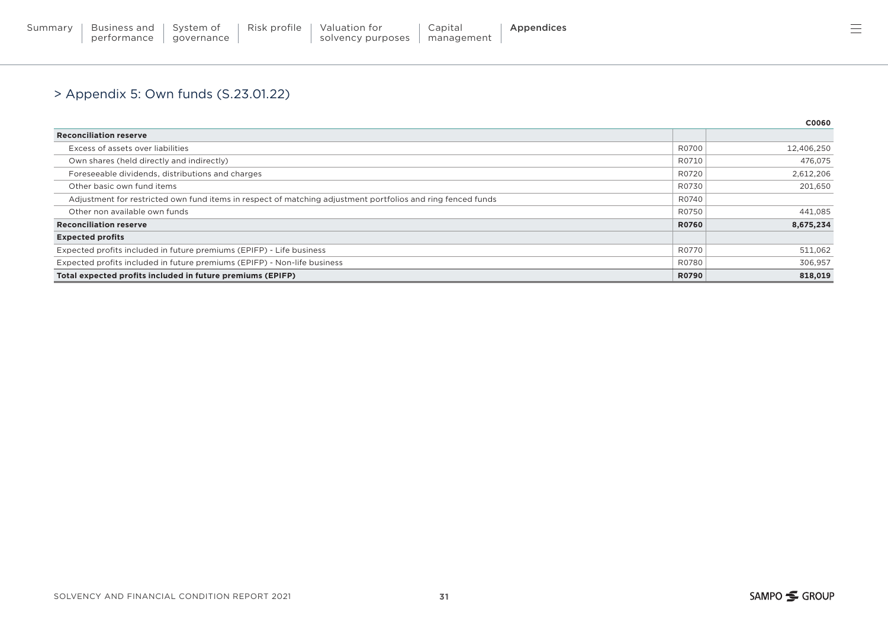#### > Appendix 5: Own funds (S.23.01.22)

|                                                                                                             |              | C0060      |
|-------------------------------------------------------------------------------------------------------------|--------------|------------|
| <b>Reconciliation reserve</b>                                                                               |              |            |
| Excess of assets over liabilities                                                                           | R0700        | 12,406,250 |
| Own shares (held directly and indirectly)                                                                   | R0710        | 476,075    |
| Foreseeable dividends, distributions and charges                                                            | R0720        | 2,612,206  |
| Other basic own fund items                                                                                  | R0730        | 201,650    |
| Adjustment for restricted own fund items in respect of matching adjustment portfolios and ring fenced funds | R0740        |            |
| Other non available own funds                                                                               | R0750        | 441,085    |
| <b>Reconciliation reserve</b>                                                                               | <b>R0760</b> | 8,675,234  |
| <b>Expected profits</b>                                                                                     |              |            |
| Expected profits included in future premiums (EPIFP) - Life business                                        | R0770        | 511,062    |
| Expected profits included in future premiums (EPIFP) - Non-life business                                    | R0780        | 306,957    |
| Total expected profits included in future premiums (EPIFP)                                                  | <b>R0790</b> | 818,019    |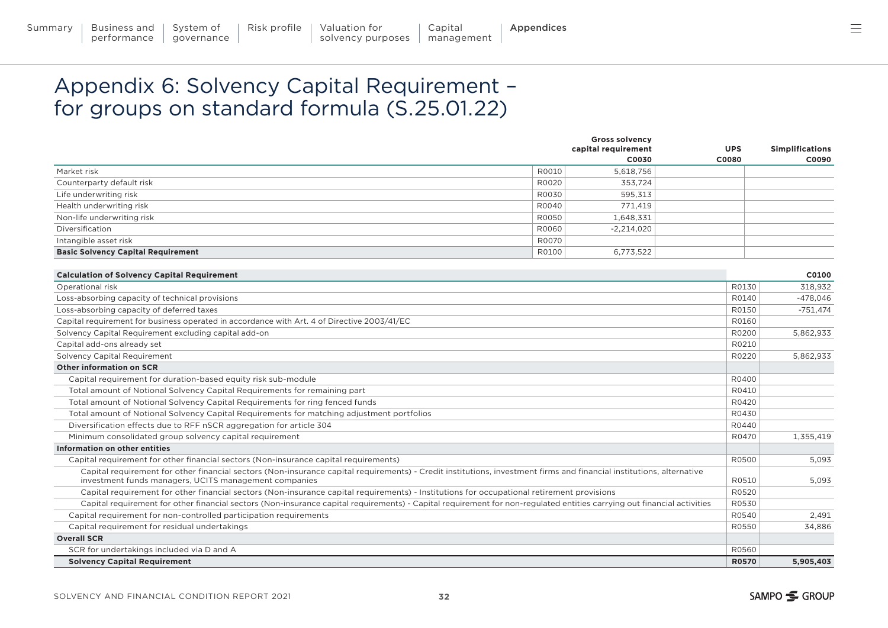## <span id="page-31-0"></span>Appendix 6: Solvency Capital Requirement – for groups on standard formula (S.25.01.22)

|                                           |       | <b>Gross solvency</b><br>capital requirement | <b>UPS</b> | <b>Simplifications</b> |
|-------------------------------------------|-------|----------------------------------------------|------------|------------------------|
|                                           |       | C0030                                        | C0080      | C0090                  |
| Market risk                               | R0010 | 5,618,756                                    |            |                        |
| Counterparty default risk                 | R0020 | 353,724                                      |            |                        |
| Life underwriting risk                    | R0030 | 595,313                                      |            |                        |
| Health underwriting risk                  | R0040 | 771,419                                      |            |                        |
| Non-life underwriting risk                | R0050 | 1,648,331                                    |            |                        |
| Diversification                           | R0060 | $-2,214,020$                                 |            |                        |
| Intangible asset risk                     | R0070 |                                              |            |                        |
| <b>Basic Solvency Capital Requirement</b> | R0100 | 6,773,522                                    |            |                        |

| <b>Calculation of Solvency Capital Requirement</b>                                                                                                                                                                            |              | C0100      |
|-------------------------------------------------------------------------------------------------------------------------------------------------------------------------------------------------------------------------------|--------------|------------|
| Operational risk                                                                                                                                                                                                              | R0130        | 318,932    |
| Loss-absorbing capacity of technical provisions                                                                                                                                                                               | R0140        | $-478.046$ |
| Loss-absorbing capacity of deferred taxes                                                                                                                                                                                     | R0150        | $-751,474$ |
| Capital requirement for business operated in accordance with Art. 4 of Directive 2003/41/EC                                                                                                                                   | R0160        |            |
| Solvency Capital Requirement excluding capital add-on                                                                                                                                                                         | R0200        | 5.862.933  |
| Capital add-ons already set                                                                                                                                                                                                   | R0210        |            |
| <b>Solvency Capital Requirement</b>                                                                                                                                                                                           | R0220        | 5.862.933  |
| <b>Other information on SCR</b>                                                                                                                                                                                               |              |            |
| Capital requirement for duration-based equity risk sub-module                                                                                                                                                                 | R0400        |            |
| Total amount of Notional Solvency Capital Requirements for remaining part                                                                                                                                                     | R0410        |            |
| Total amount of Notional Solvency Capital Requirements for ring fenced funds                                                                                                                                                  | R0420        |            |
| Total amount of Notional Solvency Capital Requirements for matching adjustment portfolios                                                                                                                                     | R0430        |            |
| Diversification effects due to RFF nSCR aggregation for article 304                                                                                                                                                           | R0440        |            |
| Minimum consolidated group solvency capital requirement                                                                                                                                                                       | R0470        | 1,355,419  |
| Information on other entities                                                                                                                                                                                                 |              |            |
| Capital requirement for other financial sectors (Non-insurance capital requirements)                                                                                                                                          | R0500        | 5.093      |
| Capital requirement for other financial sectors (Non-insurance capital requirements) - Credit institutions, investment firms and financial institutions, alternative<br>investment funds managers, UCITS management companies | R0510        | 5.093      |
| Capital requirement for other financial sectors (Non-insurance capital requirements) - Institutions for occupational retirement provisions                                                                                    | R0520        |            |
| Capital requirement for other financial sectors (Non-insurance capital requirements) - Capital requirement for non-requlated entities carrying out financial activities                                                       | R0530        |            |
| Capital requirement for non-controlled participation requirements                                                                                                                                                             | R0540        | 2.491      |
| Capital requirement for residual undertakings                                                                                                                                                                                 | R0550        | 34.886     |
| <b>Overall SCR</b>                                                                                                                                                                                                            |              |            |
| SCR for undertakings included via D and A                                                                                                                                                                                     | R0560        |            |
| <b>Solvency Capital Requirement</b>                                                                                                                                                                                           | <b>R0570</b> | 5,905,403  |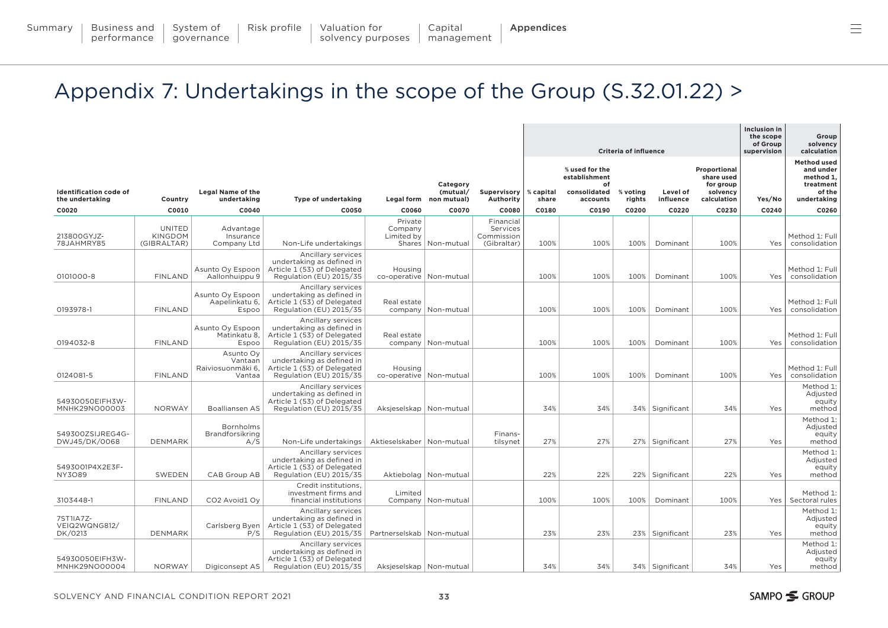<span id="page-32-0"></span>

|                                                  |                                                |                                                     |                                                                                                           |                                      |                                                |                                                    |                    |                                                                   | <b>Criteria of influence</b> |                       |                                                                    | Inclusion in<br>the scope<br>of Group<br>supervision | Group<br>solvency<br>calculation                                                   |
|--------------------------------------------------|------------------------------------------------|-----------------------------------------------------|-----------------------------------------------------------------------------------------------------------|--------------------------------------|------------------------------------------------|----------------------------------------------------|--------------------|-------------------------------------------------------------------|------------------------------|-----------------------|--------------------------------------------------------------------|------------------------------------------------------|------------------------------------------------------------------------------------|
| <b>Identification code of</b><br>the undertaking | Country                                        | <b>Legal Name of the</b><br>undertaking             | <b>Type of undertaking</b>                                                                                |                                      | Category<br>(mutual/<br>Legal form non mutual) | Supervisory<br>Authority                           | % capital<br>share | % used for the<br>establishment<br>of<br>consolidated<br>accounts | % voting<br>rights           | Level of<br>influence | Proportional<br>share used<br>for group<br>solvency<br>calculation | Yes/No                                               | <b>Method used</b><br>and under<br>method 1,<br>treatment<br>of the<br>undertaking |
| C0020                                            | C0010                                          | C0040                                               | C0050                                                                                                     | C0060                                | C0070                                          | C0080                                              | C0180              | C0190                                                             | C0200                        | C0220                 | C0230                                                              | C0240                                                | C0260                                                                              |
| 213800GYJZ-<br>78JAHMRY85                        | <b>UNITED</b><br><b>KINGDOM</b><br>(GIBRALTAR) | Advantage<br>Insurance<br>Company Ltd               | Non-Life undertakings                                                                                     | Private<br>Company<br>Limited by     | Shares   Non-mutual                            | Financial<br>Services<br>Commission<br>(Gibraltar) | 100%               | 100%                                                              | 100%                         | Dominant              | 100%                                                               | Yes                                                  | Method 1: Full<br>consolidation                                                    |
| 0101000-8                                        | <b>FINLAND</b>                                 | Asunto Oy Espoon<br>Aallonhuippu 9                  | Ancillary services<br>undertaking as defined in<br>Article 1 (53) of Delegated<br>Regulation (EU) 2015/35 | Housing<br>co-operative   Non-mutual |                                                |                                                    | 100%               | 100%                                                              | 100%                         | Dominant              | 100%                                                               | Yes                                                  | Method 1: Full<br>consolidation                                                    |
| 0193978-1                                        | <b>FINLAND</b>                                 | Asunto Oy Espoon<br>Aapelinkatu 6,<br>Espoo         | Ancillary services<br>undertaking as defined in<br>Article 1 (53) of Delegated<br>Regulation (EU) 2015/35 | Real estate                          | company   Non-mutual                           |                                                    | 100%               | 100%                                                              | 100%                         | Dominant              | 100%                                                               | Yes                                                  | Method 1: Full<br>consolidation                                                    |
| 0194032-8                                        | <b>FINLAND</b>                                 | Asunto Oy Espoon<br>Matinkatu 8,<br>Espoo           | Ancillary services<br>undertaking as defined in<br>Article 1 (53) of Delegated<br>Regulation (EU) 2015/35 | Real estate                          | company   Non-mutual                           |                                                    | 100%               | 100%                                                              | 100%                         | Dominant              | 100%                                                               | Yes                                                  | Method 1: Full<br>consolidation                                                    |
| 0124081-5                                        | <b>FINLAND</b>                                 | Asunto Oy<br>Vantaan<br>Raiviosuonmäki 6,<br>Vantaa | Ancillary services<br>undertaking as defined in<br>Article 1 (53) of Delegated<br>Regulation (EU) 2015/35 | Housing<br>co-operative   Non-mutual |                                                |                                                    | 100%               | 100%                                                              | 100%                         | Dominant              | 100%                                                               | Yes                                                  | Method 1: Full<br>consolidation                                                    |
| 54930050EIFH3W-<br>MNHK29NO00003                 | <b>NORWAY</b>                                  | <b>Boalliansen AS</b>                               | Ancillary services<br>undertaking as defined in<br>Article 1 (53) of Delegated<br>Regulation (EU) 2015/35 | Aksjeselskap   Non-mutual            |                                                |                                                    | 34%                | 34%                                                               |                              | 34% Significant       | 34%                                                                | Yes                                                  | Method 1:<br>Adjusted<br>equity<br>method                                          |
| 549300ZSIJREG4G-<br>DWJ45/DK/0068                | DENMARK                                        | Bornholms<br>Brandforsikring<br>A/S                 | Non-Life undertakings                                                                                     | Aktieselskaber   Non-mutual          |                                                | Finans-<br>tilsynet                                | 27%                | 27%                                                               |                              | 27%   Significant     | 27%                                                                | Yes                                                  | Method 1:<br>Adjusted<br>equity<br>method                                          |
| 5493001P4X2E3F-<br><b>NY3O89</b>                 | SWEDEN                                         | CAB Group AB                                        | Ancillary services<br>undertaking as defined in<br>Article 1 (53) of Delegated<br>Regulation (EU) 2015/35 |                                      | Aktiebolag   Non-mutual                        |                                                    | 22%                | 22%                                                               |                              | 22%   Significant     | 22%                                                                | Yes                                                  | Method 1:<br>Adjusted<br>equity<br>method                                          |
| 3103448-1                                        | <b>FINLAND</b>                                 | CO <sub>2</sub> Avoid <sub>1</sub> Oy               | Credit institutions,<br>investment firms and<br>financial institutions                                    | Limited                              | Company   Non-mutual                           |                                                    | 100%               | 100%                                                              | 100%                         | Dominant              | 100%                                                               | Yes                                                  | Method 1:<br>Sectoral rules                                                        |
| 7ST1IA7Z-<br>VEIQ2WQNG812/<br>DK/0213            | DENMARK                                        | Carlsberg Byen<br>P/S                               | Ancillary services<br>undertaking as defined in<br>Article 1 (53) of Delegated<br>Regulation (EU) 2015/35 | Partnerselskab   Non-mutual          |                                                |                                                    | 23%                | 23%                                                               |                              | 23% Significant       | 23%                                                                | Yes                                                  | Method 1:<br>Adjusted<br>equity<br>method                                          |
| 54930050EIFH3W-<br>MNHK29NO00004                 | <b>NORWAY</b>                                  | Digiconsept AS                                      | Ancillary services<br>undertaking as defined in<br>Article 1 (53) of Delegated<br>Regulation (EU) 2015/35 | Aksjeselskap   Non-mutual            |                                                |                                                    | 34%                | 34%                                                               |                              | 34%   Significant     | 34%                                                                | Yes                                                  | Method 1:<br>Adjusted<br>equity<br>method                                          |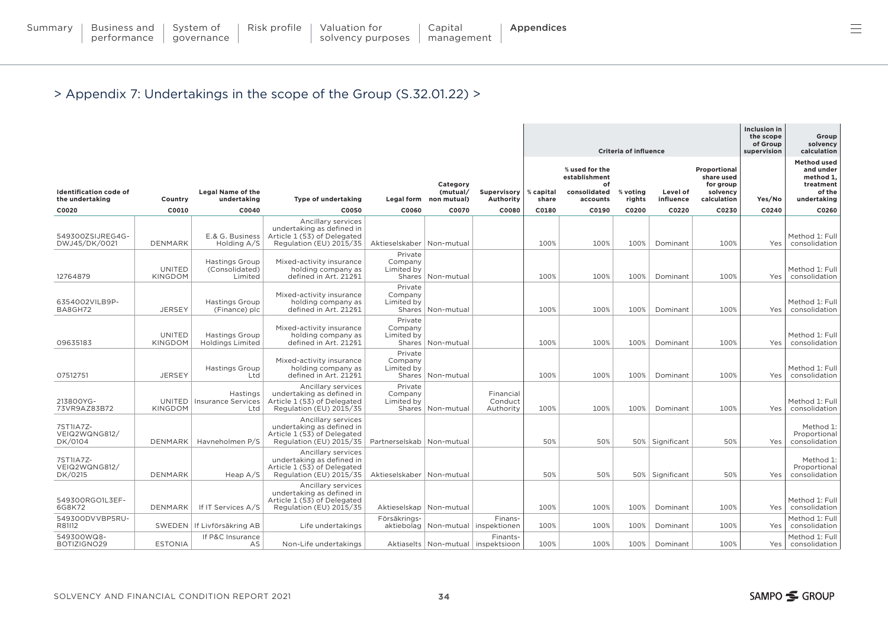|                                                  |                                 |                                                    |                                                                                                           |                                  |                                    |                                                    |                    |                                       | <b>Criteria of influence</b> |                       |                                         | Inclusion in<br>the scope<br>of Group<br>supervision | Group<br>solvency<br>calculation                          |
|--------------------------------------------------|---------------------------------|----------------------------------------------------|-----------------------------------------------------------------------------------------------------------|----------------------------------|------------------------------------|----------------------------------------------------|--------------------|---------------------------------------|------------------------------|-----------------------|-----------------------------------------|------------------------------------------------------|-----------------------------------------------------------|
|                                                  |                                 |                                                    |                                                                                                           |                                  | Category                           |                                                    |                    | % used for the<br>establishment<br>of |                              |                       | Proportional<br>share used<br>for group |                                                      | <b>Method used</b><br>and under<br>method 1,<br>treatment |
| <b>Identification code of</b><br>the undertaking | Country                         | <b>Legal Name of the</b><br>undertaking            | <b>Type of undertaking</b>                                                                                |                                  | (mutual/<br>Legal form non mutual) | Supervisory<br>Authority                           | % capital<br>share | consolidated<br>accounts              | % voting<br>rights           | Level of<br>influence | solvency<br>calculation                 | Yes/No                                               | of the<br>undertaking                                     |
| C0020                                            | C0010                           | C0040                                              | C0050                                                                                                     | C0060                            | C0070                              | C0080                                              | C0180              | C0190                                 | C0200                        | C0220                 | C0230                                   | C0240                                                | C0260                                                     |
| 549300ZSIJREG4G-<br>DWJ45/DK/0021                | <b>DENMARK</b>                  | E.& G. Business<br>Holding A/S                     | Ancillary services<br>undertaking as defined in<br>Article 1 (53) of Delegated<br>Regulation (EU) 2015/35 | Aktieselskaber   Non-mutual      |                                    |                                                    | 100%               | 100%                                  | 100%                         | Dominant              | 100%                                    | Yes                                                  | Method 1: Full<br>consolidation                           |
| 12764879                                         | <b>UNITED</b><br><b>KINGDOM</b> | <b>Hastings Group</b><br>(Consolidated)<br>Limited | Mixed-activity insurance<br>holding company as<br>defined in Art. 212§1                                   | Private<br>Company<br>Limited by | Shares   Non-mutual                |                                                    | 100%               | 100%                                  | 100%                         | Dominant              | 100%                                    | Yes                                                  | Method 1: Full<br>consolidation                           |
| 6354002VILB9P-<br>BA8GH72                        | <b>JERSEY</b>                   | <b>Hastings Group</b><br>(Finance) plc             | Mixed-activity insurance<br>holding company as<br>defined in Art. 212§1                                   | Private<br>Company<br>Limited by | Shares   Non-mutual                |                                                    | 100%               | 100%                                  | 100%                         | Dominant              | 100%                                    | Yes                                                  | Method 1: Full<br>consolidation                           |
| 09635183                                         | <b>UNITED</b><br><b>KINGDOM</b> | <b>Hastings Group</b><br><b>Holdings Limited</b>   | Mixed-activity insurance<br>holding company as<br>defined in Art. 212§1                                   | Private<br>Company<br>Limited by | Shares   Non-mutual                |                                                    | 100%               | 100%                                  | 100%                         | Dominant              | 100%                                    | Yes                                                  | Method 1: Full<br>consolidation                           |
| 07512751                                         | <b>JERSEY</b>                   | <b>Hastings Group</b><br>Ltd                       | Mixed-activity insurance<br>holding company as<br>defined in Art. 212§1                                   | Private<br>Company<br>Limited by | Shares   Non-mutual                |                                                    | 100%               | 100%                                  | 100%                         | Dominant              | 100%                                    | Yes                                                  | Method 1: Full<br>consolidation                           |
| 213800YG-<br>73VR9AZ83B72                        | UNITED<br><b>KINGDOM</b>        | Hastings<br><b>Insurance Services</b><br>Ltd       | Ancillary services<br>undertaking as defined in<br>Article 1 (53) of Delegated<br>Regulation (EU) 2015/35 | Private<br>Company<br>Limited by | Shares   Non-mutual                | Financial<br>Conduct<br>Authority                  | 100%               | 100%                                  | 100%                         | Dominant              | 100%                                    | Yes                                                  | Method 1: Full<br>consolidation                           |
| 7ST1IA7Z-<br>VEIQ2WQNG812/<br>DK/0104            |                                 | DENMARK   Havneholmen P/S                          | Ancillary services<br>undertaking as defined in<br>Article 1 (53) of Delegated<br>Regulation (EU) 2015/35 | Partnerselskab   Non-mutual      |                                    |                                                    | 50%                | 50%                                   |                              | 50%   Significant     | 50%                                     | Yes                                                  | Method 1:<br>Proportional<br>consolidation                |
| 7ST1IA7Z-<br>VEIQ2WQNG812/<br>DK/0215            | <b>DENMARK</b>                  | Heap $A/S$                                         | Ancillary services<br>undertaking as defined in<br>Article 1 (53) of Delegated<br>Regulation (EU) 2015/35 | Aktieselskaber   Non-mutual      |                                    |                                                    | 50%                | 50%                                   |                              | 50%   Significant     | 50%                                     | Yes                                                  | Method 1:<br>Proportional<br>consolidation                |
| 549300RGO1L3EF-<br>6G8K72                        | <b>DENMARK</b>                  | If IT Services A/S                                 | Ancillary services<br>undertaking as defined in<br>Article 1 (53) of Delegated<br>Regulation (EU) 2015/35 | Aktieselskap   Non-mutual        |                                    |                                                    | 100%               | 100%                                  | 100%                         | Dominant              | 100%                                    | Yes                                                  | Method 1: Full<br>consolidation                           |
| 549300DVVBP5RU-<br>R81112                        |                                 | SWEDEN   If Livförsäkring AB                       | Life undertakings                                                                                         | Försäkrings-                     |                                    | Finans-<br>aktiebolag   Non-mutual   inspektionen  | 100%               | 100%                                  | 100%                         | Dominant              | 100%                                    | Yes                                                  | Method 1: Full<br>consolidation                           |
| 549300WQ8-<br>BOTIZIGNO29                        | <b>ESTONIA</b>                  | If P&C Insurance<br>AS                             | Non-Life undertakings                                                                                     |                                  |                                    | Finants-<br>Aktiaselts   Non-mutual   inspektsioon | 100%               | 100%                                  | 100%                         | Dominant              | 100%                                    | Yes                                                  | Method 1: Full<br>consolidation                           |

 $\equiv$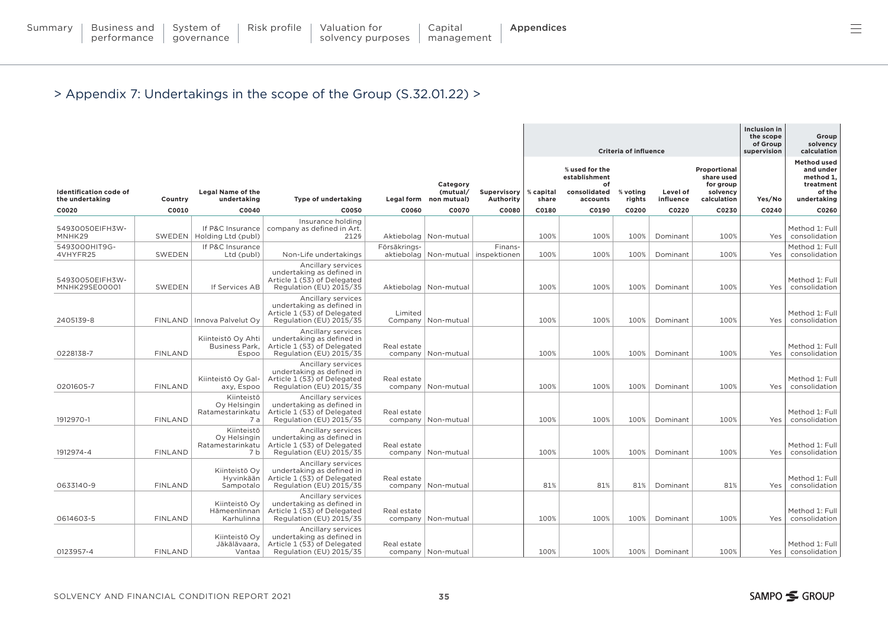| Summary   Business and   System of |  | Risk profile $\parallel$ Valuation for | Capital    | Appendices |
|------------------------------------|--|----------------------------------------|------------|------------|
| performance   governance           |  | solvency purposes                      | management |            |

|                                  |                  |                                                       |                                                                                                           |              |                                 |                         |                | <b>Criteria of influence</b>                          |                 | Inclusion in<br>the scope<br>of Group<br>supervision | Group<br>solvency<br>calculation                    |                 |                                                                     |
|----------------------------------|------------------|-------------------------------------------------------|-----------------------------------------------------------------------------------------------------------|--------------|---------------------------------|-------------------------|----------------|-------------------------------------------------------|-----------------|------------------------------------------------------|-----------------------------------------------------|-----------------|---------------------------------------------------------------------|
| <b>Identification code of</b>    |                  | <b>Legal Name of the</b>                              |                                                                                                           |              | Category<br>(mutual/            | Supervisory             | % capital      | % used for the<br>establishment<br>of<br>consolidated | % voting        | Level of                                             | Proportional<br>share used<br>for group<br>solvency |                 | <b>Method used</b><br>and under<br>method 1.<br>treatment<br>of the |
| the undertaking<br>C0020         | Country<br>C0010 | undertaking<br>C0040                                  | Type of undertaking<br>C0050                                                                              | C0060        | Legal form non mutual)<br>C0070 | Authority<br>C0080      | share<br>C0180 | accounts<br>C0190                                     | rights<br>C0200 | influence<br>C0220                                   | calculation<br>C0230                                | Yes/No<br>C0240 | undertaking<br>C0260                                                |
|                                  |                  |                                                       | Insurance holding                                                                                         |              |                                 |                         |                |                                                       |                 |                                                      |                                                     |                 |                                                                     |
| 54930050EIFH3W-<br>MNHK29        |                  | If P&C Insurance<br>SWEDEN   Holding Ltd (publ)       | company as defined in Art.<br>212§                                                                        |              | Aktiebolag   Non-mutual         |                         | 100%           | 100%                                                  | 100%            | Dominant                                             | 100%                                                | Yes             | Method 1: Full<br>consolidation                                     |
| 5493000HIT9G-<br>4VHYFR25        | SWEDEN           | If P&C Insurance<br>Ltd (publ)                        | Non-Life undertakings                                                                                     | Försäkrings- | aktiebolag   Non-mutual         | Finans-<br>inspektionen | 100%           | 100%                                                  | 100%            | Dominant                                             | 100%                                                | Yes             | Method 1: Full<br>consolidation                                     |
| 54930050EIFH3W-<br>MNHK29SE00001 | SWEDEN           | If Services AB                                        | Ancillary services<br>undertaking as defined in<br>Article 1 (53) of Delegated<br>Regulation (EU) 2015/35 |              | Aktiebolag   Non-mutual         |                         | 100%           | 100%                                                  | 100%            | Dominant                                             | 100%                                                | Yes             | Method 1: Full<br>consolidation                                     |
| 2405139-8                        |                  | FINLAND   Innova Palvelut Oy                          | Ancillary services<br>undertaking as defined in<br>Article 1 (53) of Delegated<br>Regulation (EU) 2015/35 | Limited      | Company   Non-mutual            |                         | 100%           | 100%                                                  | 100%            | Dominant                                             | 100%                                                | Yes             | Method 1: Full<br>consolidation                                     |
| 0228138-7                        | <b>FINLAND</b>   | Kiinteistö Oy Ahti<br>Business Park,<br>Espoo         | Ancillary services<br>undertaking as defined in<br>Article 1 (53) of Delegated<br>Regulation (EU) 2015/35 | Real estate  | company   Non-mutual            |                         | 100%           | 100%                                                  | 100%            | Dominant                                             | 100%                                                | Yes             | Method 1: Full<br>consolidation                                     |
| 0201605-7                        | <b>FINLAND</b>   | Kiinteistö Ov Gal-<br>axy, Espoo                      | Ancillary services<br>undertaking as defined in<br>Article 1 (53) of Delegated<br>Regulation (EU) 2015/35 | Real estate  | company   Non-mutual            |                         | 100%           | 100%                                                  | 100%            | Dominant                                             | 100%                                                | Yes             | Method 1: Full<br>consolidation                                     |
| 1912970-1                        | <b>FINLAND</b>   | Kiinteistö<br>Oy Helsingin<br>Ratamestarinkatu<br>7a  | Ancillary services<br>undertaking as defined in<br>Article 1 (53) of Delegated<br>Regulation (EU) 2015/35 | Real estate  | company   Non-mutual            |                         | 100%           | 100%                                                  | 100%            | Dominant                                             | 100%                                                | Yes             | Method 1: Full<br>consolidation                                     |
| 1912974-4                        | <b>FINLAND</b>   | Kiinteistö<br>Oy Helsingin<br>Ratamestarinkatu<br>7 b | Ancillary services<br>undertaking as defined in<br>Article 1 (53) of Delegated<br>Regulation (EU) 2015/35 | Real estate  | company   Non-mutual            |                         | 100%           | 100%                                                  | 100%            | Dominant                                             | 100%                                                | Yes             | Method 1: Full<br>consolidation                                     |
| 0633140-9                        | <b>FINLAND</b>   | Kiinteistö Oy<br>Hyvinkään<br>Sampotalo               | Ancillary services<br>undertaking as defined in<br>Article 1 (53) of Delegated<br>Regulation (EU) 2015/35 | Real estate  | company   Non-mutual            |                         | 81%            | 81%                                                   | 81%             | Dominant                                             | 81%                                                 | Yes             | Method 1: Full<br>consolidation                                     |
| 0614603-5                        | <b>FINLAND</b>   | Kiinteistö Oy<br>Hämeenlinnan<br>Karhulinna           | Ancillary services<br>undertaking as defined in<br>Article 1 (53) of Delegated<br>Regulation (EU) 2015/35 | Real estate  | company   Non-mutual            |                         | 100%           | 100%                                                  | 100%            | Dominant                                             | 100%                                                | Yes             | Method 1: Full<br>consolidation                                     |
| 0123957-4                        | <b>FINLAND</b>   | Kiinteistö Oy<br>Jäkälävaara,<br>Vantaa               | Ancillary services<br>undertaking as defined in<br>Article 1 (53) of Delegated<br>Regulation (EU) 2015/35 | Real estate  | company   Non-mutual            |                         | 100%           | 100%                                                  | 100%            | Dominant                                             | 100%                                                |                 | Method 1: Full<br>Yes   consolidation                               |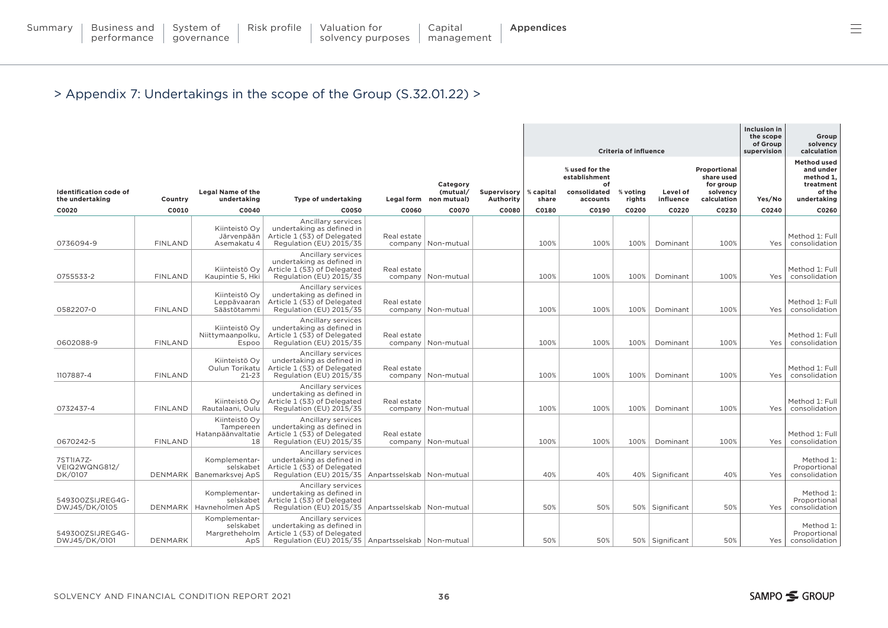|                                                  |                |                                                          |                                                                                                                                         |                             |                                                |                          | <b>Criteria of influence</b> |                                                                   |                    |                       |                                                                    | <b>Inclusion in</b><br>the scope<br>of Group<br>supervision | Group<br>solvency<br>calculation                                                   |
|--------------------------------------------------|----------------|----------------------------------------------------------|-----------------------------------------------------------------------------------------------------------------------------------------|-----------------------------|------------------------------------------------|--------------------------|------------------------------|-------------------------------------------------------------------|--------------------|-----------------------|--------------------------------------------------------------------|-------------------------------------------------------------|------------------------------------------------------------------------------------|
| <b>Identification code of</b><br>the undertaking | Country        | <b>Legal Name of the</b><br>undertaking                  | <b>Type of undertaking</b>                                                                                                              |                             | Category<br>(mutual/<br>Legal form non mutual) | Supervisory<br>Authority | % capital<br>share           | % used for the<br>establishment<br>of<br>consolidated<br>accounts | % voting<br>rights | Level of<br>influence | Proportional<br>share used<br>for group<br>solvency<br>calculation | Yes/No                                                      | <b>Method used</b><br>and under<br>method 1,<br>treatment<br>of the<br>undertaking |
| C0020                                            | C0010          | C0040                                                    | C0050                                                                                                                                   | C0060                       | C0070                                          | C0080                    | C0180                        | C0190                                                             | C0200              | C0220                 | C0230                                                              | C0240                                                       | C0260                                                                              |
| 0736094-9                                        | <b>FINLAND</b> | Kiinteistö Oy<br>Järvenpään<br>Asemakatu 4               | Ancillary services<br>undertaking as defined in<br>Article 1 (53) of Delegated<br>Regulation (EU) 2015/35                               | Real estate                 | company   Non-mutual                           |                          | 100%                         | 100%                                                              | 100%               | Dominant              | 100%                                                               | Yes                                                         | Method 1: Full<br>consolidation                                                    |
| 0755533-2                                        | <b>FINLAND</b> | Kiinteistö Oy<br>Kaupintie 5, Hki                        | Ancillary services<br>undertaking as defined in<br>Article 1 (53) of Delegated<br>Regulation (EU) 2015/35                               | Real estate                 | company   Non-mutual                           |                          | 100%                         | 100%                                                              | 100%               | Dominant              | 100%                                                               | Yes                                                         | Method 1: Full<br>consolidation                                                    |
| 0582207-0                                        | <b>FINLAND</b> | Kiinteistö Oy<br>Leppävaaran<br>Säästötammi              | Ancillary services<br>undertaking as defined in<br>Article 1 (53) of Delegated<br>Regulation (EU) 2015/35                               | Real estate                 | company   Non-mutual                           |                          | 100%                         | 100%                                                              | 100%               | Dominant              | 100%                                                               | Yes                                                         | Method 1: Full<br>consolidation                                                    |
| 0602088-9                                        | <b>FINLAND</b> | Kiinteistö Ov<br>Niittymaanpolku,<br>Espoo               | Ancillary services<br>undertaking as defined in<br>Article 1 (53) of Delegated<br>Regulation (EU) 2015/35                               | Real estate                 | company   Non-mutual                           |                          | 100%                         | 100%                                                              | 100%               | Dominant              | 100%                                                               | Yes                                                         | Method 1: Full<br>consolidation                                                    |
| 1107887-4                                        | <b>FINLAND</b> | Kiinteistö Oy<br>Oulun Torikatu<br>$21 - 23$             | Ancillary services<br>undertaking as defined in<br>Article 1 (53) of Delegated<br>Regulation (EU) 2015/35                               | Real estate                 | company   Non-mutual                           |                          | 100%                         | 100%                                                              | 100%               | Dominant              | 100%                                                               | Yes                                                         | Method 1: Full<br>consolidation                                                    |
| 0732437-4                                        | <b>FINLAND</b> | Kiinteistö Oy<br>Rautalaani, Oulu                        | Ancillary services<br>undertaking as defined in<br>Article 1 (53) of Delegated<br>Regulation (EU) 2015/35                               | Real estate                 | company   Non-mutual                           |                          | 100%                         | 100%                                                              | 100%               | Dominant              | 100%                                                               | Yes                                                         | Method 1: Full<br>consolidation                                                    |
| 0670242-5                                        | <b>FINLAND</b> | Kiinteistö Oy<br>Tampereen<br>Hatanpäänvaltatie<br>18    | Ancillary services<br>undertaking as defined in<br>Article 1 (53) of Delegated<br>Regulation (EU) 2015/35                               | Real estate                 | company   Non-mutual                           |                          | 100%                         | 100%                                                              | 100%               | Dominant              | 100%                                                               | Yes                                                         | Method 1: Full<br>consolidation                                                    |
| 7ST1IA7Z-<br>VEIQ2WQNG812/<br>DK/0107            |                | Komplementar-<br>selskabet<br>DENMARK   Banemarksvej ApS | Ancillary services<br>undertaking as defined in<br>Article 1 (53) of Delegated<br>Regulation (EU) 2015/35                               | Anpartsselskab   Non-mutual |                                                |                          | 40%                          | 40%                                                               |                    | 40% Significant       | 40%                                                                | Yes                                                         | Method 1:<br>Proportional<br>consolidation                                         |
| 549300ZSIJREG4G-<br>DWJ45/DK/0105                |                | Komplementar-<br>selskabet<br>DENMARK   Havneholmen ApS  | Ancillary services<br>undertaking as defined in<br>Article 1 (53) of Delegated<br>Regulation (EU) 2015/35                               | Anpartsselskab   Non-mutual |                                                |                          | 50%                          | 50%                                                               |                    | 50% Significant       | 50%                                                                | Yes                                                         | Method 1:<br>Proportional<br>consolidation                                         |
| 549300ZSIJREG4G-<br>DWJ45/DK/0101                | <b>DENMARK</b> | Komplementar-<br>selskabet<br>Margretheholm<br>ApS       | Ancillary services<br>undertaking as defined in<br>Article 1 (53) of Delegated<br>Regulation (EU) 2015/35   Anpartsselskab   Non-mutual |                             |                                                |                          | 50%                          | 50%                                                               |                    | 50%   Significant     | 50%                                                                | Yes                                                         | Method 1:<br>Proportional<br>consolidation                                         |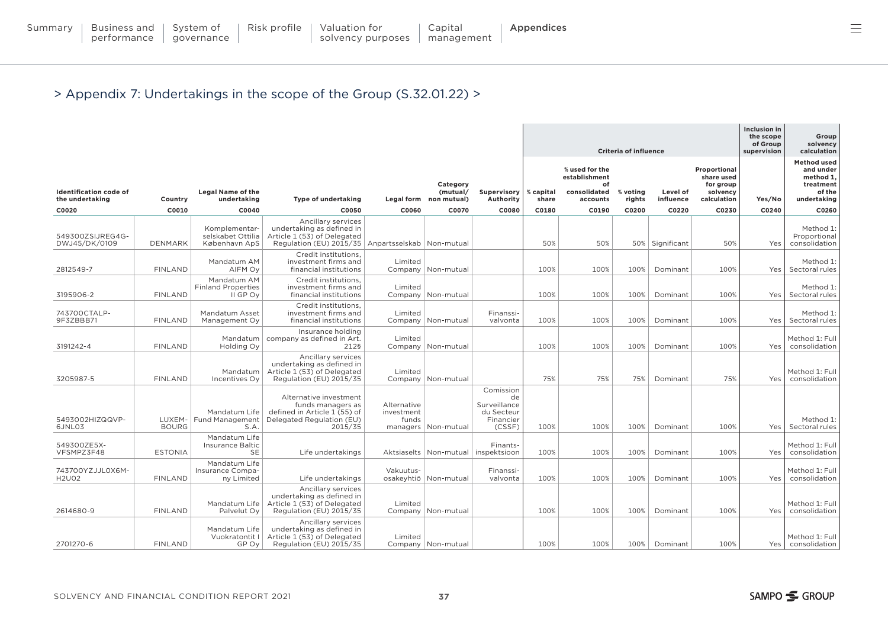| Summary | Business and | .    Svstem of | Risk profile | Valuation for     | Capital    | Appendices |
|---------|--------------|----------------|--------------|-------------------|------------|------------|
|         | performance  | governance     |              | solvency purposes | management |            |

|                                   |                  |                                                      |                                                                                                                                         |                                    |                                         |                                                                      | Criteria of influence |                                                       |                 |                    |                                                     | Inclusion in<br>the scope<br>of Group<br>supervision | Group<br>solvency<br>calculation                                    |
|-----------------------------------|------------------|------------------------------------------------------|-----------------------------------------------------------------------------------------------------------------------------------------|------------------------------------|-----------------------------------------|----------------------------------------------------------------------|-----------------------|-------------------------------------------------------|-----------------|--------------------|-----------------------------------------------------|------------------------------------------------------|---------------------------------------------------------------------|
| <b>Identification code of</b>     |                  | <b>Legal Name of the</b>                             |                                                                                                                                         |                                    | Category<br>(mutual/                    | Supervisory                                                          | % capital             | % used for the<br>establishment<br>of<br>consolidated | % voting        | Level of           | Proportional<br>share used<br>for group<br>solvency |                                                      | <b>Method used</b><br>and under<br>method 1,<br>treatment<br>of the |
| the undertaking<br>C0020          | Country<br>C0010 | undertaking<br>C0040                                 | Type of undertaking<br>C0050                                                                                                            | C0060                              | Legal form non mutual)<br>C0070         | Authority<br>C0080                                                   | share<br>C0180        | accounts<br>C0190                                     | rights<br>C0200 | influence<br>C0220 | calculation<br>C0230                                | Yes/No<br>C0240                                      | undertaking<br>C0260                                                |
| 549300ZSIJREG4G-<br>DWJ45/DK/0109 | DENMARK          | Komplementar-<br>selskabet Ottilia<br>København ApS  | Ancillary services<br>undertaking as defined in<br>Article 1 (53) of Delegated<br>Regulation (EU) 2015/35   Anpartsselskab   Non-mutual |                                    |                                         |                                                                      | 50%                   | 50%                                                   |                 | 50%   Significant  | 50%                                                 | Yes                                                  | Method 1:<br>Proportional<br>consolidation                          |
| 2812549-7                         | <b>FINLAND</b>   | Mandatum AM<br>AIFM Ov                               | Credit institutions,<br>investment firms and<br>financial institutions                                                                  | Limited                            | Company   Non-mutual                    |                                                                      | 100%                  | 100%                                                  | 100%            | Dominant           | 100%                                                | Yes <sup>1</sup>                                     | Method 1:<br>Sectoral rules                                         |
| 3195906-2                         | <b>FINLAND</b>   | Mandatum AM<br><b>Finland Properties</b><br>II GP Ov | Credit institutions,<br>investment firms and<br>financial institutions                                                                  | Limited                            | Company   Non-mutual                    |                                                                      | 100%                  | 100%                                                  | 100%            | Dominant           | 100%                                                | Yes                                                  | Method 1:<br>Sectoral rules                                         |
| 743700CTALP-<br>9F3ZBBB71         | <b>FINLAND</b>   | Mandatum Asset<br>Management Oy                      | Credit institutions,<br>investment firms and<br>financial institutions                                                                  | Limited                            | Company   Non-mutual                    | Finanssi-<br>valvonta                                                | 100%                  | 100%                                                  | 100%            | Dominant           | 100%                                                | Yes <sup>1</sup>                                     | Method 1:<br>Sectoral rules                                         |
| 3191242-4                         | <b>FINLAND</b>   | Mandatum<br>Holding Oy                               | Insurance holding<br>company as defined in Art.<br>212§                                                                                 | Limited                            | Company   Non-mutual                    |                                                                      | 100%                  | 100%                                                  | 100%            | Dominant           | 100%                                                | Yes                                                  | Method 1: Full<br>consolidation                                     |
| 3205987-5                         | <b>FINLAND</b>   | Mandatum<br>Incentives Ov                            | Ancillary services<br>undertaking as defined in<br>Article 1 (53) of Delegated<br>Regulation (EU) 2015/35                               | Limited                            | Company   Non-mutual                    |                                                                      | 75%                   | 75%                                                   | 75%             | Dominant           | 75%                                                 | Yes                                                  | Method 1: Full<br>consolidation                                     |
| 5493002HIZQQVP-<br>6JNL03         | <b>BOURG</b>     | Mandatum Life<br>LUXEM-   Fund Management<br>S.A.    | Alternative investment<br>funds managers as<br>defined in Article 1 (55) of<br>Delegated Regulation (EU)<br>2015/35                     | Alternative<br>investment<br>funds | managers   Non-mutual                   | Comission<br>de<br>Surveillance<br>du Secteur<br>Financier<br>(CSSF) | 100%                  | 100%                                                  | 100%            | Dominant           | 100%                                                | Yes                                                  | Method 1:<br>Sectoral rules                                         |
| 549300ZE5X-<br>VFSMPZ3F48         | <b>ESTONIA</b>   | Mandatum Life<br>Insurance Baltic<br><b>SE</b>       | Life undertakings                                                                                                                       |                                    | Aktsiaselts   Non-mutual   inspektsioon | Finants-                                                             | 100%                  | 100%                                                  | 100%            | Dominant           | 100%                                                | Yes                                                  | Method 1: Full<br>consolidation                                     |
| 743700YZJJL0X6M-<br><b>H2U02</b>  | <b>FINLAND</b>   | Mandatum Life<br>Insurance Compa-<br>ny Limited      | Life undertakings                                                                                                                       | Vakuutus-                          | osakeyhtiö   Non-mutual                 | Finanssi-<br>valvonta                                                | 100%                  | 100%                                                  | 100%            | Dominant           | 100%                                                | Yes                                                  | Method 1: Full<br>consolidation                                     |
| 2614680-9                         | <b>FINLAND</b>   | Mandatum Life<br>Palvelut Oy                         | Ancillary services<br>undertaking as defined in<br>Article 1 (53) of Delegated<br>Regulation (EU) 2015/35                               | Limited                            | Company   Non-mutual                    |                                                                      | 100%                  | 100%                                                  | 100%            | Dominant           | 100%                                                | Yes                                                  | Method 1: Full<br>consolidation                                     |
| 2701270-6                         | <b>FINLAND</b>   | Mandatum Life<br>Vuokratontit I<br>GP Ov             | Ancillary services<br>undertaking as defined in<br>Article 1 (53) of Delegated<br>Regulation (EU) 2015/35                               | Limited                            | Company   Non-mutual                    |                                                                      | 100%                  | 100%                                                  | 100%            | Dominant           | 100%                                                | Yes                                                  | Method 1: Full<br>consolidation                                     |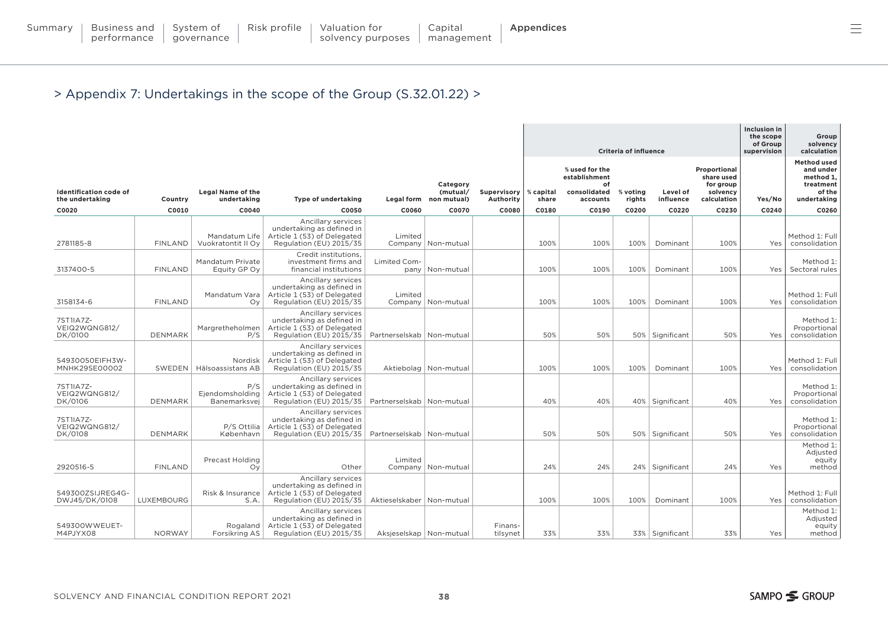|                                                  |                |                                         |                                                                                                           |                             |                                                |                          | <b>Criteria of influence</b> |                                                                   |                       |                       |                                                                    | Inclusion in<br>the scope<br>of Group<br>supervision | Group<br>solvency<br>calculation                                                   |
|--------------------------------------------------|----------------|-----------------------------------------|-----------------------------------------------------------------------------------------------------------|-----------------------------|------------------------------------------------|--------------------------|------------------------------|-------------------------------------------------------------------|-----------------------|-----------------------|--------------------------------------------------------------------|------------------------------------------------------|------------------------------------------------------------------------------------|
| <b>Identification code of</b><br>the undertaking | Country        | <b>Legal Name of the</b><br>undertaking | Type of undertaking                                                                                       |                             | Category<br>(mutual/<br>Legal form non mutual) | Supervisory<br>Authority | % capital<br>share           | % used for the<br>establishment<br>of<br>consolidated<br>accounts | %<br>voting<br>rights | Level of<br>influence | Proportional<br>share used<br>for group<br>solvency<br>calculation | Yes/No                                               | <b>Method used</b><br>and under<br>method 1.<br>treatment<br>of the<br>undertaking |
| C0020                                            | C0010          | C0040                                   | C0050                                                                                                     | C0060                       | C0070                                          | C0080                    | C0180                        | C0190                                                             | C0200                 | C0220                 | C0230                                                              | C0240                                                | C0260                                                                              |
| 2781185-8                                        | <b>FINLAND</b> | Mandatum Life<br>Vuokratontit II Oy     | Ancillary services<br>undertaking as defined in<br>Article 1 (53) of Delegated<br>Regulation (EU) 2015/35 | Limited                     | Company   Non-mutual                           |                          | 100%                         | 100%                                                              | 100%                  | Dominant              | 100%                                                               | Yes                                                  | Method 1: Full<br>consolidation                                                    |
| 3137400-5                                        | <b>FINLAND</b> | Mandatum Private<br>Equity GP Oy        | Credit institutions.<br>investment firms and<br>financial institutions                                    | Limited Com-                | pany   Non-mutual                              |                          | 100%                         | 100%                                                              | 100%                  | Dominant              | 100%                                                               | Yes                                                  | Method 1:<br>Sectoral rules                                                        |
| 3158134-6                                        | <b>FINLAND</b> | Mandatum Vara<br>Ov                     | Ancillary services<br>undertaking as defined in<br>Article 1 (53) of Delegated<br>Regulation (EU) 2015/35 | Limited                     | Company   Non-mutual                           |                          | 100%                         | 100%                                                              | 100%                  | Dominant              | 100%                                                               | Yes                                                  | Method 1: Full<br>consolidation                                                    |
| 7ST1IA7Z-<br>VEIQ2WQNG812/<br>DK/0100            | <b>DENMARK</b> | Margretheholmen<br>P/S                  | Ancillary services<br>undertaking as defined in<br>Article 1 (53) of Delegated<br>Regulation (EU) 2015/35 | Partnerselskab   Non-mutual |                                                |                          | 50%                          | 50%                                                               |                       | 50% Significant       | 50%                                                                | Yes                                                  | Method 1:<br>Proportional<br>consolidation                                         |
| 54930050EIFH3W-<br>MNHK29SE00002                 | SWEDEN         | Nordisk<br>Hälsoassistans AB            | Ancillary services<br>undertaking as defined in<br>Article 1 (53) of Delegated<br>Regulation (EU) 2015/35 |                             | Aktiebolag   Non-mutual                        |                          | 100%                         | 100%                                                              | 100%                  | Dominant              | 100%                                                               | Yes                                                  | Method 1: Full<br>consolidation                                                    |
| 7ST1IA7Z-<br>VEIQ2WQNG812/<br>DK/0106            | DENMARK        | P/S<br>Ejendomsholding<br>Banemarksvej  | Ancillary services<br>undertaking as defined in<br>Article 1 (53) of Delegated<br>Regulation (EU) 2015/35 | Partnerselskab   Non-mutual |                                                |                          | 40%                          | 40%                                                               |                       | 40%   Significant     | 40%                                                                | Yes                                                  | Method 1:<br>Proportional<br>consolidation                                         |
| 7ST1IA7Z-<br>VEIQ2WQNG812/<br>DK/0108            | <b>DENMARK</b> | P/S Ottilia<br>København                | Ancillary services<br>undertaking as defined in<br>Article 1 (53) of Delegated<br>Regulation (EU) 2015/35 | Partnerselskab   Non-mutual |                                                |                          | 50%                          | 50%                                                               |                       | 50% Significant       | 50%                                                                | Yes                                                  | Method 1:<br>Proportional<br>consolidation                                         |
| 2920516-5                                        | <b>FINLAND</b> | <b>Precast Holding</b><br>Oy            | Other                                                                                                     | Limited                     | Company   Non-mutual                           |                          | 24%                          | 24%                                                               |                       | 24% Significant       | 24%                                                                | Yes                                                  | Method 1:<br>Adjusted<br>equity<br>method                                          |
| 549300ZSIJREG4G-<br>DWJ45/DK/0108                | LUXEMBOURG     | Risk & Insurance<br>S.A                 | Ancillary services<br>undertaking as defined in<br>Article 1 (53) of Delegated<br>Regulation (EU) 2015/35 | Aktieselskaber   Non-mutual |                                                |                          | 100%                         | 100%                                                              | 100%                  | Dominant              | 100%                                                               | Yes                                                  | Method 1: Full<br>consolidation                                                    |
| 549300WWEUET-<br>M4PJYX08                        | <b>NORWAY</b>  | Rogaland<br>Forsikring AS               | Ancillary services<br>undertaking as defined in<br>Article 1 (53) of Delegated<br>Regulation (EU) 2015/35 | Aksjeselskap   Non-mutual   |                                                | Finans-<br>tilsynet      | 33%                          | 33%                                                               |                       | 33%   Significant     | 33%                                                                | Yes                                                  | Method 1:<br>Adjusted<br>equity<br>method                                          |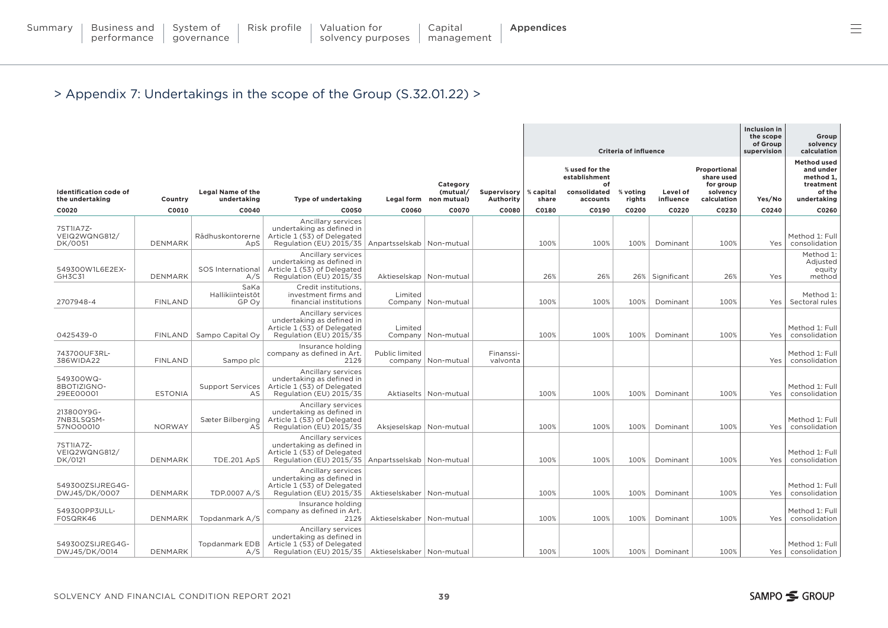|                                       |                |                                   |                                                                                                           |                             |                         |                       |           | <b>Criteria of influence</b>                          | <b>Inclusion in</b><br>the scope<br>of Group<br>supervision | Group<br>solvency<br>calculation |                                                     |        |                                                                     |
|---------------------------------------|----------------|-----------------------------------|-----------------------------------------------------------------------------------------------------------|-----------------------------|-------------------------|-----------------------|-----------|-------------------------------------------------------|-------------------------------------------------------------|----------------------------------|-----------------------------------------------------|--------|---------------------------------------------------------------------|
| <b>Identification code of</b>         |                | <b>Legal Name of the</b>          |                                                                                                           |                             | Category<br>(mutual/    | Supervisory           | % capital | % used for the<br>establishment<br>of<br>consolidated | % voting                                                    | Level of                         | Proportional<br>share used<br>for group<br>solvency |        | <b>Method used</b><br>and under<br>method 1,<br>treatment<br>of the |
| the undertaking                       | Country        | undertaking                       | <b>Type of undertaking</b>                                                                                |                             | Legal form non mutual)  | Authority             | share     | accounts                                              | rights                                                      | influence                        | calculation                                         | Yes/No | undertaking                                                         |
| C0020                                 | C0010          | C0040                             | C0050                                                                                                     | C0060                       | C0070                   | C0080                 | C0180     | C0190                                                 | C0200                                                       | C0220                            | C0230                                               | C0240  | C0260                                                               |
| 7ST1IA7Z-<br>VEIQ2WQNG812/<br>DK/0051 | <b>DENMARK</b> | Rådhuskontorerne<br>ApS           | Ancillary services<br>undertaking as defined in<br>Article 1 (53) of Delegated<br>Regulation (EU) 2015/35 | Anpartsselskab   Non-mutual |                         |                       | 100%      | 100%                                                  | 100%                                                        | Dominant                         | 100%                                                | Yes    | Method 1: Full<br>consolidation                                     |
| 549300W1L6E2EX-<br>GH3C31             | <b>DENMARK</b> | SOS International<br>A/S          | Ancillary services<br>undertaking as defined in<br>Article 1 (53) of Delegated<br>Regulation (EU) 2015/35 | Aktieselskap   Non-mutual   |                         |                       | 26%       | 26%                                                   |                                                             | 26%   Significant                | 26%                                                 | Yes    | Method 1:<br>Adjusted<br>equity<br>method                           |
| 2707948-4                             | <b>FINLAND</b> | SaKa<br>Hallikiinteistöt<br>GP Ov | Credit institutions,<br>investment firms and<br>financial institutions                                    | Limited                     | Company   Non-mutual    |                       | 100%      | 100%                                                  | 100%                                                        | Dominant                         | 100%                                                | Yes    | Method 1:<br>Sectoral rules                                         |
| 0425439-0                             |                | FINLAND   Sampo Capital Oy        | Ancillary services<br>undertaking as defined in<br>Article 1 (53) of Delegated<br>Regulation (EU) 2015/35 | Limited                     | Company   Non-mutual    |                       | 100%      | 100%                                                  | 100%                                                        | Dominant                         | 100%                                                | Yes    | Method 1: Full<br>consolidation                                     |
| 743700UF3RL-<br>386WIDA22             | <b>FINLAND</b> | Sampo plc                         | Insurance holding<br>company as defined in Art.<br>212§                                                   | Public limited              | company   Non-mutual    | Finanssi-<br>valvonta |           |                                                       |                                                             |                                  |                                                     | Yes    | Method 1: Full<br>consolidation                                     |
| 549300WQ-<br>8BOTIZIGNO-<br>29EE00001 | <b>ESTONIA</b> | <b>Support Services</b><br>AS     | Ancillary services<br>undertaking as defined in<br>Article 1 (53) of Delegated<br>Regulation (EU) 2015/35 |                             | Aktiaselts   Non-mutual |                       | 100%      | 100%                                                  | 100%                                                        | Dominant                         | 100%                                                | Yes    | Method 1: Full<br>consolidation                                     |
| 213800Y9G-<br>7NB3LSQSM-<br>57NO00010 | <b>NORWAY</b>  | Sæter Bilberging<br>AS            | Ancillary services<br>undertaking as defined in<br>Article 1 (53) of Delegated<br>Regulation (EU) 2015/35 | Aksjeselskap   Non-mutual   |                         |                       | 100%      | 100%                                                  | 100%                                                        | Dominant                         | 100%                                                | Yes    | Method 1: Full<br>consolidation                                     |
| 7ST1IA7Z-<br>VEIQ2WQNG812/<br>DK/0121 | DENMARK        | <b>TDE.201 ApS</b>                | Ancillary services<br>undertaking as defined in<br>Article 1 (53) of Delegated<br>Regulation (EU) 2015/35 | Anpartsselskab   Non-mutual |                         |                       | 100%      | 100%                                                  | 100%                                                        | Dominant                         | 100%                                                | Yes    | Method 1: Full<br>consolidation                                     |
| 549300ZSIJREG4G-<br>DWJ45/DK/0007     | <b>DENMARK</b> | TDP.0007 A/S                      | Ancillary services<br>undertaking as defined in<br>Article 1 (53) of Delegated<br>Regulation (EU) 2015/35 | Aktieselskaber   Non-mutual |                         |                       | 100%      | 100%                                                  | 100%                                                        | Dominant                         | 100%                                                | Yes    | Method 1: Full<br>consolidation                                     |
| 549300PP3ULL-<br>FOSQRK46             | <b>DENMARK</b> | Topdanmark A/S                    | Insurance holding<br>company as defined in Art.<br>212§                                                   | Aktieselskaber   Non-mutual |                         |                       | 100%      | 100%                                                  | 100%                                                        | Dominant                         | 100%                                                | Yes    | Method 1: Full<br>consolidation                                     |
| 549300ZSIJREG4G-<br>DWJ45/DK/0014     | <b>DENMARK</b> | <b>Topdanmark EDB</b><br>A/S      | Ancillary services<br>undertaking as defined in<br>Article 1 (53) of Delegated<br>Regulation (EU) 2015/35 | Aktieselskaber   Non-mutual |                         |                       | 100%      | 100%                                                  | 100%                                                        | Dominant                         | 100%                                                | Yes    | Method 1: Full<br>consolidation                                     |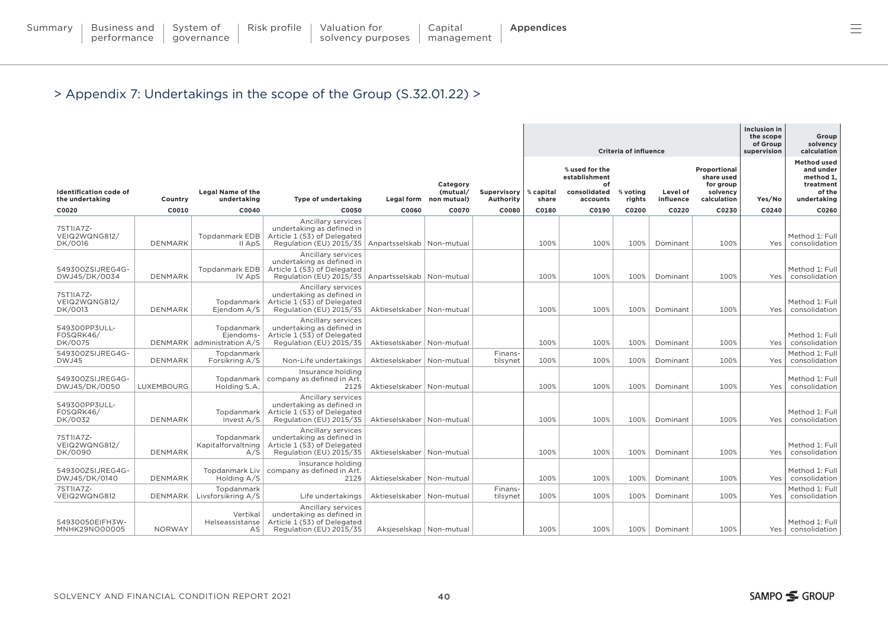|                                                  |                |                                                       |                                                                                                                                         |                             |                                                |                          |                    | <b>Criteria of influence</b>                                      | Inclusion in<br>the scope<br>of Group<br>supervision | Group<br>solvency<br>calculation |                                                                    |                  |                                                                                    |
|--------------------------------------------------|----------------|-------------------------------------------------------|-----------------------------------------------------------------------------------------------------------------------------------------|-----------------------------|------------------------------------------------|--------------------------|--------------------|-------------------------------------------------------------------|------------------------------------------------------|----------------------------------|--------------------------------------------------------------------|------------------|------------------------------------------------------------------------------------|
| <b>Identification code of</b><br>the undertaking | Country        | Legal Name of the<br>undertaking                      | <b>Type of undertaking</b>                                                                                                              |                             | Category<br>(mutual/<br>Legal form non mutual) | Supervisory<br>Authority | % capital<br>share | % used for the<br>establishment<br>of<br>consolidated<br>accounts | % voting<br>rights                                   | Level of<br>influence            | Proportional<br>share used<br>for group<br>solvency<br>calculation | Yes/No           | <b>Method used</b><br>and under<br>method 1,<br>treatment<br>of the<br>undertaking |
| C0020                                            | C0010          | C0040                                                 | C0050                                                                                                                                   | C0060                       | C0070                                          | C0080                    | C0180              | C0190                                                             | C0200                                                | C0220                            | C0230                                                              | C0240            | C0260                                                                              |
| 7ST1IA7Z-<br>VEIQ2WQNG812/<br>DK/0016            | <b>DENMARK</b> | <b>Topdanmark EDB</b><br>II ApS                       | Ancillary services<br>undertaking as defined in<br>Article 1 (53) of Delegated<br>Regulation (EU) 2015/35   Anpartsselskab   Non-mutual |                             |                                                |                          | 100%               | 100%                                                              | 100%                                                 | Dominant                         | 100%                                                               | Yes              | Method 1: Full<br>consolidation                                                    |
| 549300ZSIJREG4G-<br>DWJ45/DK/0034                | <b>DENMARK</b> | <b>Topdanmark EDB</b><br>IV ApS                       | Ancillary services<br>undertaking as defined in<br>Article 1 (53) of Delegated<br>Regulation (EU) 2015/35                               | Anpartsselskab   Non-mutual |                                                |                          | 100%               | 100%                                                              | 100%                                                 | Dominant                         | 100%                                                               | Yes              | Method 1: Full<br>consolidation                                                    |
| 7ST1IA7Z-<br>VEIQ2WQNG812/<br>DK/0013            | <b>DENMARK</b> | Topdanmark<br>Ejendom A/S                             | Ancillary services<br>undertaking as defined in<br>Article 1 (53) of Delegated<br>Regulation (EU) 2015/35                               | Aktieselskaber   Non-mutual |                                                |                          | 100%               | 100%                                                              | 100%                                                 | Dominant                         | 100%                                                               | Yes              | Method 1: Full<br>consolidation                                                    |
| 549300PP3ULL-<br>FOSQRK46/<br>DK/0075            |                | Topdanmark<br>Ejendoms-<br>DENMARK administration A/S | Ancillary services<br>undertaking as defined in<br>Article 1 (53) of Delegated<br>Regulation (EU) 2015/35                               | Aktieselskaber   Non-mutual |                                                |                          | 100%               | 100%                                                              | 100%                                                 | Dominant                         | 100%                                                               | Yes              | Method 1: Full<br>consolidation                                                    |
| 549300ZSIJREG4G-<br>DWJ45                        | <b>DENMARK</b> | Topdanmark<br>Forsikring A/S                          | Non-Life undertakings                                                                                                                   | Aktieselskaber   Non-mutual |                                                | Finans-<br>tilsynet      | 100%               | 100%                                                              | 100%                                                 | Dominant                         | 100%                                                               | Yes              | Method 1: Full<br>consolidation                                                    |
| 549300ZSIJREG4G-<br>DWJ45/DK/0050                | LUXEMBOURG     | Topdanmark<br>Holding S.A.                            | Insurance holding<br>company as defined in Art.<br>212§                                                                                 | Aktieselskaber   Non-mutual |                                                |                          | 100%               | 100%                                                              | 100%                                                 | Dominant                         | 100%                                                               | Yes              | Method 1: Full<br>consolidation                                                    |
| 549300PP3ULL-<br>FOSQRK46/<br>DK/0032            | <b>DENMARK</b> | Topdanmark<br>Invest A/S                              | Ancillary services<br>undertaking as defined in<br>Article 1 (53) of Delegated<br>Regulation (EU) 2015/35                               | Aktieselskaber   Non-mutual |                                                |                          | 100%               | 100%                                                              | 100%                                                 | Dominant                         | 100%                                                               | Yes              | Method 1: Full<br>consolidation                                                    |
| 7ST1IA7Z-<br>VEIQ2WQNG812/<br>DK/0090            | <b>DENMARK</b> | Topdanmark<br>Kapitalforvaltning<br>A/S               | Ancillary services<br>undertaking as defined in<br>Article 1 (53) of Delegated<br>Regulation (EU) 2015/35                               | Aktieselskaber   Non-mutual |                                                |                          | 100%               | 100%                                                              | 100%                                                 | Dominant                         | 100%                                                               | Yes <sup>1</sup> | Method 1: Full<br>consolidation                                                    |
| 549300ZSIJREG4G-<br>DWJ45/DK/0140                | <b>DENMARK</b> | Topdanmark Liv<br>Holding A/S                         | Insurance holding<br>company as defined in Art.<br>212§                                                                                 | Aktieselskaber   Non-mutual |                                                |                          | 100%               | 100%                                                              | 100%                                                 | Dominant                         | 100%                                                               | Yes              | Method 1: Full<br>consolidation                                                    |
| 7ST1IA7Z-<br>VEIQ2WQNG812                        | <b>DENMARK</b> | Topdanmark<br>Livsforsikring A/S                      | Life undertakings                                                                                                                       | Aktieselskaber   Non-mutual |                                                | Finans-<br>tilsynet      | 100%               | 100%                                                              | 100%                                                 | Dominant                         | 100%                                                               | Yes              | Method 1: Full<br>consolidation                                                    |
| 54930050EIFH3W-<br>MNHK29NO00005                 | <b>NORWAY</b>  | Vertikal<br>Helseassistanse<br>AS                     | Ancillary services<br>undertaking as defined in<br>Article 1 (53) of Delegated<br>Regulation (EU) 2015/35                               | Aksjeselskap   Non-mutual   |                                                |                          | 100%               | 100%                                                              | 100%                                                 | Dominant                         | 100%                                                               | Yes              | Method 1: Full<br>consolidation                                                    |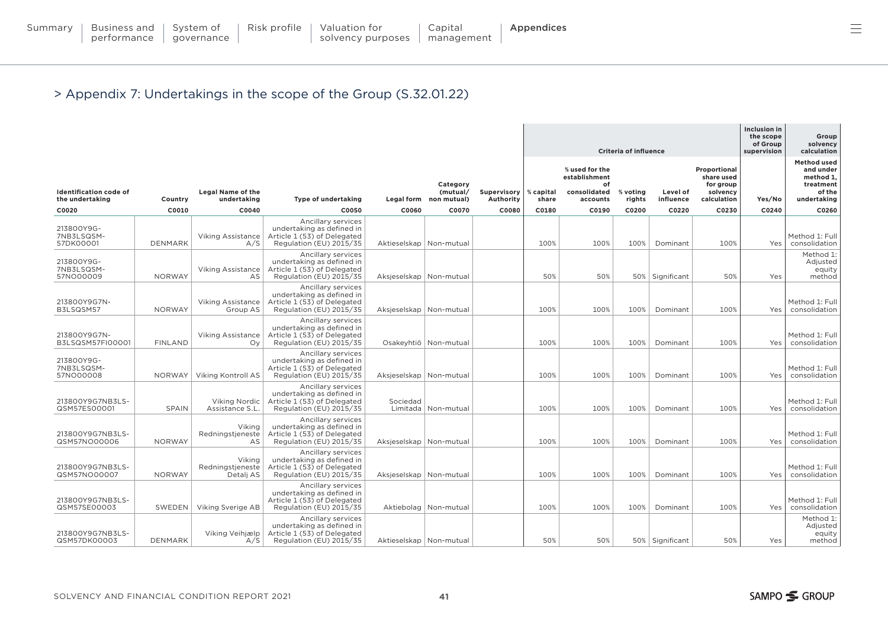|                                                  |                |                                         |                                                                                                           |                           |                                                |                          |                    | <b>Criteria of influence</b>                                      | Inclusion in<br>the scope<br>of Group<br>supervision | Group<br>solvency<br>calculation |                                                                    |        |                                                                                    |
|--------------------------------------------------|----------------|-----------------------------------------|-----------------------------------------------------------------------------------------------------------|---------------------------|------------------------------------------------|--------------------------|--------------------|-------------------------------------------------------------------|------------------------------------------------------|----------------------------------|--------------------------------------------------------------------|--------|------------------------------------------------------------------------------------|
| <b>Identification code of</b><br>the undertaking | Country        | <b>Legal Name of the</b><br>undertaking | Type of undertaking                                                                                       |                           | Category<br>(mutual/<br>Legal form non mutual) | Supervisory<br>Authority | % capital<br>share | % used for the<br>establishment<br>of<br>consolidated<br>accounts | % voting<br>rights                                   | Level of<br>influence            | Proportional<br>share used<br>for group<br>solvency<br>calculation | Yes/No | <b>Method used</b><br>and under<br>method 1,<br>treatment<br>of the<br>undertaking |
| C0020                                            | C0010          | C0040                                   | C0050                                                                                                     | C0060                     | C0070                                          | C0080                    | C0180              | C0190                                                             | C0200                                                | C0220                            | C0230                                                              | C0240  | C0260                                                                              |
| 213800Y9G-<br>7NB3LSQSM-<br>57DK00001            | <b>DENMARK</b> | <b>Viking Assistance</b><br>A/S         | Ancillary services<br>undertaking as defined in<br>Article 1 (53) of Delegated<br>Regulation (EU) 2015/35 | Aktieselskap   Non-mutual |                                                |                          | 100%               | 100%                                                              | 100%                                                 | Dominant                         | 100%                                                               | Yes    | Method 1: Full<br>consolidation                                                    |
| 213800Y9G-<br>7NB3LSQSM-<br>57NO00009            | <b>NORWAY</b>  | <b>Viking Assistance</b><br>AS          | Ancillary services<br>undertaking as defined in<br>Article 1 (53) of Delegated<br>Regulation (EU) 2015/35 | Aksjeselskap   Non-mutual |                                                |                          | 50%                | 50%                                                               |                                                      | 50%   Significant                | 50%                                                                | Yes    | Method 1:<br>Adjusted<br>equity<br>method                                          |
| 213800Y9G7N-<br>B3LSQSM57                        | <b>NORWAY</b>  | <b>Viking Assistance</b><br>Group AS    | Ancillary services<br>undertaking as defined in<br>Article 1 (53) of Delegated<br>Regulation (EU) 2015/35 | Aksjeselskap   Non-mutual |                                                |                          | 100%               | 100%                                                              | 100%                                                 | Dominant                         | 100%                                                               | Yes    | Method 1: Full<br>consolidation                                                    |
| 213800Y9G7N-<br>B3LSQSM57FI00001                 | <b>FINLAND</b> | Viking Assistance<br>Oy                 | Ancillary services<br>undertaking as defined in<br>Article 1 (53) of Delegated<br>Regulation (EU) 2015/35 |                           | Osakeyhtiö   Non-mutual                        |                          | 100%               | 100%                                                              | 100%                                                 | Dominant                         | 100%                                                               | Yes    | Method 1: Full<br>consolidation                                                    |
| 213800Y9G-<br>7NB3LSQSM-<br>57NO00008            |                | NORWAY   Viking Kontroll AS             | Ancillary services<br>undertaking as defined in<br>Article 1 (53) of Delegated<br>Regulation (EU) 2015/35 | Aksjeselskap   Non-mutual |                                                |                          | 100%               | 100%                                                              | 100%                                                 | Dominant                         | 100%                                                               | Yes    | Method 1: Full<br>consolidation                                                    |
| 213800Y9G7NB3LS-<br>QSM57ES00001                 | <b>SPAIN</b>   | Viking Nordic<br>Assistance S.L.        | Ancillary services<br>undertaking as defined in<br>Article 1 (53) of Delegated<br>Regulation (EU) 2015/35 | Sociedad                  | Limitada   Non-mutual                          |                          | 100%               | 100%                                                              | 100%                                                 | Dominant                         | 100%                                                               | Yes    | Method 1: Full<br>consolidation                                                    |
| 213800Y9G7NB3LS-<br>QSM57NO00006                 | <b>NORWAY</b>  | Viking<br>Redningstjeneste<br>AS        | Ancillary services<br>undertaking as defined in<br>Article 1 (53) of Delegated<br>Regulation (EU) 2015/35 | Aksjeselskap   Non-mutual |                                                |                          | 100%               | 100%                                                              | 100%                                                 | Dominant                         | 100%                                                               | Yes    | Method 1: Full<br>consolidation                                                    |
| 213800Y9G7NB3LS-<br>QSM57NO00007                 | <b>NORWAY</b>  | Viking<br>Redningstieneste<br>Detalj AS | Ancillary services<br>undertaking as defined in<br>Article 1 (53) of Delegated<br>Regulation (EU) 2015/35 | Aksjeselskap   Non-mutual |                                                |                          | 100%               | 100%                                                              | 100%                                                 | Dominant                         | 100%                                                               | Yes    | Method 1: Full<br>consolidation                                                    |
| 213800Y9G7NB3LS-<br>QSM57SE00003                 |                | SWEDEN   Viking Sverige AB              | Ancillary services<br>undertaking as defined in<br>Article 1 (53) of Delegated<br>Regulation (EU) 2015/35 |                           | Aktiebolag   Non-mutual                        |                          | 100%               | 100%                                                              | 100%                                                 | Dominant                         | 100%                                                               | Yes    | Method 1: Full<br>consolidation                                                    |
| 213800Y9G7NB3LS-<br>QSM57DK00003                 | <b>DENMARK</b> | Viking Veihjælp<br>A/S                  | Ancillary services<br>undertaking as defined in<br>Article 1 (53) of Delegated<br>Regulation (EU) 2015/35 | Aktieselskap   Non-mutual |                                                |                          | 50%                | 50%                                                               |                                                      | 50%   Significant                | 50%                                                                | Yes    | Method 1:<br>Adjusted<br>equity<br>method                                          |